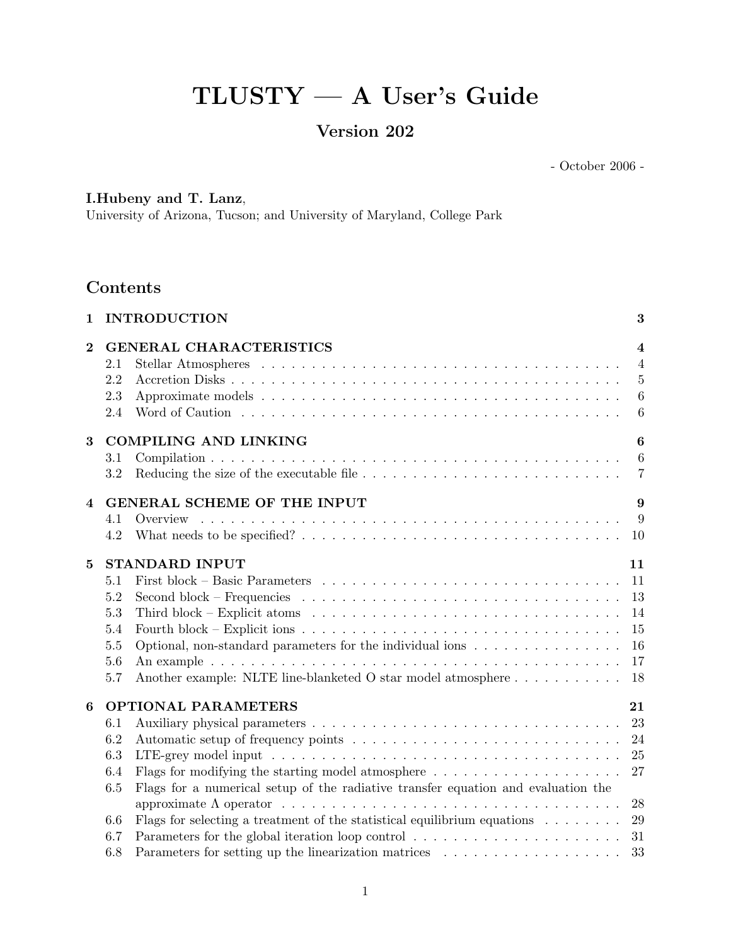# TLUSTY — A User's Guide

# Version 202

- October 2006 -

# I.Hubeny and T. Lanz,

University of Arizona, Tucson; and University of Maryland, College Park

# Contents

| $\mathbf{1}$   |                          | <b>INTRODUCTION</b>                                                                                                  | 3                                                                                |
|----------------|--------------------------|----------------------------------------------------------------------------------------------------------------------|----------------------------------------------------------------------------------|
| $\bf{2}$       | 2.1<br>2.2<br>2.3<br>2.4 | <b>GENERAL CHARACTERISTICS</b>                                                                                       | $\overline{4}$<br>$\overline{4}$<br>$\overline{5}$<br>$\,6\,$<br>$6\phantom{.}6$ |
| 3              |                          | <b>COMPILING AND LINKING</b>                                                                                         | 6                                                                                |
|                | 3.1                      |                                                                                                                      | $6\phantom{.}6$                                                                  |
|                | 3.2                      |                                                                                                                      | $\overline{7}$                                                                   |
| $\overline{4}$ |                          | GENERAL SCHEME OF THE INPUT                                                                                          | 9                                                                                |
|                | 4.1                      | Overview                                                                                                             | 9                                                                                |
|                | 4.2                      |                                                                                                                      | 10                                                                               |
| $\bf{5}$       |                          | <b>STANDARD INPUT</b>                                                                                                | 11                                                                               |
|                | 5.1                      |                                                                                                                      | 11                                                                               |
|                | 5.2                      | Second block – Frequencies $\ldots \ldots \ldots \ldots \ldots \ldots \ldots \ldots \ldots \ldots \ldots$            | 13                                                                               |
|                | 5.3                      | Third block – Explicit atoms $\dots \dots \dots \dots \dots \dots \dots \dots \dots \dots \dots \dots \dots$         | 14                                                                               |
|                | 5.4                      | Fourth block – Explicit ions $\ldots \ldots \ldots \ldots \ldots \ldots \ldots \ldots \ldots \ldots \ldots \ldots$   | 15                                                                               |
|                | 5.5                      | Optional, non-standard parameters for the individual ions                                                            | 16                                                                               |
|                | 5.6                      |                                                                                                                      | 17                                                                               |
|                | 5.7                      | Another example: NLTE line-blanketed O star model atmosphere                                                         | 18                                                                               |
| 6              |                          | <b>OPTIONAL PARAMETERS</b>                                                                                           | 21                                                                               |
|                | 6.1                      |                                                                                                                      | 23                                                                               |
|                | 6.2                      |                                                                                                                      | 24                                                                               |
|                | 6.3                      |                                                                                                                      | 25                                                                               |
|                | 6.4                      | Flags for modifying the starting model atmosphere $\dots \dots \dots \dots \dots \dots \dots$                        | 27                                                                               |
|                | 6.5                      | Flags for a numerical setup of the radiative transfer equation and evaluation the                                    |                                                                                  |
|                |                          | approximate $\Lambda$ operator $\ldots \ldots \ldots \ldots \ldots \ldots \ldots \ldots \ldots \ldots \ldots \ldots$ | 28                                                                               |
|                | 6.6                      | Flags for selecting a treatment of the statistical equilibrium equations $\ldots \ldots \ldots$                      | 29                                                                               |
|                | 6.7                      |                                                                                                                      | 31                                                                               |
|                | 6.8                      |                                                                                                                      | 33                                                                               |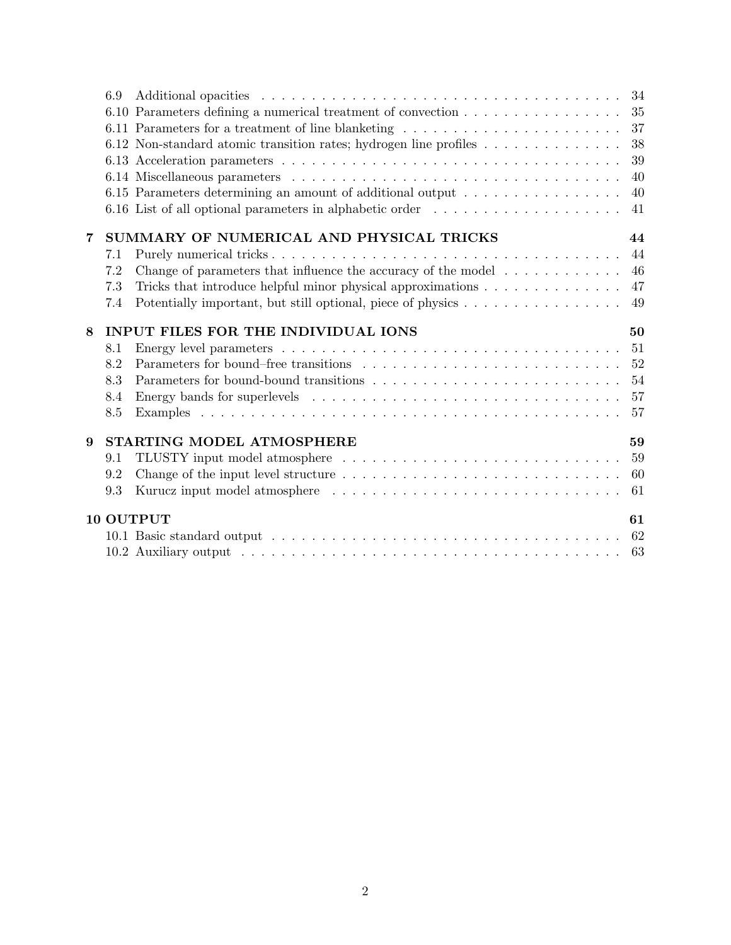|   | 6.9 |                                                                                             | 34 |
|---|-----|---------------------------------------------------------------------------------------------|----|
|   |     | 6.10 Parameters defining a numerical treatment of convection                                | 35 |
|   |     | 6.11 Parameters for a treatment of line blanketing                                          | 37 |
|   |     | 6.12 Non-standard atomic transition rates; hydrogen line profiles $\dots \dots \dots \dots$ | 38 |
|   |     |                                                                                             | 39 |
|   |     |                                                                                             | 40 |
|   |     | 6.15 Parameters determining an amount of additional output                                  | 40 |
|   |     | 6.16 List of all optional parameters in alphabetic order                                    | 41 |
| 7 |     | SUMMARY OF NUMERICAL AND PHYSICAL TRICKS                                                    | 44 |
|   | 7.1 |                                                                                             | 44 |
|   | 7.2 | Change of parameters that influence the accuracy of the model $\dots \dots \dots$           | 46 |
|   | 7.3 | Tricks that introduce helpful minor physical approximations                                 | 47 |
|   | 7.4 | Potentially important, but still optional, piece of physics                                 | 49 |
| 8 |     | <b>INPUT FILES FOR THE INDIVIDUAL IONS</b>                                                  | 50 |
|   | 8.1 |                                                                                             | 51 |
|   | 8.2 |                                                                                             | 52 |
|   | 8.3 |                                                                                             | 54 |
|   | 8.4 |                                                                                             | 57 |
|   | 8.5 |                                                                                             | 57 |
| 9 |     | STARTING MODEL ATMOSPHERE                                                                   | 59 |
|   | 9.1 |                                                                                             | 59 |
|   | 9.2 |                                                                                             | 60 |
|   | 9.3 |                                                                                             | 61 |
|   |     | 10 OUTPUT                                                                                   | 61 |
|   |     |                                                                                             |    |
|   |     |                                                                                             |    |
|   |     |                                                                                             |    |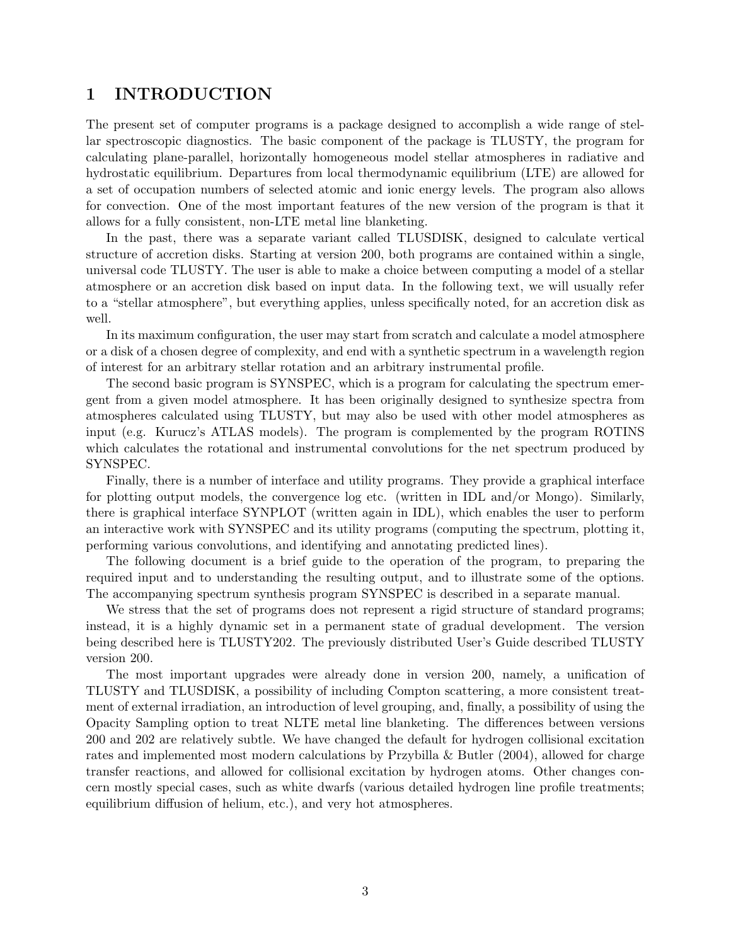## 1 INTRODUCTION

The present set of computer programs is a package designed to accomplish a wide range of stellar spectroscopic diagnostics. The basic component of the package is TLUSTY, the program for calculating plane-parallel, horizontally homogeneous model stellar atmospheres in radiative and hydrostatic equilibrium. Departures from local thermodynamic equilibrium (LTE) are allowed for a set of occupation numbers of selected atomic and ionic energy levels. The program also allows for convection. One of the most important features of the new version of the program is that it allows for a fully consistent, non-LTE metal line blanketing.

In the past, there was a separate variant called TLUSDISK, designed to calculate vertical structure of accretion disks. Starting at version 200, both programs are contained within a single, universal code TLUSTY. The user is able to make a choice between computing a model of a stellar atmosphere or an accretion disk based on input data. In the following text, we will usually refer to a "stellar atmosphere", but everything applies, unless specifically noted, for an accretion disk as well.

In its maximum configuration, the user may start from scratch and calculate a model atmosphere or a disk of a chosen degree of complexity, and end with a synthetic spectrum in a wavelength region of interest for an arbitrary stellar rotation and an arbitrary instrumental profile.

The second basic program is SYNSPEC, which is a program for calculating the spectrum emergent from a given model atmosphere. It has been originally designed to synthesize spectra from atmospheres calculated using TLUSTY, but may also be used with other model atmospheres as input (e.g. Kurucz's ATLAS models). The program is complemented by the program ROTINS which calculates the rotational and instrumental convolutions for the net spectrum produced by SYNSPEC.

Finally, there is a number of interface and utility programs. They provide a graphical interface for plotting output models, the convergence log etc. (written in IDL and/or Mongo). Similarly, there is graphical interface SYNPLOT (written again in IDL), which enables the user to perform an interactive work with SYNSPEC and its utility programs (computing the spectrum, plotting it, performing various convolutions, and identifying and annotating predicted lines).

The following document is a brief guide to the operation of the program, to preparing the required input and to understanding the resulting output, and to illustrate some of the options. The accompanying spectrum synthesis program SYNSPEC is described in a separate manual.

We stress that the set of programs does not represent a rigid structure of standard programs; instead, it is a highly dynamic set in a permanent state of gradual development. The version being described here is TLUSTY202. The previously distributed User's Guide described TLUSTY version 200.

The most important upgrades were already done in version 200, namely, a unification of TLUSTY and TLUSDISK, a possibility of including Compton scattering, a more consistent treatment of external irradiation, an introduction of level grouping, and, finally, a possibility of using the Opacity Sampling option to treat NLTE metal line blanketing. The differences between versions 200 and 202 are relatively subtle. We have changed the default for hydrogen collisional excitation rates and implemented most modern calculations by Przybilla & Butler (2004), allowed for charge transfer reactions, and allowed for collisional excitation by hydrogen atoms. Other changes concern mostly special cases, such as white dwarfs (various detailed hydrogen line profile treatments; equilibrium diffusion of helium, etc.), and very hot atmospheres.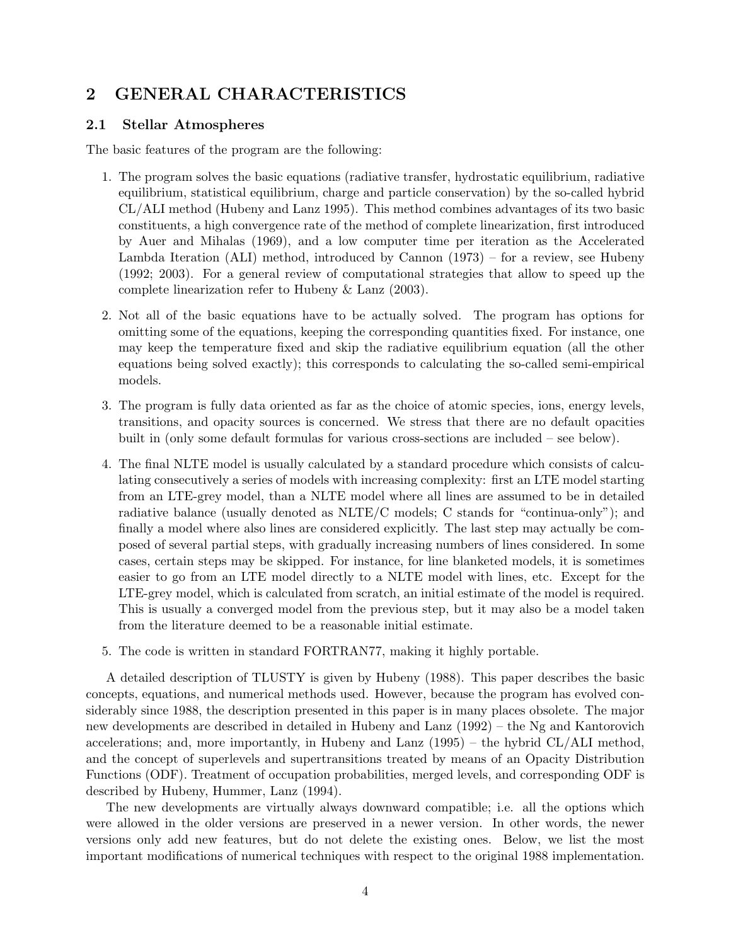# 2 GENERAL CHARACTERISTICS

### 2.1 Stellar Atmospheres

The basic features of the program are the following:

- 1. The program solves the basic equations (radiative transfer, hydrostatic equilibrium, radiative equilibrium, statistical equilibrium, charge and particle conservation) by the so-called hybrid CL/ALI method (Hubeny and Lanz 1995). This method combines advantages of its two basic constituents, a high convergence rate of the method of complete linearization, first introduced by Auer and Mihalas (1969), and a low computer time per iteration as the Accelerated Lambda Iteration (ALI) method, introduced by Cannon (1973) – for a review, see Hubeny (1992; 2003). For a general review of computational strategies that allow to speed up the complete linearization refer to Hubeny & Lanz (2003).
- 2. Not all of the basic equations have to be actually solved. The program has options for omitting some of the equations, keeping the corresponding quantities fixed. For instance, one may keep the temperature fixed and skip the radiative equilibrium equation (all the other equations being solved exactly); this corresponds to calculating the so-called semi-empirical models.
- 3. The program is fully data oriented as far as the choice of atomic species, ions, energy levels, transitions, and opacity sources is concerned. We stress that there are no default opacities built in (only some default formulas for various cross-sections are included – see below).
- 4. The final NLTE model is usually calculated by a standard procedure which consists of calculating consecutively a series of models with increasing complexity: first an LTE model starting from an LTE-grey model, than a NLTE model where all lines are assumed to be in detailed radiative balance (usually denoted as NLTE/C models; C stands for "continua-only"); and finally a model where also lines are considered explicitly. The last step may actually be composed of several partial steps, with gradually increasing numbers of lines considered. In some cases, certain steps may be skipped. For instance, for line blanketed models, it is sometimes easier to go from an LTE model directly to a NLTE model with lines, etc. Except for the LTE-grey model, which is calculated from scratch, an initial estimate of the model is required. This is usually a converged model from the previous step, but it may also be a model taken from the literature deemed to be a reasonable initial estimate.
- 5. The code is written in standard FORTRAN77, making it highly portable.

A detailed description of TLUSTY is given by Hubeny (1988). This paper describes the basic concepts, equations, and numerical methods used. However, because the program has evolved considerably since 1988, the description presented in this paper is in many places obsolete. The major new developments are described in detailed in Hubeny and Lanz (1992) – the Ng and Kantorovich accelerations; and, more importantly, in Hubeny and Lanz (1995) – the hybrid CL/ALI method, and the concept of superlevels and supertransitions treated by means of an Opacity Distribution Functions (ODF). Treatment of occupation probabilities, merged levels, and corresponding ODF is described by Hubeny, Hummer, Lanz (1994).

The new developments are virtually always downward compatible; i.e. all the options which were allowed in the older versions are preserved in a newer version. In other words, the newer versions only add new features, but do not delete the existing ones. Below, we list the most important modifications of numerical techniques with respect to the original 1988 implementation.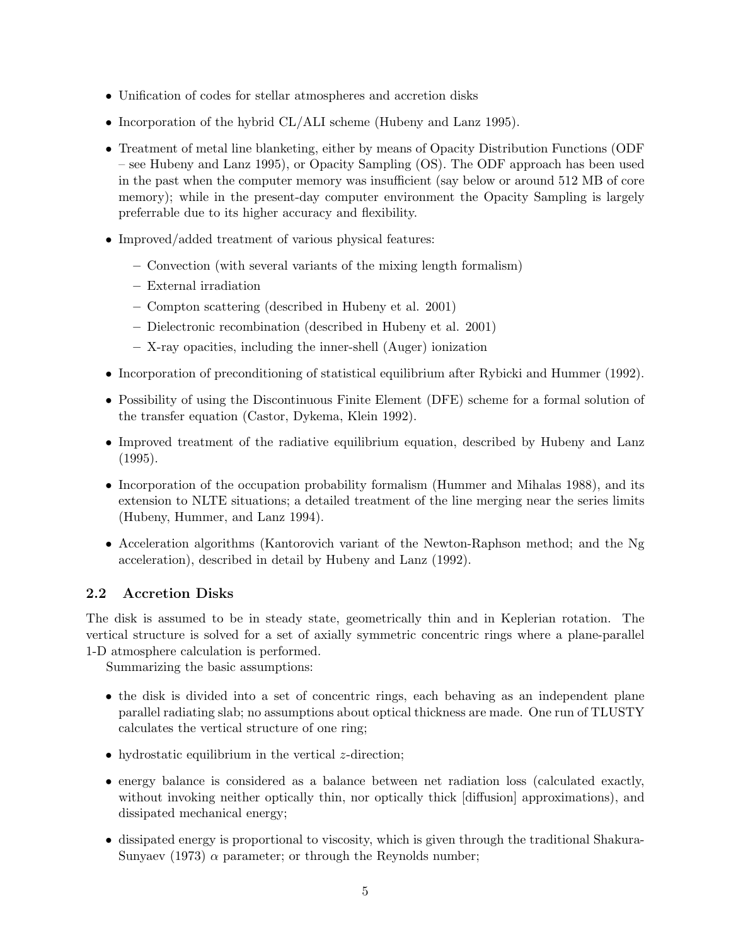- Unification of codes for stellar atmospheres and accretion disks
- Incorporation of the hybrid CL/ALI scheme (Hubeny and Lanz 1995).
- Treatment of metal line blanketing, either by means of Opacity Distribution Functions (ODF) – see Hubeny and Lanz 1995), or Opacity Sampling (OS). The ODF approach has been used in the past when the computer memory was insufficient (say below or around 512 MB of core memory); while in the present-day computer environment the Opacity Sampling is largely preferrable due to its higher accuracy and flexibility.
- Improved/added treatment of various physical features:
	- Convection (with several variants of the mixing length formalism)
	- External irradiation
	- Compton scattering (described in Hubeny et al. 2001)
	- Dielectronic recombination (described in Hubeny et al. 2001)
	- X-ray opacities, including the inner-shell (Auger) ionization
- Incorporation of preconditioning of statistical equilibrium after Rybicki and Hummer (1992).
- Possibility of using the Discontinuous Finite Element (DFE) scheme for a formal solution of the transfer equation (Castor, Dykema, Klein 1992).
- Improved treatment of the radiative equilibrium equation, described by Hubeny and Lanz (1995).
- Incorporation of the occupation probability formalism (Hummer and Mihalas 1988), and its extension to NLTE situations; a detailed treatment of the line merging near the series limits (Hubeny, Hummer, and Lanz 1994).
- Acceleration algorithms (Kantorovich variant of the Newton-Raphson method; and the Ng acceleration), described in detail by Hubeny and Lanz (1992).

### 2.2 Accretion Disks

The disk is assumed to be in steady state, geometrically thin and in Keplerian rotation. The vertical structure is solved for a set of axially symmetric concentric rings where a plane-parallel 1-D atmosphere calculation is performed.

Summarizing the basic assumptions:

- the disk is divided into a set of concentric rings, each behaving as an independent plane parallel radiating slab; no assumptions about optical thickness are made. One run of TLUSTY calculates the vertical structure of one ring;
- hydrostatic equilibrium in the vertical *z*-direction;
- energy balance is considered as a balance between net radiation loss (calculated exactly, without invoking neither optically thin, nor optically thick [diffusion] approximations), and dissipated mechanical energy;
- dissipated energy is proportional to viscosity, which is given through the traditional Shakura-Sunyaev (1973)  $\alpha$  parameter; or through the Reynolds number;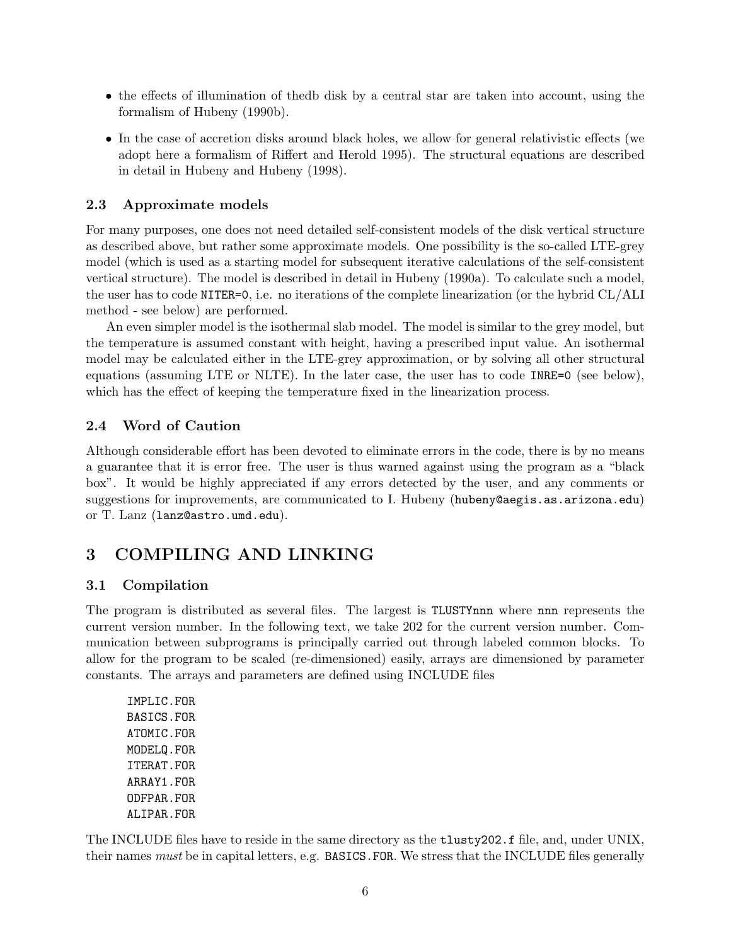- the effects of illumination of thedb disk by a central star are taken into account, using the formalism of Hubeny (1990b).
- In the case of accretion disks around black holes, we allow for general relativistic effects (we adopt here a formalism of Riffert and Herold 1995). The structural equations are described in detail in Hubeny and Hubeny (1998).

### 2.3 Approximate models

For many purposes, one does not need detailed self-consistent models of the disk vertical structure as described above, but rather some approximate models. One possibility is the so-called LTE-grey model (which is used as a starting model for subsequent iterative calculations of the self-consistent vertical structure). The model is described in detail in Hubeny (1990a). To calculate such a model, the user has to code NITER=0, i.e. no iterations of the complete linearization (or the hybrid CL/ALI method - see below) are performed.

An even simpler model is the isothermal slab model. The model is similar to the grey model, but the temperature is assumed constant with height, having a prescribed input value. An isothermal model may be calculated either in the LTE-grey approximation, or by solving all other structural equations (assuming LTE or NLTE). In the later case, the user has to code INRE=0 (see below), which has the effect of keeping the temperature fixed in the linearization process.

### 2.4 Word of Caution

Although considerable effort has been devoted to eliminate errors in the code, there is by no means a guarantee that it is error free. The user is thus warned against using the program as a "black box". It would be highly appreciated if any errors detected by the user, and any comments or suggestions for improvements, are communicated to I. Hubeny (hubeny@aegis.as.arizona.edu) or T. Lanz (lanz@astro.umd.edu).

# 3 COMPILING AND LINKING

### 3.1 Compilation

The program is distributed as several files. The largest is TLUSTYnnn where nnn represents the current version number. In the following text, we take 202 for the current version number. Communication between subprograms is principally carried out through labeled common blocks. To allow for the program to be scaled (re-dimensioned) easily, arrays are dimensioned by parameter constants. The arrays and parameters are defined using INCLUDE files

IMPLIC.FOR BASICS.FOR ATOMIC.FOR MODELQ.FOR ITERAT.FOR ARRAY1.FOR ODFPAR.FOR ALIPAR.FOR

The INCLUDE files have to reside in the same directory as the tlusty202.f file, and, under UNIX, their names must be in capital letters, e.g. BASICS.FOR. We stress that the INCLUDE files generally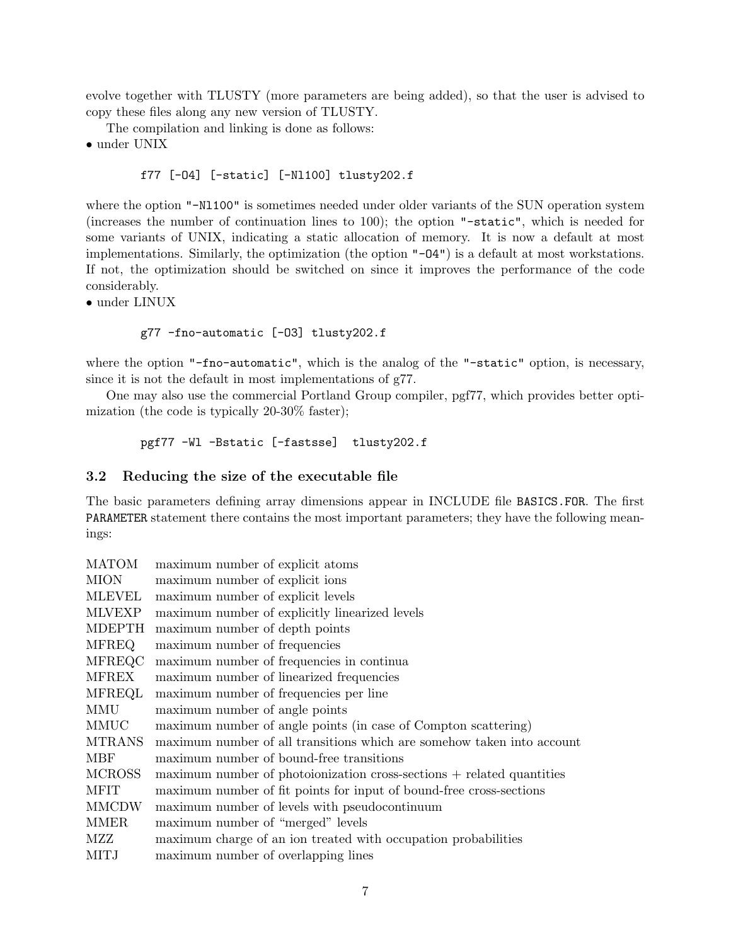evolve together with TLUSTY (more parameters are being added), so that the user is advised to copy these files along any new version of TLUSTY.

The compilation and linking is done as follows:

• under UNIX

#### f77 [-O4] [-static] [-Nl100] tlusty202.f

where the option "-N1100" is sometimes needed under older variants of the SUN operation system (increases the number of continuation lines to 100); the option "-static", which is needed for some variants of UNIX, indicating a static allocation of memory. It is now a default at most implementations. Similarly, the optimization (the option "-O4") is a default at most workstations. If not, the optimization should be switched on since it improves the performance of the code considerably.

• under LINUX

#### g77 -fno-automatic [-O3] tlusty202.f

where the option "-fno-automatic", which is the analog of the "-static" option, is necessary, since it is not the default in most implementations of g77.

One may also use the commercial Portland Group compiler, pgf77, which provides better optimization (the code is typically 20-30% faster);

```
pgf77 -Wl -Bstatic [-fastsse] tlusty202.f
```
#### 3.2 Reducing the size of the executable file

The basic parameters defining array dimensions appear in INCLUDE file BASICS.FOR. The first PARAMETER statement there contains the most important parameters; they have the following meanings:

| <b>MATOM</b>  | maximum number of explicit atoms                                       |
|---------------|------------------------------------------------------------------------|
| <b>MION</b>   | maximum number of explicit ions                                        |
| <b>MLEVEL</b> | maximum number of explicit levels                                      |
| <b>MLVEXP</b> | maximum number of explicitly linearized levels                         |
| <b>MDEPTH</b> | maximum number of depth points                                         |
| <b>MFREQ</b>  | maximum number of frequencies                                          |
| MFREQC        | maximum number of frequencies in continua                              |
| <b>MFREX</b>  | maximum number of linearized frequencies                               |
| <b>MFREQL</b> | maximum number of frequencies per line                                 |
| MMU           | maximum number of angle points                                         |
| MMUC          | maximum number of angle points (in case of Compton scattering)         |
| <b>MTRANS</b> | maximum number of all transitions which are somehow taken into account |
| <b>MBF</b>    | maximum number of bound-free transitions                               |
| <b>MCROSS</b> | maximum number of photoionization cross-sections + related quantities  |
| <b>MFIT</b>   | maximum number of fit points for input of bound-free cross-sections    |
| <b>MMCDW</b>  | maximum number of levels with pseudocontinuum                          |
| <b>MMER</b>   | maximum number of "merged" levels                                      |
| MZZ           | maximum charge of an ion treated with occupation probabilities         |
| <b>MITJ</b>   | maximum number of overlapping lines                                    |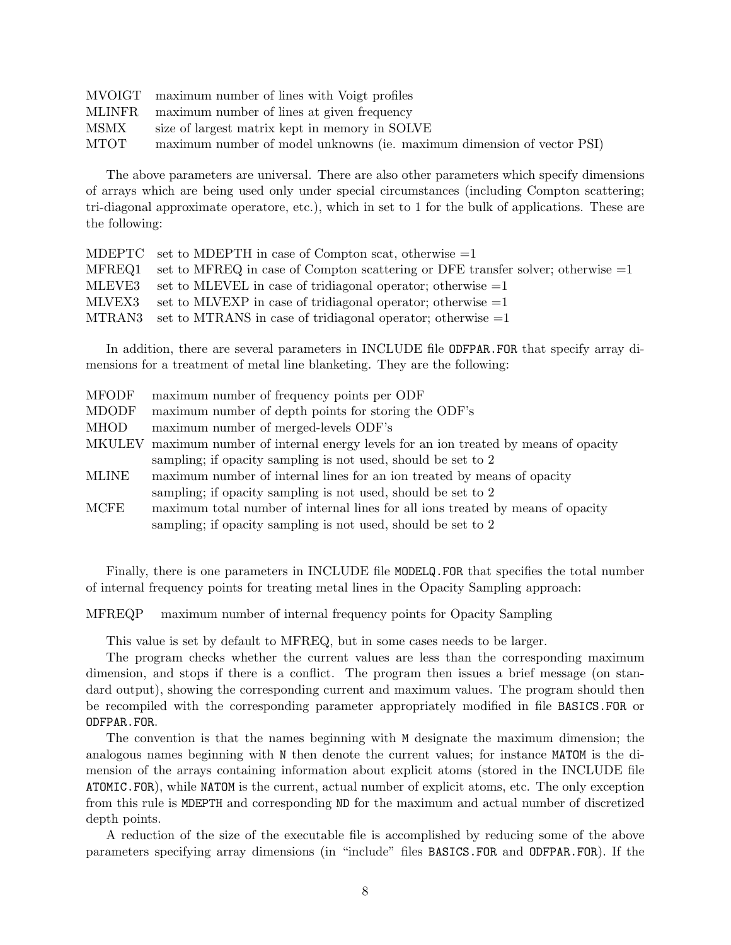|             | MVOIGT maximum number of lines with Voigt profiles                     |
|-------------|------------------------------------------------------------------------|
|             | MLINFR maximum number of lines at given frequency                      |
| MSMX        | size of largest matrix kept in memory in SOLVE                         |
| <b>MTOT</b> | maximum number of model unknowns (ie. maximum dimension of vector PSI) |

The above parameters are universal. There are also other parameters which specify dimensions of arrays which are being used only under special circumstances (including Compton scattering; tri-diagonal approximate operatore, etc.), which in set to 1 for the bulk of applications. These are the following:

|        | MDEPTC set to MDEPTH in case of Compton scat, otherwise $=1$                             |
|--------|------------------------------------------------------------------------------------------|
|        | MFREQ1 set to MFREQ in case of Compton scattering or DFE transfer solver; otherwise $=1$ |
| MLEVE3 | set to MLEVEL in case of tridiagonal operator; otherwise $=1$                            |
| MLVEX3 | set to MLVEXP in case of tridiagonal operator; otherwise $=1$                            |
|        | MTRAN3 set to MTRANS in case of tridiagonal operator; otherwise $=1$                     |

In addition, there are several parameters in INCLUDE file ODFPAR.FOR that specify array dimensions for a treatment of metal line blanketing. They are the following:

| <b>MFODF</b>  | maximum number of frequency points per ODF                                      |
|---------------|---------------------------------------------------------------------------------|
| <b>MDODF</b>  | maximum number of depth points for storing the ODF's                            |
| <b>MHOD</b>   | maximum number of merged-levels ODF's                                           |
| <b>MKULEV</b> | maximum number of internal energy levels for an ion treated by means of opacity |
|               | sampling; if opacity sampling is not used, should be set to 2                   |
| <b>MLINE</b>  | maximum number of internal lines for an ion treated by means of opacity         |
|               | sampling; if opacity sampling is not used, should be set to 2                   |
| MCFE          | maximum total number of internal lines for all ions treated by means of opacity |
|               | sampling; if opacity sampling is not used, should be set to 2                   |

Finally, there is one parameters in INCLUDE file MODELQ.FOR that specifies the total number of internal frequency points for treating metal lines in the Opacity Sampling approach:

MFREQP maximum number of internal frequency points for Opacity Sampling

This value is set by default to MFREQ, but in some cases needs to be larger.

The program checks whether the current values are less than the corresponding maximum dimension, and stops if there is a conflict. The program then issues a brief message (on standard output), showing the corresponding current and maximum values. The program should then be recompiled with the corresponding parameter appropriately modified in file BASICS.FOR or ODFPAR.FOR.

The convention is that the names beginning with M designate the maximum dimension; the analogous names beginning with N then denote the current values; for instance MATOM is the dimension of the arrays containing information about explicit atoms (stored in the INCLUDE file ATOMIC.FOR), while NATOM is the current, actual number of explicit atoms, etc. The only exception from this rule is MDEPTH and corresponding ND for the maximum and actual number of discretized depth points.

A reduction of the size of the executable file is accomplished by reducing some of the above parameters specifying array dimensions (in "include" files BASICS.FOR and ODFPAR.FOR). If the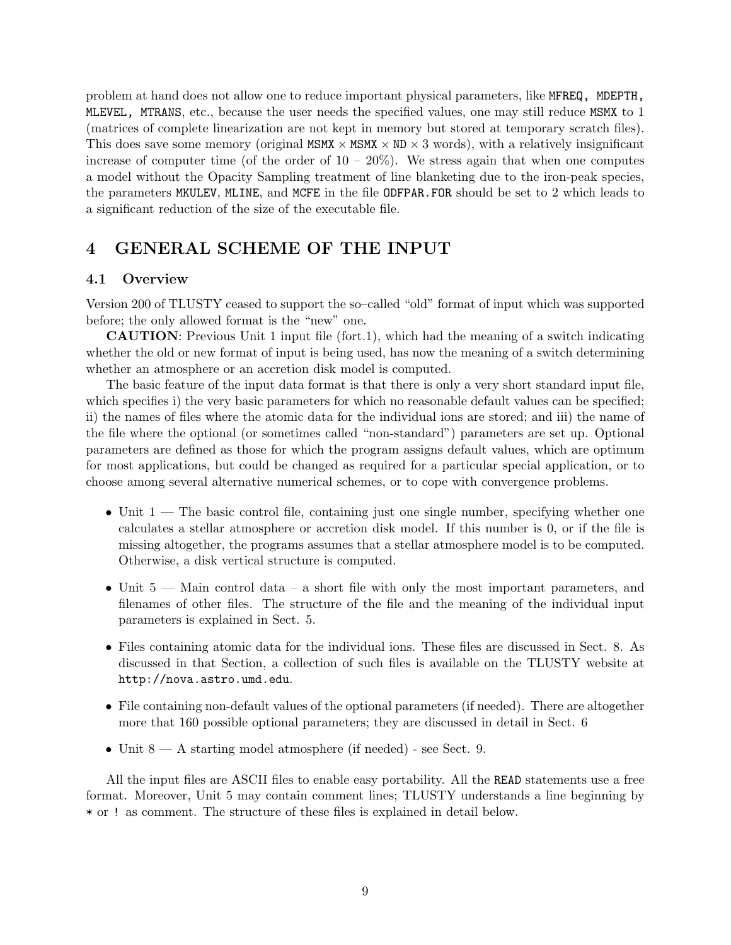problem at hand does not allow one to reduce important physical parameters, like MFREQ, MDEPTH, MLEVEL, MTRANS, etc., because the user needs the specified values, one may still reduce MSMX to 1 (matrices of complete linearization are not kept in memory but stored at temporary scratch files). This does save some memory (original MSMX  $\times$  MSMX  $\times$  ND  $\times$  3 words), with a relatively insignificant increase of computer time (of the order of  $10 - 20\%$ ). We stress again that when one computes a model without the Opacity Sampling treatment of line blanketing due to the iron-peak species, the parameters MKULEV, MLINE, and MCFE in the file ODFPAR.FOR should be set to 2 which leads to a significant reduction of the size of the executable file.

# 4 GENERAL SCHEME OF THE INPUT

#### 4.1 Overview

Version 200 of TLUSTY ceased to support the so–called "old" format of input which was supported before; the only allowed format is the "new" one.

CAUTION: Previous Unit 1 input file (fort.1), which had the meaning of a switch indicating whether the old or new format of input is being used, has now the meaning of a switch determining whether an atmosphere or an accretion disk model is computed.

The basic feature of the input data format is that there is only a very short standard input file, which specifies i) the very basic parameters for which no reasonable default values can be specified; ii) the names of files where the atomic data for the individual ions are stored; and iii) the name of the file where the optional (or sometimes called "non-standard") parameters are set up. Optional parameters are defined as those for which the program assigns default values, which are optimum for most applications, but could be changed as required for a particular special application, or to choose among several alternative numerical schemes, or to cope with convergence problems.

- Unit 1 The basic control file, containing just one single number, specifying whether one calculates a stellar atmosphere or accretion disk model. If this number is 0, or if the file is missing altogether, the programs assumes that a stellar atmosphere model is to be computed. Otherwise, a disk vertical structure is computed.
- Unit 5 Main control data a short file with only the most important parameters, and filenames of other files. The structure of the file and the meaning of the individual input parameters is explained in Sect. 5.
- Files containing atomic data for the individual ions. These files are discussed in Sect. 8. As discussed in that Section, a collection of such files is available on the TLUSTY website at http://nova.astro.umd.edu.
- File containing non-default values of the optional parameters (if needed). There are altogether more that 160 possible optional parameters; they are discussed in detail in Sect. 6
- Unit  $8 A$  starting model atmosphere (if needed) see Sect. 9.

All the input files are ASCII files to enable easy portability. All the READ statements use a free format. Moreover, Unit 5 may contain comment lines; TLUSTY understands a line beginning by \* or ! as comment. The structure of these files is explained in detail below.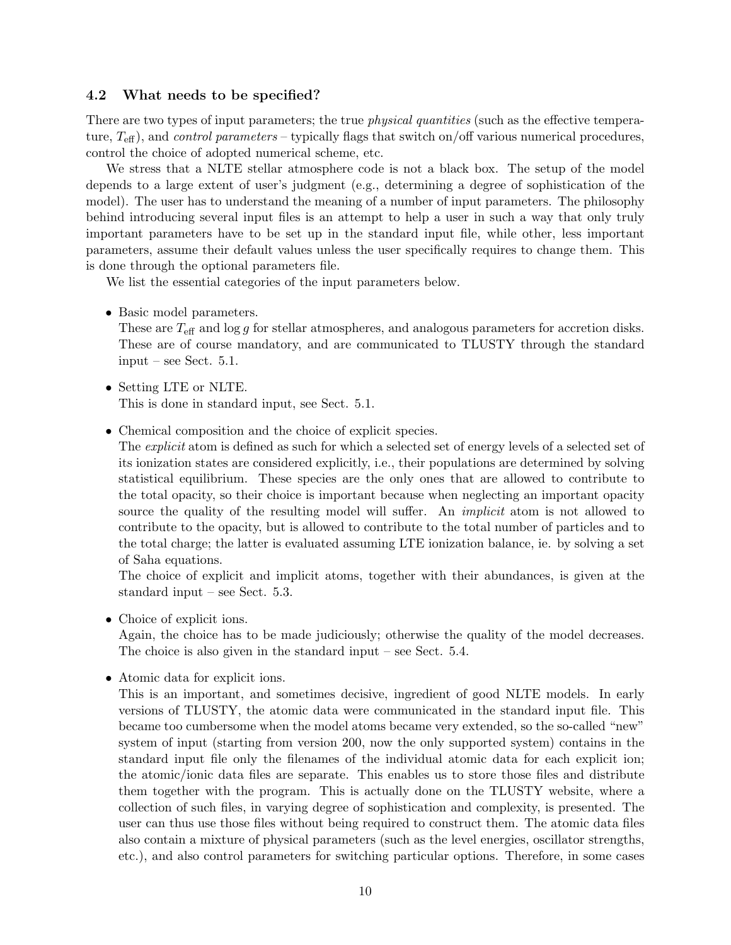#### 4.2 What needs to be specified?

There are two types of input parameters; the true *physical quantities* (such as the effective temperature,  $T_{\text{eff}}$ ), and *control parameters* – typically flags that switch on/off various numerical procedures, control the choice of adopted numerical scheme, etc.

We stress that a NLTE stellar atmosphere code is not a black box. The setup of the model depends to a large extent of user's judgment (e.g., determining a degree of sophistication of the model). The user has to understand the meaning of a number of input parameters. The philosophy behind introducing several input files is an attempt to help a user in such a way that only truly important parameters have to be set up in the standard input file, while other, less important parameters, assume their default values unless the user specifically requires to change them. This is done through the optional parameters file.

We list the essential categories of the input parameters below.

• Basic model parameters.

These are  $T_{\text{eff}}$  and  $\log g$  for stellar atmospheres, and analogous parameters for accretion disks. These are of course mandatory, and are communicated to TLUSTY through the standard input – see Sect. 5.1.

- Setting LTE or NLTE. This is done in standard input, see Sect. 5.1.
- Chemical composition and the choice of explicit species.

The *explicit* atom is defined as such for which a selected set of energy levels of a selected set of its ionization states are considered explicitly, i.e., their populations are determined by solving statistical equilibrium. These species are the only ones that are allowed to contribute to the total opacity, so their choice is important because when neglecting an important opacity source the quality of the resulting model will suffer. An *implicit* atom is not allowed to contribute to the opacity, but is allowed to contribute to the total number of particles and to the total charge; the latter is evaluated assuming LTE ionization balance, ie. by solving a set of Saha equations.

The choice of explicit and implicit atoms, together with their abundances, is given at the standard input – see Sect. 5.3.

• Choice of explicit ions.

Again, the choice has to be made judiciously; otherwise the quality of the model decreases. The choice is also given in the standard input – see Sect. 5.4.

• Atomic data for explicit ions.

This is an important, and sometimes decisive, ingredient of good NLTE models. In early versions of TLUSTY, the atomic data were communicated in the standard input file. This became too cumbersome when the model atoms became very extended, so the so-called "new" system of input (starting from version 200, now the only supported system) contains in the standard input file only the filenames of the individual atomic data for each explicit ion; the atomic/ionic data files are separate. This enables us to store those files and distribute them together with the program. This is actually done on the TLUSTY website, where a collection of such files, in varying degree of sophistication and complexity, is presented. The user can thus use those files without being required to construct them. The atomic data files also contain a mixture of physical parameters (such as the level energies, oscillator strengths, etc.), and also control parameters for switching particular options. Therefore, in some cases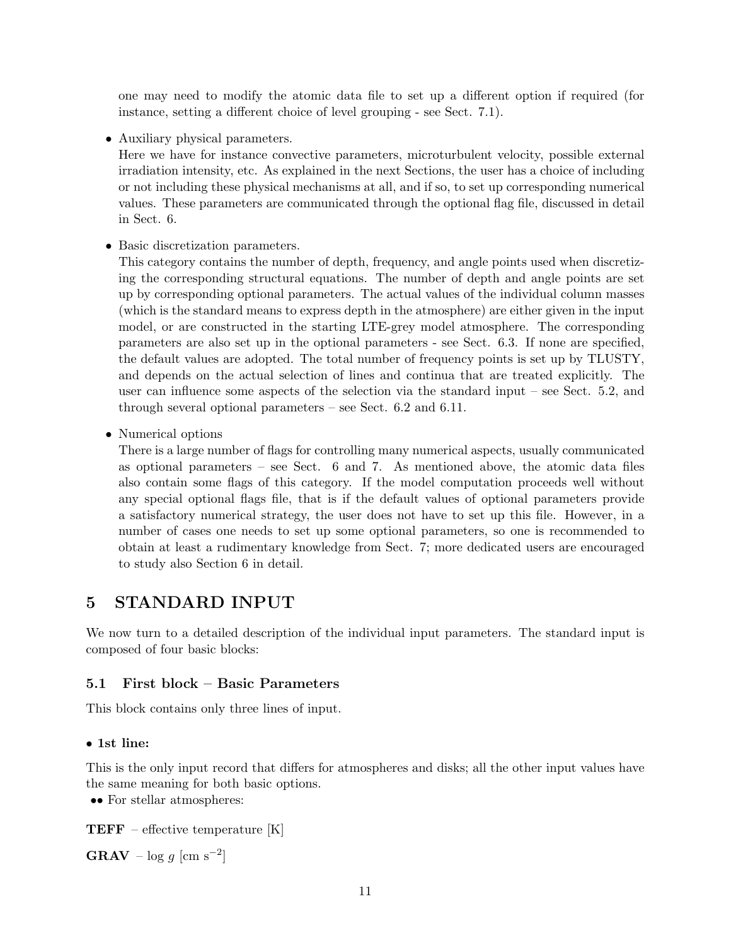one may need to modify the atomic data file to set up a different option if required (for instance, setting a different choice of level grouping - see Sect. 7.1).

• Auxiliary physical parameters.

Here we have for instance convective parameters, microturbulent velocity, possible external irradiation intensity, etc. As explained in the next Sections, the user has a choice of including or not including these physical mechanisms at all, and if so, to set up corresponding numerical values. These parameters are communicated through the optional flag file, discussed in detail in Sect. 6.

• Basic discretization parameters.

This category contains the number of depth, frequency, and angle points used when discretizing the corresponding structural equations. The number of depth and angle points are set up by corresponding optional parameters. The actual values of the individual column masses (which is the standard means to express depth in the atmosphere) are either given in the input model, or are constructed in the starting LTE-grey model atmosphere. The corresponding parameters are also set up in the optional parameters - see Sect. 6.3. If none are specified, the default values are adopted. The total number of frequency points is set up by TLUSTY, and depends on the actual selection of lines and continua that are treated explicitly. The user can influence some aspects of the selection via the standard input – see Sect. 5.2, and through several optional parameters – see Sect. 6.2 and 6.11.

• Numerical options

There is a large number of flags for controlling many numerical aspects, usually communicated as optional parameters – see Sect. 6 and 7. As mentioned above, the atomic data files also contain some flags of this category. If the model computation proceeds well without any special optional flags file, that is if the default values of optional parameters provide a satisfactory numerical strategy, the user does not have to set up this file. However, in a number of cases one needs to set up some optional parameters, so one is recommended to obtain at least a rudimentary knowledge from Sect. 7; more dedicated users are encouraged to study also Section 6 in detail.

# 5 STANDARD INPUT

We now turn to a detailed description of the individual input parameters. The standard input is composed of four basic blocks:

### 5.1 First block – Basic Parameters

This block contains only three lines of input.

#### • 1st line:

This is the only input record that differs for atmospheres and disks; all the other input values have the same meaning for both basic options.

•• For stellar atmospheres:

**TEFF** – effective temperature  $[K]$ 

GRAV –  $\log g$  [cm s<sup>-2</sup>]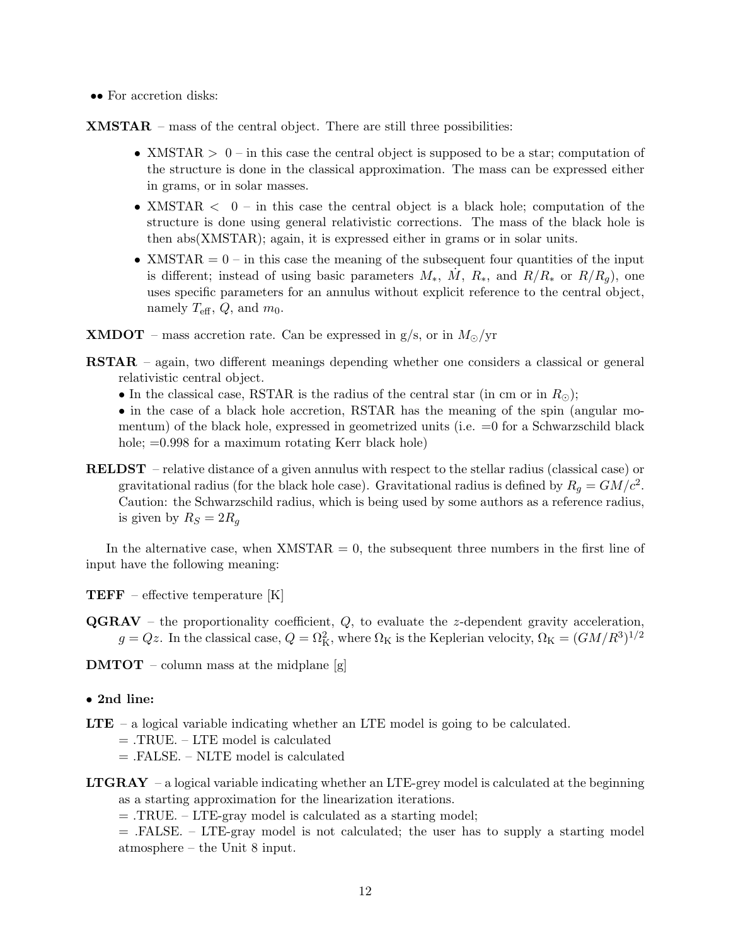•• For accretion disks:

XMSTAR – mass of the central object. There are still three possibilities:

- XMSTAR  $> 0$  in this case the central object is supposed to be a star; computation of the structure is done in the classical approximation. The mass can be expressed either in grams, or in solar masses.
- XMSTAR  $\langle 0 \text{in this case the central object is a black hole; computation of the$ structure is done using general relativistic corrections. The mass of the black hole is then abs(XMSTAR); again, it is expressed either in grams or in solar units.
- XMSTAR  $= 0$  in this case the meaning of the subsequent four quantities of the input is different; instead of using basic parameters  $M_*$ ,  $\dot{M}$ ,  $R_*$ , and  $R/R_*$  or  $R/R_g$ ), one uses specific parameters for an annulus without explicit reference to the central object, namely  $T_{\text{eff}}$ ,  $Q$ , and  $m_0$ .
- **XMDOT** mass accretion rate. Can be expressed in  $g/s$ , or in  $M_{\odot}/yr$
- RSTAR again, two different meanings depending whether one considers a classical or general relativistic central object.
	- In the classical case, RSTAR is the radius of the central star (in cm or in  $R_{\odot}$ );
	- in the case of a black hole accretion, RSTAR has the meaning of the spin (angular momentum) of the black hole, expressed in geometrized units (i.e.  $=0$  for a Schwarzschild black hole;  $=0.998$  for a maximum rotating Kerr black hole)
- RELDST relative distance of a given annulus with respect to the stellar radius (classical case) or gravitational radius (for the black hole case). Gravitational radius is defined by  $R_g = GM/c^2$ . Caution: the Schwarzschild radius, which is being used by some authors as a reference radius, is given by  $R_S = 2R_q$

In the alternative case, when  $XMSTAR = 0$ , the subsequent three numbers in the first line of input have the following meaning:

- TEFF effective temperature [K]
- $\mathbf{QGRAV}$  the proportionality coefficient,  $Q$ , to evaluate the z-dependent gravity acceleration,  $g = Qz$ . In the classical case,  $Q = \Omega_K^2$ , where  $\Omega_K$  is the Keplerian velocity,  $\Omega_K = (GM/R^3)^{1/2}$
- **DMTOT** column mass at the midplane  $[g]$
- 2nd line:
- LTE a logical variable indicating whether an LTE model is going to be calculated.
	- = .TRUE. LTE model is calculated
	- = .FALSE. NLTE model is calculated
- **LTGRAY** a logical variable indicating whether an LTE-grey model is calculated at the beginning as a starting approximation for the linearization iterations.
	- = .TRUE. LTE-gray model is calculated as a starting model;

 $=$  .FALSE. – LTE-gray model is not calculated; the user has to supply a starting model atmosphere – the Unit 8 input.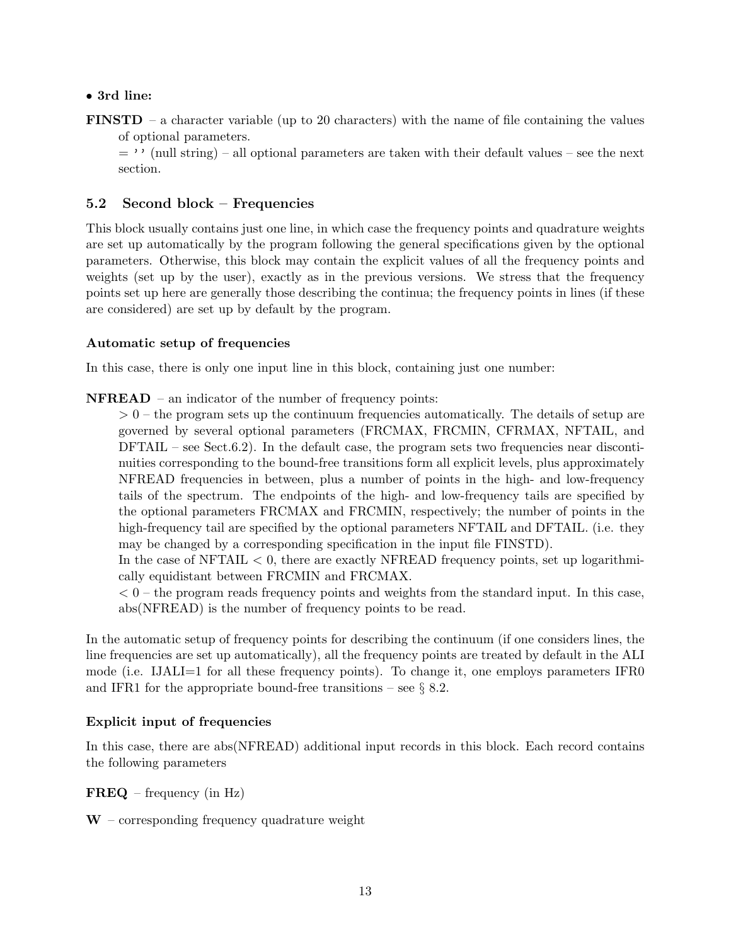### • 3rd line:

FINSTD – a character variable (up to 20 characters) with the name of file containing the values of optional parameters.

 $=$  '' (null string) – all optional parameters are taken with their default values – see the next section.

### 5.2 Second block – Frequencies

This block usually contains just one line, in which case the frequency points and quadrature weights are set up automatically by the program following the general specifications given by the optional parameters. Otherwise, this block may contain the explicit values of all the frequency points and weights (set up by the user), exactly as in the previous versions. We stress that the frequency points set up here are generally those describing the continua; the frequency points in lines (if these are considered) are set up by default by the program.

### Automatic setup of frequencies

In this case, there is only one input line in this block, containing just one number:

NFREAD – an indicator of the number of frequency points:

 $> 0$  – the program sets up the continuum frequencies automatically. The details of setup are governed by several optional parameters (FRCMAX, FRCMIN, CFRMAX, NFTAIL, and  $DFTAIL - see Sect.6.2)$ . In the default case, the program sets two frequencies near discontinuities corresponding to the bound-free transitions form all explicit levels, plus approximately NFREAD frequencies in between, plus a number of points in the high- and low-frequency tails of the spectrum. The endpoints of the high- and low-frequency tails are specified by the optional parameters FRCMAX and FRCMIN, respectively; the number of points in the high-frequency tail are specified by the optional parameters NFTAIL and DFTAIL. (i.e. they may be changed by a corresponding specification in the input file FINSTD).

In the case of  $NFTAIL < 0$ , there are exactly  $NFREAD$  frequency points, set up logarithmically equidistant between FRCMIN and FRCMAX.

 $< 0$  – the program reads frequency points and weights from the standard input. In this case, abs(NFREAD) is the number of frequency points to be read.

In the automatic setup of frequency points for describing the continuum (if one considers lines, the line frequencies are set up automatically), all the frequency points are treated by default in the ALI mode (i.e. IJALI=1 for all these frequency points). To change it, one employs parameters IFR0 and IFR1 for the appropriate bound-free transitions – see  $\S$  8.2.

### Explicit input of frequencies

In this case, there are abs(NFREAD) additional input records in this block. Each record contains the following parameters

FREQ – frequency (in Hz)

 $W$  – corresponding frequency quadrature weight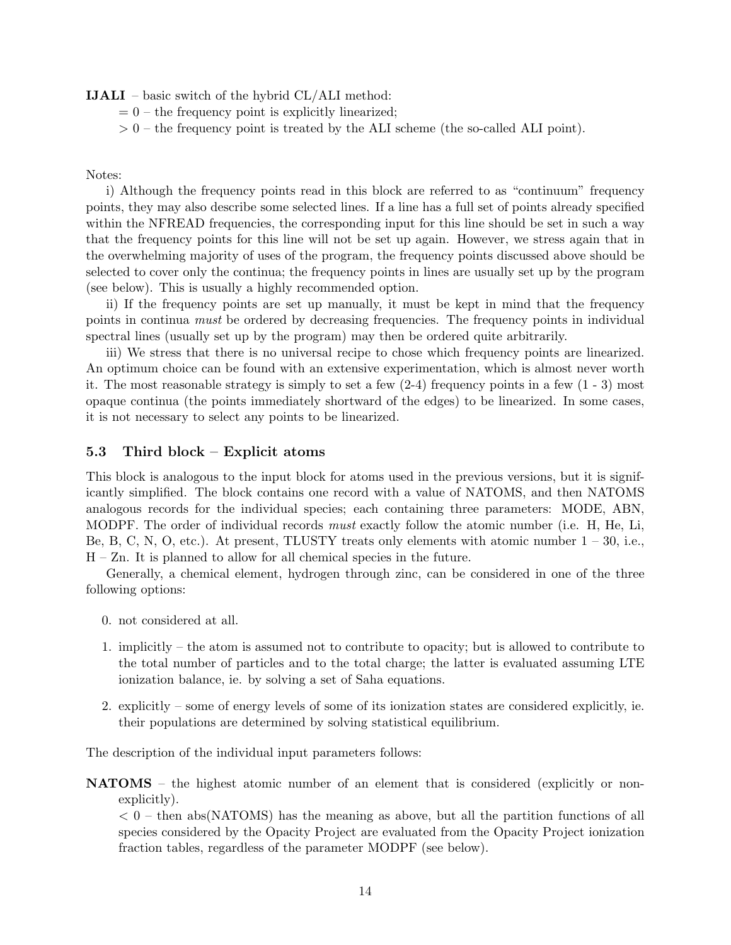IJALI – basic switch of the hybrid CL/ALI method:

- $= 0$  the frequency point is explicitly linearized;
- $> 0$  the frequency point is treated by the ALI scheme (the so-called ALI point).

#### Notes:

i) Although the frequency points read in this block are referred to as "continuum" frequency points, they may also describe some selected lines. If a line has a full set of points already specified within the NFREAD frequencies, the corresponding input for this line should be set in such a way that the frequency points for this line will not be set up again. However, we stress again that in the overwhelming majority of uses of the program, the frequency points discussed above should be selected to cover only the continua; the frequency points in lines are usually set up by the program (see below). This is usually a highly recommended option.

ii) If the frequency points are set up manually, it must be kept in mind that the frequency points in continua must be ordered by decreasing frequencies. The frequency points in individual spectral lines (usually set up by the program) may then be ordered quite arbitrarily.

iii) We stress that there is no universal recipe to chose which frequency points are linearized. An optimum choice can be found with an extensive experimentation, which is almost never worth it. The most reasonable strategy is simply to set a few  $(2-4)$  frequency points in a few  $(1 - 3)$  most opaque continua (the points immediately shortward of the edges) to be linearized. In some cases, it is not necessary to select any points to be linearized.

#### 5.3 Third block – Explicit atoms

This block is analogous to the input block for atoms used in the previous versions, but it is significantly simplified. The block contains one record with a value of NATOMS, and then NATOMS analogous records for the individual species; each containing three parameters: MODE, ABN, MODPF. The order of individual records *must* exactly follow the atomic number (i.e. H, He, Li, Be, B, C, N, O, etc.). At present, TLUSTY treats only elements with atomic number  $1 - 30$ , i.e., H – Zn. It is planned to allow for all chemical species in the future.

Generally, a chemical element, hydrogen through zinc, can be considered in one of the three following options:

- 0. not considered at all.
- 1. implicitly the atom is assumed not to contribute to opacity; but is allowed to contribute to the total number of particles and to the total charge; the latter is evaluated assuming LTE ionization balance, ie. by solving a set of Saha equations.
- 2. explicitly some of energy levels of some of its ionization states are considered explicitly, ie. their populations are determined by solving statistical equilibrium.

The description of the individual input parameters follows:

NATOMS – the highest atomic number of an element that is considered (explicitly or nonexplicitly).

 $< 0$  – then abs(NATOMS) has the meaning as above, but all the partition functions of all species considered by the Opacity Project are evaluated from the Opacity Project ionization fraction tables, regardless of the parameter MODPF (see below).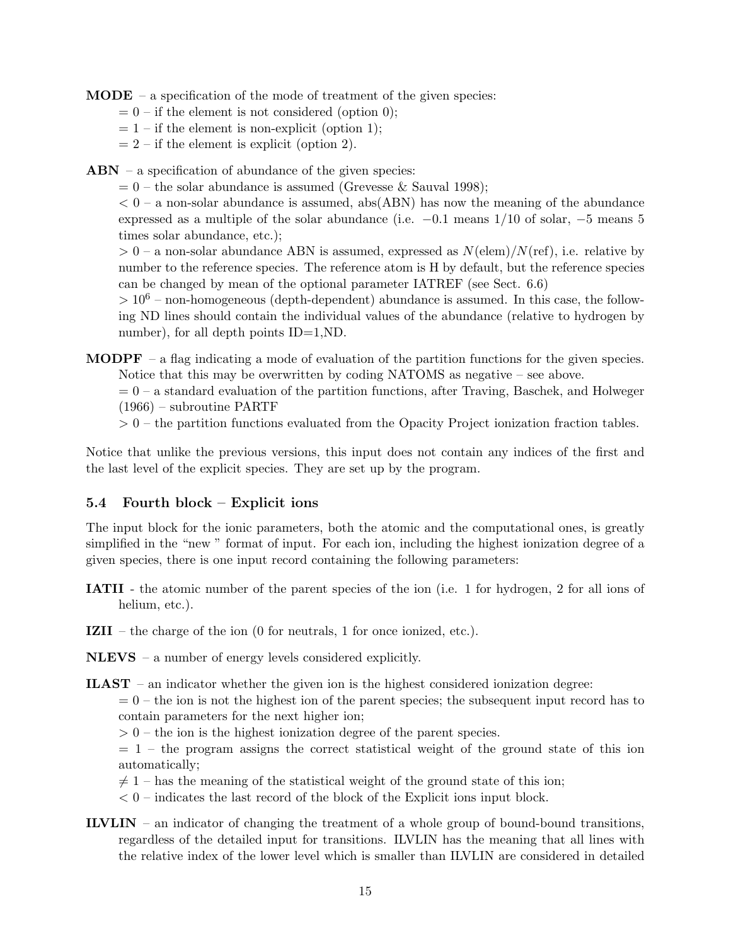$$ 

- $= 0$  if the element is not considered (option 0);
- $= 1 if the element is non-explicit (option 1);$
- $= 2 if the element is explicit (option 2).$

 $ABN - a$  specification of abundance of the given species:

 $= 0$  – the solar abundance is assumed (Grevesse & Sauval 1998);

 $< 0$  – a non-solar abundance is assumed, abs(ABN) has now the meaning of the abundance expressed as a multiple of the solar abundance (i.e.  $-0.1$  means  $1/10$  of solar,  $-5$  means 5 times solar abundance, etc.);

 $> 0$  – a non-solar abundance ABN is assumed, expressed as  $N(\text{elem})/N(\text{ref})$ , i.e. relative by number to the reference species. The reference atom is H by default, but the reference species can be changed by mean of the optional parameter IATREF (see Sect. 6.6)

 $> 10<sup>6</sup>$  – non-homogeneous (depth-dependent) abundance is assumed. In this case, the following ND lines should contain the individual values of the abundance (relative to hydrogen by number), for all depth points ID=1,ND.

**MODPF** – a flag indicating a mode of evaluation of the partition functions for the given species. Notice that this may be overwritten by coding NATOMS as negative – see above.

 $= 0 - a$  standard evaluation of the partition functions, after Traving, Baschek, and Holweger (1966) – subroutine PARTF

 $> 0$  – the partition functions evaluated from the Opacity Project ionization fraction tables.

Notice that unlike the previous versions, this input does not contain any indices of the first and the last level of the explicit species. They are set up by the program.

### 5.4 Fourth block – Explicit ions

The input block for the ionic parameters, both the atomic and the computational ones, is greatly simplified in the "new " format of input. For each ion, including the highest ionization degree of a given species, there is one input record containing the following parameters:

- IATII the atomic number of the parent species of the ion (i.e. 1 for hydrogen, 2 for all ions of helium, etc.).
- IZII the charge of the ion (0 for neutrals, 1 for once ionized, etc.).

NLEVS – a number of energy levels considered explicitly.

**ILAST** – an indicator whether the given ion is the highest considered ionization degree:

 $= 0$  – the ion is not the highest ion of the parent species; the subsequent input record has to contain parameters for the next higher ion;

 $> 0$  – the ion is the highest ionization degree of the parent species.

 $= 1$  – the program assigns the correct statistical weight of the ground state of this ion automatically;

 $\neq$  1 – has the meaning of the statistical weight of the ground state of this ion;

 $< 0$  – indicates the last record of the block of the Explicit ions input block.

ILVLIN – an indicator of changing the treatment of a whole group of bound-bound transitions, regardless of the detailed input for transitions. ILVLIN has the meaning that all lines with the relative index of the lower level which is smaller than ILVLIN are considered in detailed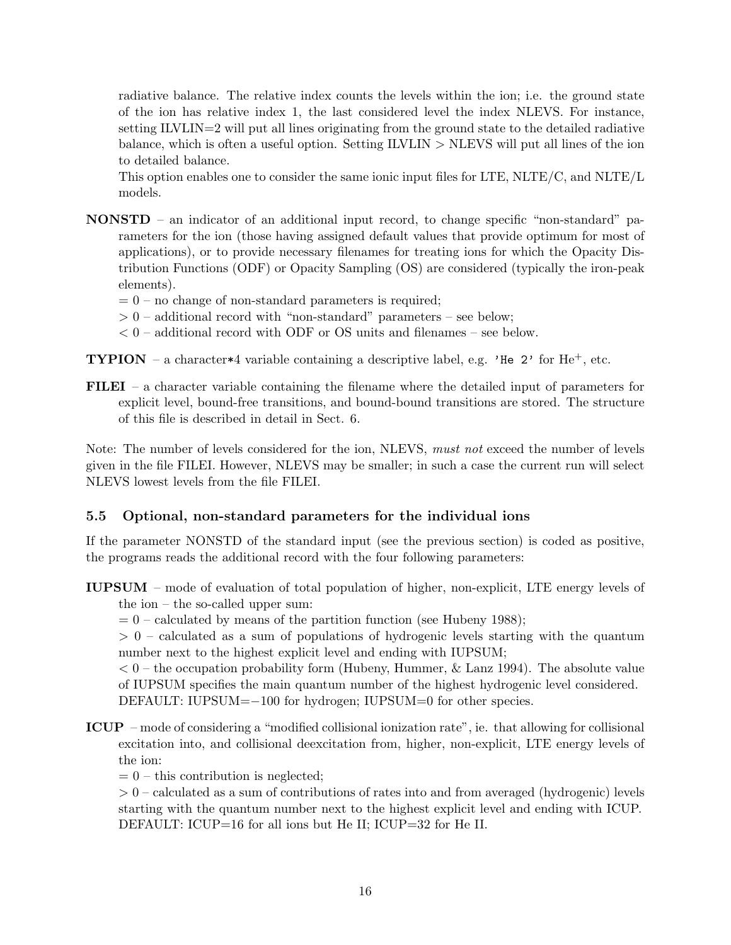radiative balance. The relative index counts the levels within the ion; i.e. the ground state of the ion has relative index 1, the last considered level the index NLEVS. For instance, setting ILVLIN=2 will put all lines originating from the ground state to the detailed radiative balance, which is often a useful option. Setting ILVLIN > NLEVS will put all lines of the ion to detailed balance.

This option enables one to consider the same ionic input files for LTE, NLTE/C, and NLTE/L models.

- NONSTD an indicator of an additional input record, to change specific "non-standard" parameters for the ion (those having assigned default values that provide optimum for most of applications), or to provide necessary filenames for treating ions for which the Opacity Distribution Functions (ODF) or Opacity Sampling (OS) are considered (typically the iron-peak elements).
	- $= 0$  no change of non-standard parameters is required;
	- $> 0$  additional record with "non-standard" parameters see below;
	- $< 0$  additional record with ODF or OS units and filenames see below.

**TYPION** – a character\*4 variable containing a descriptive label, e.g. 'He 2' for He<sup>+</sup>, etc.

FILEI – a character variable containing the filename where the detailed input of parameters for explicit level, bound-free transitions, and bound-bound transitions are stored. The structure of this file is described in detail in Sect. 6.

Note: The number of levels considered for the ion, NLEVS, must not exceed the number of levels given in the file FILEI. However, NLEVS may be smaller; in such a case the current run will select NLEVS lowest levels from the file FILEI.

### 5.5 Optional, non-standard parameters for the individual ions

If the parameter NONSTD of the standard input (see the previous section) is coded as positive, the programs reads the additional record with the four following parameters:

- IUPSUM mode of evaluation of total population of higher, non-explicit, LTE energy levels of the ion – the so-called upper sum:
	- $= 0$  calculated by means of the partition function (see Hubeny 1988);

> 0 – calculated as a sum of populations of hydrogenic levels starting with the quantum number next to the highest explicit level and ending with IUPSUM;

 $< 0$  – the occupation probability form (Hubeny, Hummer, & Lanz 1994). The absolute value of IUPSUM specifies the main quantum number of the highest hydrogenic level considered.

DEFAULT: IUPSUM=−100 for hydrogen; IUPSUM=0 for other species.

ICUP – mode of considering a "modified collisional ionization rate", ie. that allowing for collisional excitation into, and collisional deexcitation from, higher, non-explicit, LTE energy levels of the ion:

 $= 0$  – this contribution is neglected;

 $> 0$  – calculated as a sum of contributions of rates into and from averaged (hydrogenic) levels starting with the quantum number next to the highest explicit level and ending with ICUP. DEFAULT: ICUP=16 for all ions but He II; ICUP=32 for He II.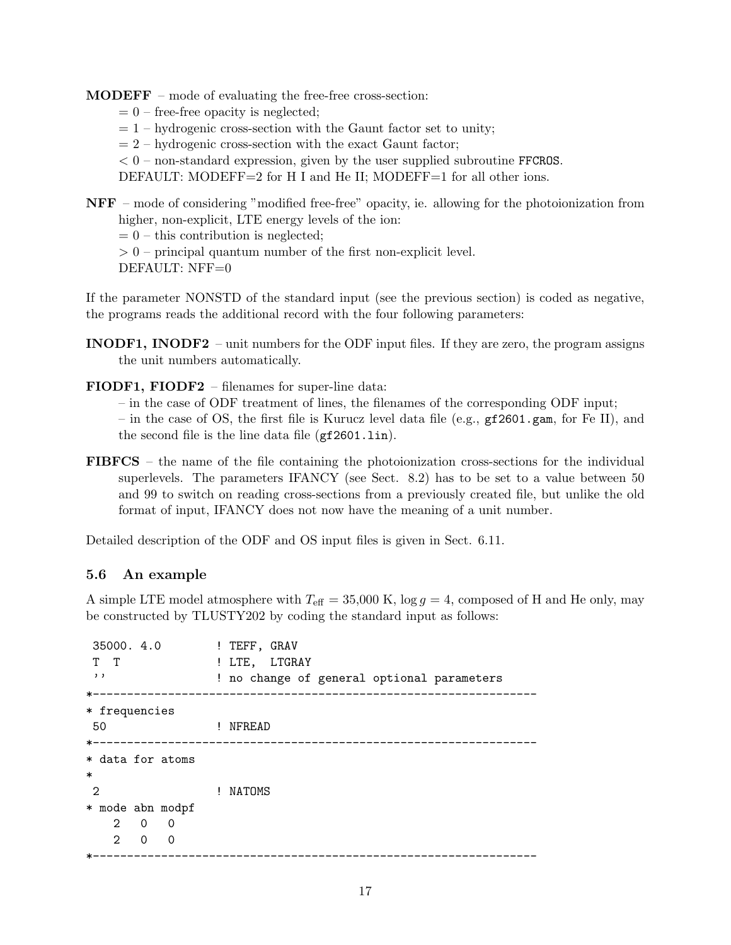MODEFF – mode of evaluating the free-free cross-section:

- $= 0$  free-free opacity is neglected;
- $= 1$  hydrogenic cross-section with the Gaunt factor set to unity;
- $= 2$  hydrogenic cross-section with the exact Gaunt factor;
- $< 0$  non-standard expression, given by the user supplied subroutine FFCROS.

DEFAULT: MODEFF=2 for H I and He II; MODEFF=1 for all other ions.

NFF – mode of considering "modified free-free" opacity, ie. allowing for the photoionization from higher, non-explicit, LTE energy levels of the ion:

 $= 0$  – this contribution is neglected;

 $> 0$  – principal quantum number of the first non-explicit level.

DEFAULT: NFF=0

If the parameter NONSTD of the standard input (see the previous section) is coded as negative, the programs reads the additional record with the four following parameters:

- INODF1, INODF2 unit numbers for the ODF input files. If they are zero, the program assigns the unit numbers automatically.
- FIODF1, FIODF2 filenames for super-line data:
	- in the case of ODF treatment of lines, the filenames of the corresponding ODF input;

– in the case of OS, the first file is Kurucz level data file (e.g., gf2601.gam, for Fe II), and the second file is the line data file (gf2601.lin).

FIBFCS – the name of the file containing the photoionization cross-sections for the individual superlevels. The parameters IFANCY (see Sect. 8.2) has to be set to a value between 50 and 99 to switch on reading cross-sections from a previously created file, but unlike the old format of input, IFANCY does not now have the meaning of a unit number.

Detailed description of the ODF and OS input files is given in Sect. 6.11.

### 5.6 An example

A simple LTE model atmosphere with  $T_{\text{eff}} = 35{,}000 \text{ K}$ ,  $\log g = 4$ , composed of H and He only, may be constructed by TLUSTY202 by coding the standard input as follows:

```
35000. 4.0 ! TEFF, GRAV
T T : PHITE, LTGRAY
'' ! no change of general optional parameters
*-----------------------------------------------------------------
* frequencies
50 ! NFREAD
*-----------------------------------------------------------------
* data for atoms
*
2 ! NATOMS
* mode abn modpf
   2 0 0
   2 0 0
  *-----------------------------------------------------------------
```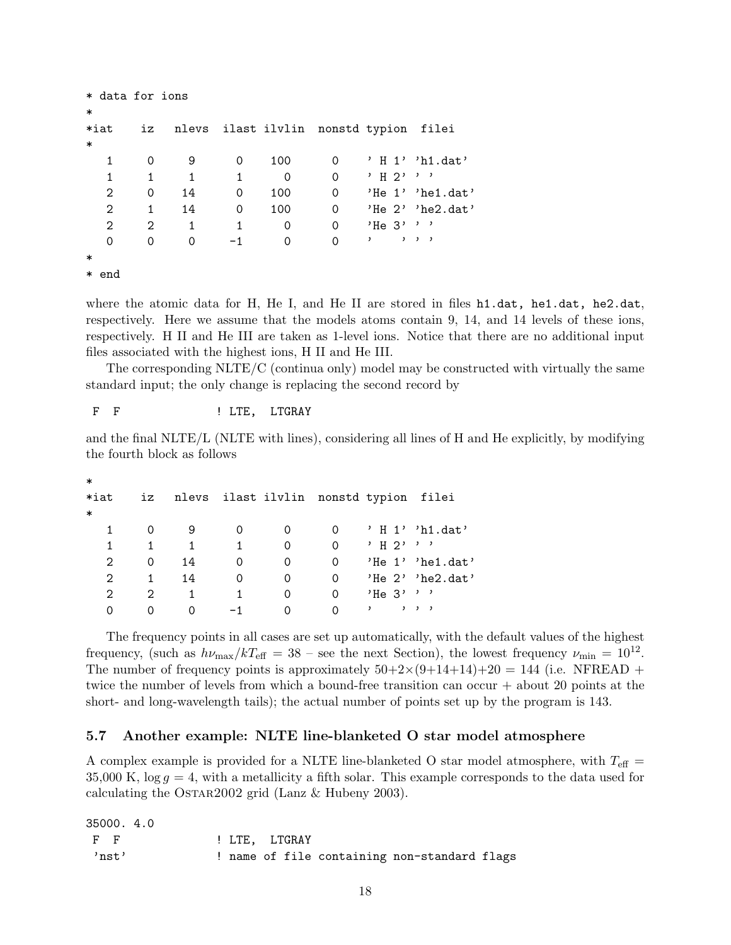```
* data for ions
*
*iat iz nlevs ilast ilvlin nonstd typion filei
*
  1 0 9 0 100 0 ' H 1' 'h1.dat'
  1 \quad 1 \quad 1 \quad 1 \quad 0 \quad 0 \quad 'H 2' '2 0 14 0 100 0 'He 1' 'he1.dat'
  2 1 14 0 100 0 'He 2' 'he2.dat'
  2 2 1 1 0 0 'He 3'''
  0 0 0 -1 0 0 ' ' ' ' '
*
* end
```
where the atomic data for H, He I, and He II are stored in files h1.dat, he1.dat, he2.dat, respectively. Here we assume that the models atoms contain 9, 14, and 14 levels of these ions, respectively. H II and He III are taken as 1-level ions. Notice that there are no additional input files associated with the highest ions, H II and He III.

The corresponding NLTE/C (continua only) model may be constructed with virtually the same standard input; the only change is replacing the second record by

F F  $\qquad$  ! LTE, LTGRAY

and the final NLTE/L (NLTE with lines), considering all lines of H and He explicitly, by modifying the fourth block as follows

| $\ast$ |                             |    |              |                                        |          |                                          |                         |
|--------|-----------------------------|----|--------------|----------------------------------------|----------|------------------------------------------|-------------------------|
| $*iat$ | iz                          |    |              | nlevs ilast ilvlin nonstd typion filei |          |                                          |                         |
| $\ast$ |                             |    |              |                                        |          |                                          |                         |
| 1      |                             | 9  |              | 0                                      | $\Omega$ |                                          | 'H 1''h1.dat'           |
| 1      | 1                           | 1  | $\mathbf{1}$ | 0                                      | $\Omega$ | י י י ק н י                              |                         |
| 2      | 0                           | 14 | 0            | 0                                      | 0        |                                          | $'He 1'$ 'he1.dat'      |
| 2      | 1                           | 14 | 0            | 0                                      | 0        |                                          | 'He $2'$ 'he $2$ . dat' |
| 2      | $\mathcal{D}_{\mathcal{L}}$ | 1  | 1.           | 0                                      | $\Omega$ | $'He$ 3' ' '                             |                         |
| 0      | Ω                           | O  |              |                                        | $\Omega$ | $\qquad \qquad , \qquad , \qquad ,$<br>, |                         |

The frequency points in all cases are set up automatically, with the default values of the highest frequency, (such as  $h\nu_{\text{max}}/kT_{\text{eff}} = 38$  – see the next Section), the lowest frequency  $\nu_{\text{min}} = 10^{12}$ . The number of frequency points is approximately  $50+2\times(9+14+14)+20 = 144$  (i.e. NFREAD + twice the number of levels from which a bound-free transition can occur + about 20 points at the short- and long-wavelength tails); the actual number of points set up by the program is 143.

#### 5.7 Another example: NLTE line-blanketed O star model atmosphere

A complex example is provided for a NLTE line-blanketed O star model atmosphere, with  $T_{\text{eff}} =$ 35,000 K,  $\log g = 4$ , with a metallicity a fifth solar. This example corresponds to the data used for calculating the OSTAR2002 grid (Lanz  $\&$  Hubeny 2003).

35000. 4.0

| $F$ F | ! LTE. LTGRAY |  |                                              |  |
|-------|---------------|--|----------------------------------------------|--|
| 'nst' |               |  | ! name of file containing non-standard flags |  |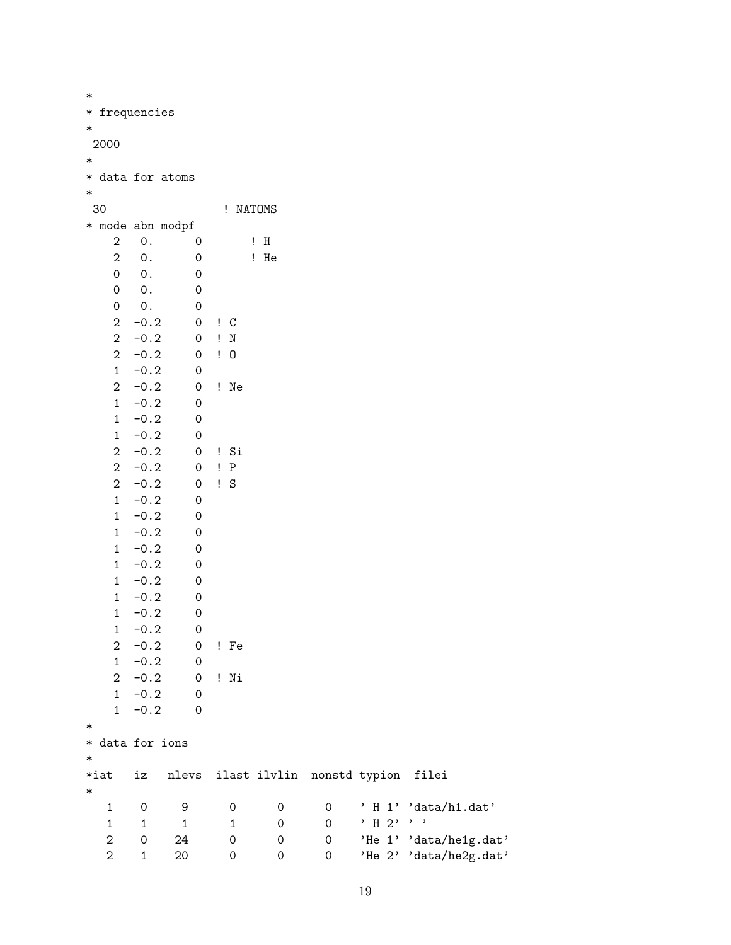| $\ast$ |                         |                 |                     |                     |                     |                                  |          |                        |
|--------|-------------------------|-----------------|---------------------|---------------------|---------------------|----------------------------------|----------|------------------------|
| ∗      |                         | frequencies     |                     |                     |                     |                                  |          |                        |
| ∗      |                         |                 |                     |                     |                     |                                  |          |                        |
|        | 2000                    |                 |                     |                     |                     |                                  |          |                        |
| ∗      |                         |                 |                     |                     |                     |                                  |          |                        |
|        | * data for atoms        |                 |                     |                     |                     |                                  |          |                        |
| $\ast$ |                         |                 |                     |                     |                     |                                  |          |                        |
|        | 30                      |                 |                     | ! NATOMS            |                     |                                  |          |                        |
|        |                         |                 |                     |                     |                     |                                  |          |                        |
|        | * mode abn modpf        |                 |                     |                     |                     |                                  |          |                        |
|        | $\boldsymbol{2}$        | $\mathsf{0}\,.$ | 0                   |                     | $\mathbf{H}$        |                                  |          |                        |
|        | $\overline{2}$          | $0$ .           | 0                   |                     | ! He                |                                  |          |                        |
|        | $\mathsf{O}\xspace$     | 0.              | $\mathbf 0$         |                     |                     |                                  |          |                        |
|        | 0                       | $\mathsf{0}\,.$ | 0                   |                     |                     |                                  |          |                        |
|        | 0                       | $0$ .           | $\mathbf 0$         |                     |                     |                                  |          |                        |
|        | $\overline{2}$          | $-0.2$          | 0                   | $\mathbf{C}$        |                     |                                  |          |                        |
|        | $\overline{2}$          | $-0.2$          | $\mathsf{O}\xspace$ | $\mathbf{I}$ N      |                     |                                  |          |                        |
|        | $\overline{2}$          | $-0.2$          | 0                   | $\mathbf{1}$ 0      |                     |                                  |          |                        |
|        | $\mathbf{1}$            | $-0.2$          | 0                   |                     |                     |                                  |          |                        |
|        | $\overline{2}$          | $-0.2$          | 0                   | ! Ne                |                     |                                  |          |                        |
|        | $\mathbf{1}$            | $-0.2$          | 0                   |                     |                     |                                  |          |                        |
|        | $\mathbf{1}$            | $-0.2$          | 0                   |                     |                     |                                  |          |                        |
|        | $\mathbf{1}$            | $-0.2$          | $\mathbf 0$         |                     |                     |                                  |          |                        |
|        | $\overline{2}$          | $-0.2$          | 0                   | ! Si                |                     |                                  |          |                        |
|        | $\overline{2}$          | $-0.2$          | $\mbox{O}$          | P                   |                     |                                  |          |                        |
|        | $\overline{2}$          | $-0.2$          | 0                   | ! S                 |                     |                                  |          |                        |
|        | $\mathbf{1}$            | $-0.2$          | 0                   |                     |                     |                                  |          |                        |
|        | $\mathbf{1}$            |                 |                     |                     |                     |                                  |          |                        |
|        |                         | $-0.2$          | $\mathbf 0$         |                     |                     |                                  |          |                        |
|        | $\mathbf{1}$            | $-0.2$          | 0                   |                     |                     |                                  |          |                        |
|        | $\mathbf{1}$            | $-0.2$          | 0                   |                     |                     |                                  |          |                        |
|        | $\mathbf{1}$            | $-0.2$          | 0                   |                     |                     |                                  |          |                        |
|        | $\mathbf{1}$            | $-0.2$          | 0                   |                     |                     |                                  |          |                        |
|        | $\mathbf{1}$            | $-0.2$          | 0                   |                     |                     |                                  |          |                        |
|        | $\mathbf{1}$            | $-0.2$          | 0                   |                     |                     |                                  |          |                        |
|        | $\mathbf{1}$            | $-0.2$          | 0                   |                     |                     |                                  |          |                        |
|        | $\mathbf 2$             | $-0.2$          | $\mathsf{O}\xspace$ | ! Fe                |                     |                                  |          |                        |
|        | $\mathbf{1}$            | $-0.2$          | $\mathsf{O}\xspace$ |                     |                     |                                  |          |                        |
|        | $\overline{a}$          | $-0.2$          | $\mathsf{O}\xspace$ | ! Ni                |                     |                                  |          |                        |
|        | 1                       | $-0.2$          | $\mathsf{O}\xspace$ |                     |                     |                                  |          |                        |
|        | $\mathbf{1}$            | $-0.2$          | 0                   |                     |                     |                                  |          |                        |
| ∗      |                         |                 |                     |                     |                     |                                  |          |                        |
|        | * data for ions         |                 |                     |                     |                     |                                  |          |                        |
| $\ast$ |                         |                 |                     |                     |                     |                                  |          |                        |
|        | $*$ iat                 | iz              | nlevs               |                     |                     | ilast ilvlin nonstd typion filei |          |                        |
| $\ast$ |                         |                 |                     |                     |                     |                                  |          |                        |
|        | $\mathbf 1$             | 0               | 9                   | 0                   | 0                   | 0                                |          | ' H 1' 'data/h1.dat'   |
|        | $\mathbf 1$             | $\mathbf{1}$    | $\mathbf 1$         | $\mathbf 1$         | $\mathsf{O}\xspace$ | $\mathsf{O}\xspace$              | $'$ H 2' | $, \, , \,$            |
|        |                         |                 |                     |                     |                     |                                  |          |                        |
|        | 2                       | 0               | 24                  | $\mathsf{O}\xspace$ | 0                   | 0                                |          | 'He 1' 'data/he1g.dat' |
|        | $\overline{\mathbf{c}}$ | $\mathbf 1$     | 20                  | 0                   | 0                   | 0                                |          | 'He 2' 'data/he2g.dat' |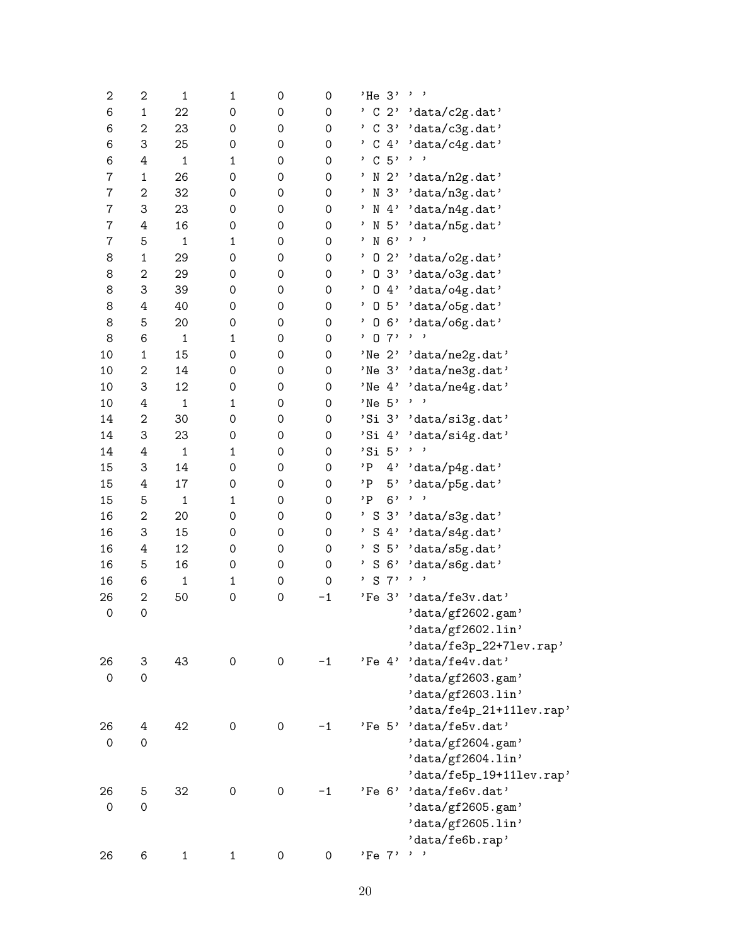| $\boldsymbol{2}$    | 2                   | $\mathbf 1$  | $\mathbf 1$         | 0                   | $\mbox{O}$          | $'He$ 3' ''                |                            |
|---------------------|---------------------|--------------|---------------------|---------------------|---------------------|----------------------------|----------------------------|
| 6                   | $\mathbf 1$         | 22           | 0                   | 0                   | 0                   | C <sub>2</sub>             | $' {\tt data/c2g.dat'}$    |
| 6                   | 2                   | 23           | 0                   | 0                   | 0                   | $^{\prime}$ C 3'           | 'data/c3g.dat'             |
| 6                   | 3                   | 25           | 0                   | 0                   | $\mbox{O}$          |                            | $'$ C 4' 'data/c4g.dat'    |
| 6                   | 4                   | $\mathbf 1$  | 1                   | 0                   | $\mbox{O}$          | , C.5,                     |                            |
| $\bf 7$             | $\mathbf 1$         | 26           | 0                   | 0                   | 0                   | $\mathbf{r}$               | N 2' 'data/n2g.dat'        |
| 7                   | 2                   | 32           | $\mathsf{O}\xspace$ | 0                   | $\mbox{O}$          | ' N<br>3'                  | 'data/n3g.dat'             |
| $\overline{7}$      | 3                   | 23           | 0                   | 0                   | $\mbox{O}$          |                            | $'$ N 4' 'data/n4g.dat'    |
| 7                   | 4                   | 16           | 0                   | 0                   | 0                   | $\mathbf{z}$               | N 5' 'data/n5g.dat'        |
| $\overline{7}$      | 5                   | $\mathbf 1$  | 1                   | 0                   | 0                   | $'$ N 6'                   | ,                          |
| 8                   | $\mathbf 1$         | 29           | $\mathsf{O}\xspace$ | 0                   | 0                   |                            | $'$ 0 2' 'data/o2g.dat'    |
| 8                   | $\mathbf 2$         | 29           | 0                   | 0                   | $\mbox{O}$          | $^{\prime}$ 0              | $3'$ 'data/o3g.dat'        |
| 8                   | 3                   | 39           | 0                   | 0                   | $\mbox{O}$          |                            | $, 0 4$ , 'data/o4g.dat'   |
| 8                   | 4                   | 40           | 0                   | 0                   | 0                   | , 0 5,                     | $'$ data/o $5g$ .dat'      |
| 8                   | 5                   | 20           | $\mathsf{O}\xspace$ | 0                   | $\mbox{O}$          |                            | $'$ 0 6' 'data/o6g.dat'    |
| 8                   | 6                   | $\mathbf 1$  | $\mathbf{1}$        | 0                   | $\mbox{O}$          | 07'                        | $, \, \, \cdot$            |
| 10                  | $\mathbf 1$         | 15           | 0                   | 0                   | 0                   |                            | 'Ne 2' 'data/ne2g.dat'     |
| 10                  | 2                   | 14           | 0                   | 0                   | 0                   | 'Ne <sub>3'</sub>          | 'data/ne3g.dat'            |
| 10                  | 3                   | 12           | 0                   | 0                   | $\mbox{O}$          |                            | 'Ne 4' 'data/ne4g.dat'     |
| $10\,$              | 4                   | $\mathbf{1}$ | $\mathbf{1}$        | 0                   | $\mathsf{O}\xspace$ | 'Ne <sub>5'</sub>          | $, \, \, \cdot$            |
| 14                  | 2                   | 30           | 0                   | 0                   | $\mathsf{O}\xspace$ |                            | 'Si 3' 'data/si3g.dat'     |
| 14                  | 3                   | 23           | 0                   | 0                   | 0                   | 'Si 4'                     | 'data/si4g.dat'            |
| 14                  | 4                   | $\mathbf 1$  | $\mathbf{1}$        | 0                   | $\mbox{O}$          | 'Si $5'$                   | $, \, \, \cdot$            |
| 15                  | 3                   | 14           | 0                   | 0                   | 0                   | 'P                         | $4'$ 'data/p4g.dat'        |
| 15                  | 4                   | 17           | 0                   | 0                   | 0                   | 'P<br>5'                   | 'data/p5g.dat'             |
| 15                  | 5                   | $\mathbf 1$  | $\mathbf{1}$        | 0                   | 0                   | 6,<br>$^{\prime}$ P        | $, \, \, \,$               |
| 16                  | $\mathbf 2$         | 20           | 0                   | 0                   | $\mbox{O}$          |                            | ' S 3' 'data/s3g.dat'      |
| 16                  | 3                   | 15           | 0                   | 0                   | $\mathsf{O}\xspace$ |                            | $'$ S 4' 'data/s4g.dat'    |
| 16                  | 4                   | 12           | 0                   | 0                   | $\mathsf{O}\xspace$ | $'$ S 5'                   | 'data/s5g.dat'             |
| 16                  | 5                   | 16           | 0                   | 0                   | $\mathsf{O}\xspace$ | $'$ S 6'                   | 'data/s6g.dat'             |
| 16                  | 6                   | $\mathbf{1}$ | $\mathbf{1}$        | 0                   | $\mathsf{O}\xspace$ | $\, \mathrm{s}$<br>7'<br>, | $, \, \, \cdot$            |
| 26                  | $\mathbf 2$         | 50           | 0                   | 0                   | $-1$                | $'Fe$ 3'                   | 'data/fe3v.dat'            |
| $\mathsf{O}\xspace$ | $\mathsf{O}\xspace$ |              |                     |                     |                     |                            | 'data/gf2602.gam'          |
|                     |                     |              |                     |                     |                     |                            | 'data/gf2602.lin'          |
|                     |                     |              |                     |                     |                     |                            | 'data/fe3p_22+71ev.rap'    |
| 26                  | 3                   | 43           | $\mathsf{O}\xspace$ | $\mathsf{O}\xspace$ | $-1$                | $'Fe$ 4'                   | 'data/fe4v.dat'            |
| $\mathsf{O}\xspace$ | $\mathbf 0$         |              |                     |                     |                     |                            | 'data/gf2603.gam'          |
|                     |                     |              |                     |                     |                     |                            | 'data/gf2603.lin'          |
|                     |                     |              |                     |                     |                     |                            | $'data/fe4p_21+111ev rap'$ |
| 26                  | 4                   | 42           | $\mathsf{O}\xspace$ | 0                   | $-1$                | 'Fe 5'                     | 'data/fe5v.dat'            |
| 0                   | $\mathsf{O}\xspace$ |              |                     |                     |                     |                            | 'data/gf2604.gam'          |
|                     |                     |              |                     |                     |                     |                            | 'data/gf2604.lin'          |
|                     |                     |              |                     |                     |                     |                            | 'data/fe5p_19+111ev.rap'   |
| 26                  | 5                   | 32           | 0                   | 0                   | $-1$                | 'Fe <sub>6'</sub>          | 'data/fe6v.dat'            |
| 0                   | $\mathsf{O}\xspace$ |              |                     |                     |                     |                            | 'data/gf2605.gam'          |
|                     |                     |              |                     |                     |                     |                            | 'data/gf2605.lin'          |
|                     |                     |              |                     |                     |                     |                            | 'data/fe6b.rap'            |
| 26                  | 6                   | $\mathbf{1}$ | $\mathbf{1}$        | 0                   | $\mathsf{O}\xspace$ | $'Fe$ $7'$                 | $, \, , \,$                |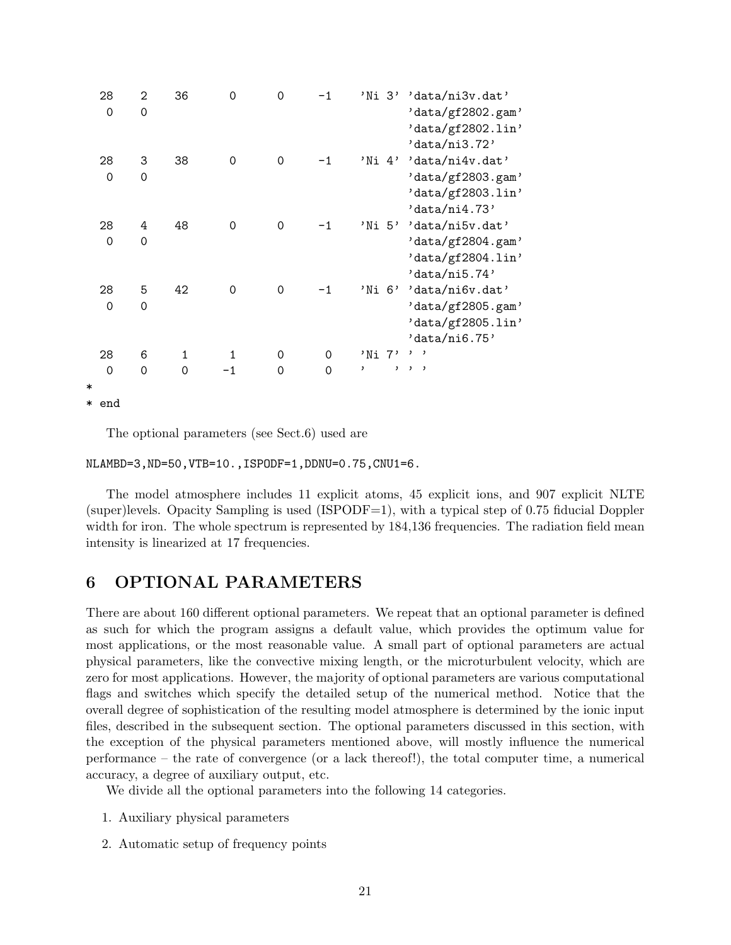|        | 28    | 2        | 36           | 0           | 0           | $-1$     | 'Ni 3' | 'data/ni3v.dat'        |
|--------|-------|----------|--------------|-------------|-------------|----------|--------|------------------------|
|        | 0     | 0        |              |             |             |          |        | 'data/gf2802.gam'      |
|        |       |          |              |             |             |          |        | 'data/gf2802.lin'      |
|        |       |          |              |             |             |          |        | 'data/ni3.72'          |
|        | 28    | 3        | 38           | $\mathbf 0$ | $\Omega$    | $-1$     |        | 'Ni 4' 'data/ni4v.dat' |
|        | 0     | $\Omega$ |              |             |             |          |        | 'data/gf2803.gam'      |
|        |       |          |              |             |             |          |        | 'data/gf2803.lin'      |
|        |       |          |              |             |             |          |        | 'data/ni4.73'          |
|        | 28    | 4        | 48           | 0           | $\mathbf 0$ | -1       | 'Ni 5' | 'data/ni5v.dat'        |
|        | 0     | 0        |              |             |             |          |        | 'data/gf2804.gam'      |
|        |       |          |              |             |             |          |        | 'data/gf2804.lin'      |
|        |       |          |              |             |             |          |        | 'data/ni5.74'          |
|        | 28    | 5        | 42           | $\mathbf 0$ | $\Omega$    | $-1$     |        | 'Ni 6' 'data/ni6v.dat' |
|        | 0     | 0        |              |             |             |          |        | 'data/gf2805.gam'      |
|        |       |          |              |             |             |          |        | 'data/gf2805.lin'      |
|        |       |          |              |             |             |          |        | 'data/ni6.75'          |
|        | 28    | 6        | $\mathbf{1}$ | 1           | 0           | $\Omega$ | 'Ni 7' | $, \, \, \cdot$        |
|        | 0     | $\Omega$ | $\Omega$     | $-1$        | $\Omega$    | $\Omega$ | ,      | $\mathbf{z}$<br>, ,    |
| $\ast$ |       |          |              |             |             |          |        |                        |
|        | * end |          |              |             |             |          |        |                        |

The optional parameters (see Sect.6) used are

```
NLAMBD=3,ND=50,VTB=10.,ISPODF=1,DDNU=0.75,CNU1=6.
```
The model atmosphere includes 11 explicit atoms, 45 explicit ions, and 907 explicit NLTE (super)levels. Opacity Sampling is used (ISPODF=1), with a typical step of 0.75 fiducial Doppler width for iron. The whole spectrum is represented by  $184,136$  frequencies. The radiation field mean intensity is linearized at 17 frequencies.

# 6 OPTIONAL PARAMETERS

There are about 160 different optional parameters. We repeat that an optional parameter is defined as such for which the program assigns a default value, which provides the optimum value for most applications, or the most reasonable value. A small part of optional parameters are actual physical parameters, like the convective mixing length, or the microturbulent velocity, which are zero for most applications. However, the majority of optional parameters are various computational flags and switches which specify the detailed setup of the numerical method. Notice that the overall degree of sophistication of the resulting model atmosphere is determined by the ionic input files, described in the subsequent section. The optional parameters discussed in this section, with the exception of the physical parameters mentioned above, will mostly influence the numerical performance – the rate of convergence (or a lack thereof!), the total computer time, a numerical accuracy, a degree of auxiliary output, etc.

We divide all the optional parameters into the following 14 categories.

- 1. Auxiliary physical parameters
- 2. Automatic setup of frequency points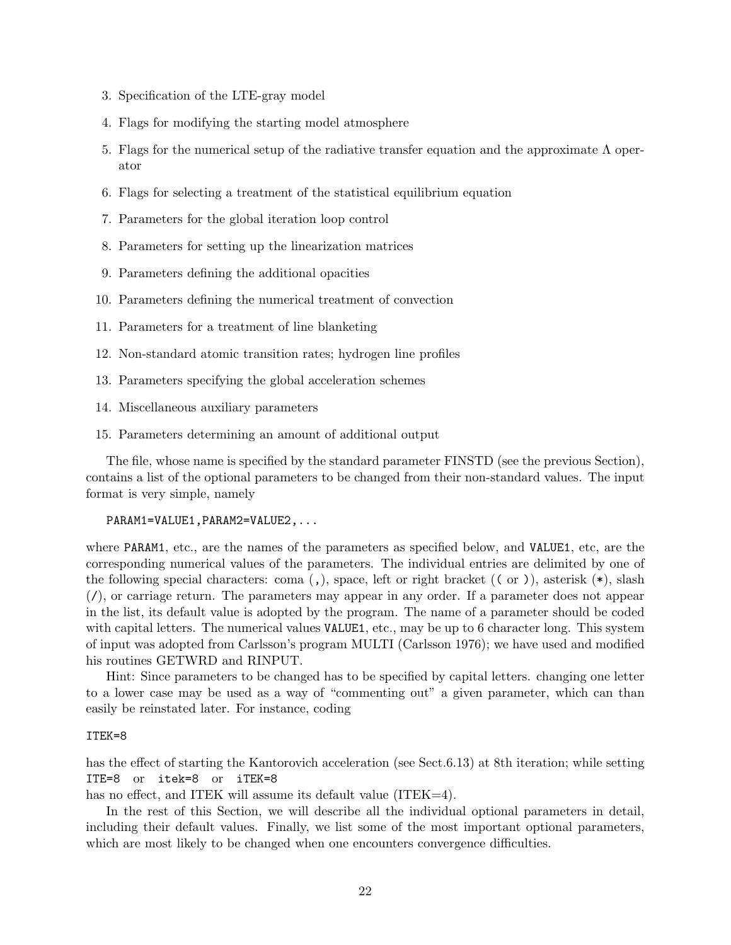- 3. Specification of the LTE-gray model
- 4. Flags for modifying the starting model atmosphere
- 5. Flags for the numerical setup of the radiative transfer equation and the approximate Λ operator
- 6. Flags for selecting a treatment of the statistical equilibrium equation
- 7. Parameters for the global iteration loop control
- 8. Parameters for setting up the linearization matrices
- 9. Parameters defining the additional opacities
- 10. Parameters defining the numerical treatment of convection
- 11. Parameters for a treatment of line blanketing
- 12. Non-standard atomic transition rates; hydrogen line profiles
- 13. Parameters specifying the global acceleration schemes
- 14. Miscellaneous auxiliary parameters
- 15. Parameters determining an amount of additional output

The file, whose name is specified by the standard parameter FINSTD (see the previous Section), contains a list of the optional parameters to be changed from their non-standard values. The input format is very simple, namely

#### PARAM1=VALUE1,PARAM2=VALUE2,...

where PARAM1, etc., are the names of the parameters as specified below, and VALUE1, etc, are the corresponding numerical values of the parameters. The individual entries are delimited by one of the following special characters: coma  $($ , $)$ , space, left or right bracket  $($  ( $)$ ), asterisk  $(*)$ , slash  $($ , or carriage return. The parameters may appear in any order. If a parameter does not appear in the list, its default value is adopted by the program. The name of a parameter should be coded with capital letters. The numerical values VALUE1, etc., may be up to 6 character long. This system of input was adopted from Carlsson's program MULTI (Carlsson 1976); we have used and modified his routines GETWRD and RINPUT.

Hint: Since parameters to be changed has to be specified by capital letters. changing one letter to a lower case may be used as a way of "commenting out" a given parameter, which can than easily be reinstated later. For instance, coding

#### ITEK=8

has the effect of starting the Kantorovich acceleration (see Sect.6.13) at 8th iteration; while setting ITE=8 or itek=8 or iTEK=8

has no effect, and ITEK will assume its default value (ITEK=4).

In the rest of this Section, we will describe all the individual optional parameters in detail, including their default values. Finally, we list some of the most important optional parameters, which are most likely to be changed when one encounters convergence difficulties.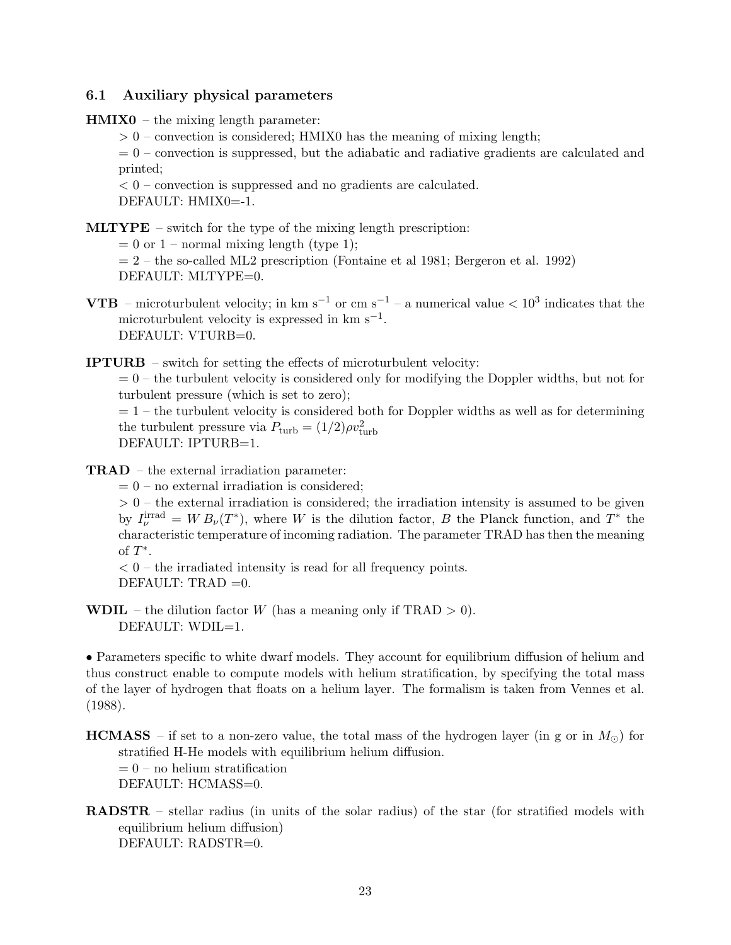### 6.1 Auxiliary physical parameters

- $HMIX0 the mixing length parameter:$ 
	- $> 0$  convection is considered; HMIX0 has the meaning of mixing length;

 $= 0$  – convection is suppressed, but the adiabatic and radiative gradients are calculated and printed;

 $< 0$  – convection is suppressed and no gradients are calculated. DEFAULT: HMIX0=-1.

MLTYPE – switch for the type of the mixing length prescription:

 $= 0$  or  $1$  – normal mixing length (type 1);

 $= 2$  – the so-called ML2 prescription (Fontaine et al 1981; Bergeron et al. 1992) DEFAULT: MLTYPE=0.

**VTB** – microturbulent velocity; in km s<sup>-1</sup> or cm s<sup>-1</sup> – a numerical value  $\lt 10^3$  indicates that the microturbulent velocity is expressed in  $km s^{-1}$ . DEFAULT: VTURB=0.

IPTURB – switch for setting the effects of microturbulent velocity:

 $= 0$  – the turbulent velocity is considered only for modifying the Doppler widths, but not for turbulent pressure (which is set to zero);

 $= 1$  – the turbulent velocity is considered both for Doppler widths as well as for determining the turbulent pressure via  $P_{\text{turb}} = (1/2)\rho v_{\text{turb}}^2$ DEFAULT: IPTURB=1.

TRAD – the external irradiation parameter:

 $= 0$  – no external irradiation is considered;

 $> 0$  – the external irradiation is considered; the irradiation intensity is assumed to be given by  $I_{\nu}^{\text{irrad}} = W B_{\nu}(T^*)$ , where W is the dilution factor, B the Planck function, and  $T^*$  the characteristic temperature of incoming radiation. The parameter TRAD has then the meaning of  $T^*$ .

 $< 0$  – the irradiated intensity is read for all frequency points. DEFAULT: TRAD  $=0$ .

**WDIL** – the dilution factor W (has a meaning only if TRAD  $> 0$ ). DEFAULT: WDIL=1.

• Parameters specific to white dwarf models. They account for equilibrium diffusion of helium and thus construct enable to compute models with helium stratification, by specifying the total mass of the layer of hydrogen that floats on a helium layer. The formalism is taken from Vennes et al. (1988).

**HCMASS** – if set to a non-zero value, the total mass of the hydrogen layer (in g or in  $M_{\odot}$ ) for stratified H-He models with equilibrium helium diffusion.  $= 0$  – no helium stratification DEFAULT: HCMASS=0.

RADSTR – stellar radius (in units of the solar radius) of the star (for stratified models with equilibrium helium diffusion) DEFAULT: RADSTR=0.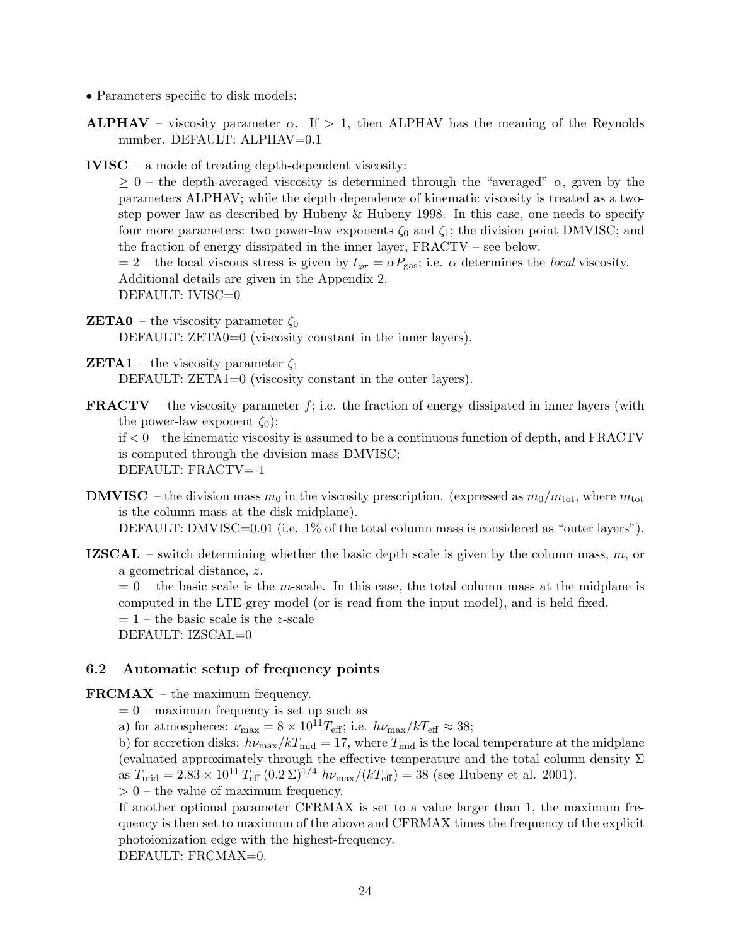- Parameters specific to disk models:
- **ALPHAV** viscosity parameter  $\alpha$ . If  $> 1$ , then ALPHAV has the meaning of the Reynolds number. DEFAULT: ALPHAV=0.1
- IVISC a mode of treating depth-dependent viscosity:

 $\geq 0$  – the depth-averaged viscosity is determined through the "averaged"  $\alpha$ , given by the parameters ALPHAV; while the depth dependence of kinematic viscosity is treated as a twostep power law as described by Hubeny & Hubeny 1998. In this case, one needs to specify four more parameters: two power-law exponents  $\zeta_0$  and  $\zeta_1$ ; the division point DMVISC; and the fraction of energy dissipated in the inner layer, FRACTV – see below.

 $= 2$  – the local viscous stress is given by  $t_{\phi r} = \alpha P_{\text{gas}}$ ; i.e.  $\alpha$  determines the *local* viscosity. Additional details are given in the Appendix 2. DEFAULT: IVISC=0

- **ZETA0** the viscosity parameter  $\zeta_0$ DEFAULT: ZETA0=0 (viscosity constant in the inner layers).
- **ZETA1** the viscosity parameter  $\zeta_1$ DEFAULT: ZETA1=0 (viscosity constant in the outer layers).
- **FRACTV** the viscosity parameter  $f$ ; i.e. the fraction of energy dissipated in inner layers (with the power-law exponent  $\zeta_0$ ;

if < 0 – the kinematic viscosity is assumed to be a continuous function of depth, and FRACTV is computed through the division mass DMVISC; DEFAULT: FRACTV=-1

- **DMVISC** the division mass  $m_0$  in the viscosity prescription. (expressed as  $m_0/m_{\text{tot}}$ , where  $m_{\text{tot}}$ is the column mass at the disk midplane). DEFAULT: DMVISC=0.01 (i.e. 1% of the total column mass is considered as "outer layers").
- **IZSCAL** switch determining whether the basic depth scale is given by the column mass,  $m$ , or a geometrical distance, z.

 $= 0$  – the basic scale is the m-scale. In this case, the total column mass at the midplane is computed in the LTE-grey model (or is read from the input model), and is held fixed.

 $= 1$  – the basic scale is the *z*-scale

DEFAULT: IZSCAL=0

### 6.2 Automatic setup of frequency points

FRCMAX – the maximum frequency.

 $= 0$  – maximum frequency is set up such as

a) for atmospheres:  $\nu_{\text{max}} = 8 \times 10^{11} T_{\text{eff}}$ ; i.e.  $h\nu_{\text{max}}/kT_{\text{eff}} \approx 38$ ;

b) for accretion disks:  $h\nu_{\text{max}}/kT_{\text{mid}} = 17$ , where  $T_{\text{mid}}$  is the local temperature at the midplane (evaluated approximately through the effective temperature and the total column density  $\Sigma$ as  $T_{\text{mid}} = 2.83 \times 10^{11} T_{\text{eff}} (0.2 \,\Sigma)^{1/4} h\nu_{\text{max}}/(kT_{\text{eff}}) = 38$  (see Hubeny et al. 2001).

 $> 0$  – the value of maximum frequency.

If another optional parameter CFRMAX is set to a value larger than 1, the maximum frequency is then set to maximum of the above and CFRMAX times the frequency of the explicit photoionization edge with the highest-frequency.

DEFAULT: FRCMAX=0.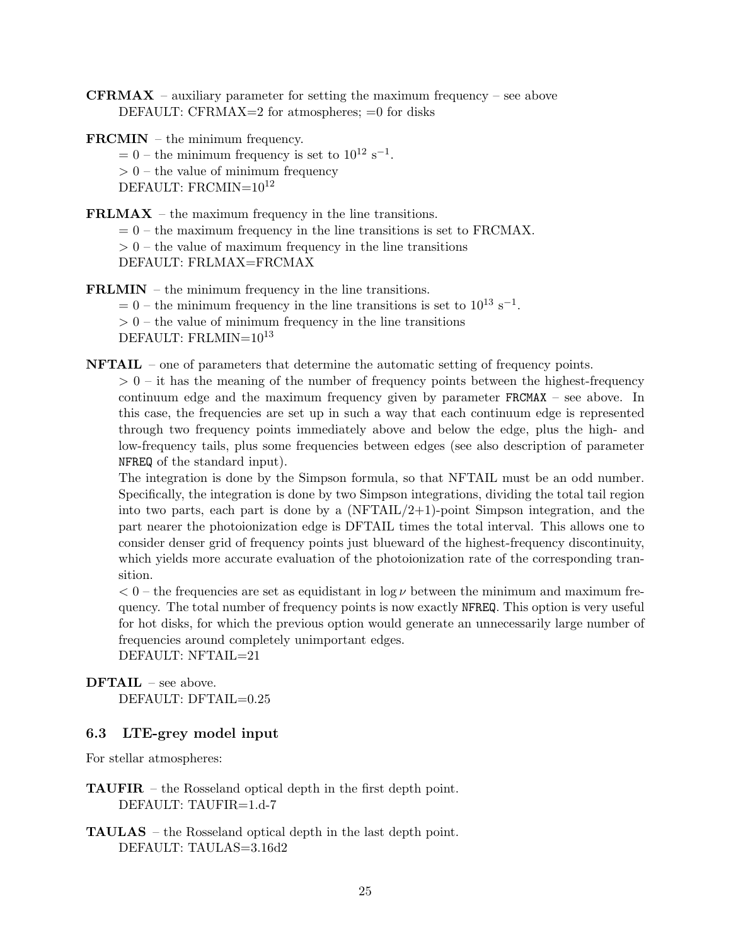**CFRMAX** – auxiliary parameter for setting the maximum frequency – see above DEFAULT: CFRMAX=2 for atmospheres; =0 for disks

FRCMIN – the minimum frequency.

 $= 0$  – the minimum frequency is set to  $10^{12}$  s<sup>-1</sup>.

 $> 0$  – the value of minimum frequency

DEFAULT: FRCMIN= $10^{12}$ 

FRLMAX – the maximum frequency in the line transitions.

 $= 0$  – the maximum frequency in the line transitions is set to FRCMAX.

 $> 0$  – the value of maximum frequency in the line transitions

DEFAULT: FRLMAX=FRCMAX

FRLMIN – the minimum frequency in the line transitions.  $= 0$  – the minimum frequency in the line transitions is set to  $10^{13}$  s<sup>-1</sup>.  $> 0$  – the value of minimum frequency in the line transitions DEFAULT: FRLMIN= $10^{13}$ 

NFTAIL – one of parameters that determine the automatic setting of frequency points.

 $> 0$  – it has the meaning of the number of frequency points between the highest-frequency continuum edge and the maximum frequency given by parameter FRCMAX – see above. In this case, the frequencies are set up in such a way that each continuum edge is represented through two frequency points immediately above and below the edge, plus the high- and low-frequency tails, plus some frequencies between edges (see also description of parameter NFREQ of the standard input).

The integration is done by the Simpson formula, so that NFTAIL must be an odd number. Specifically, the integration is done by two Simpson integrations, dividing the total tail region into two parts, each part is done by a  $(NFTAIL/2+1)$ -point Simpson integration, and the part nearer the photoionization edge is DFTAIL times the total interval. This allows one to consider denser grid of frequency points just blueward of the highest-frequency discontinuity, which yields more accurate evaluation of the photoionization rate of the corresponding transition.

 $< 0$  – the frequencies are set as equidistant in log  $\nu$  between the minimum and maximum frequency. The total number of frequency points is now exactly NFREQ. This option is very useful for hot disks, for which the previous option would generate an unnecessarily large number of frequencies around completely unimportant edges.

DEFAULT: NFTAIL=21

DFTAIL – see above. DEFAULT: DFTAIL=0.25

### 6.3 LTE-grey model input

For stellar atmospheres:

- TAUFIR the Rosseland optical depth in the first depth point. DEFAULT: TAUFIR=1.d-7
- TAULAS the Rosseland optical depth in the last depth point. DEFAULT: TAULAS=3.16d2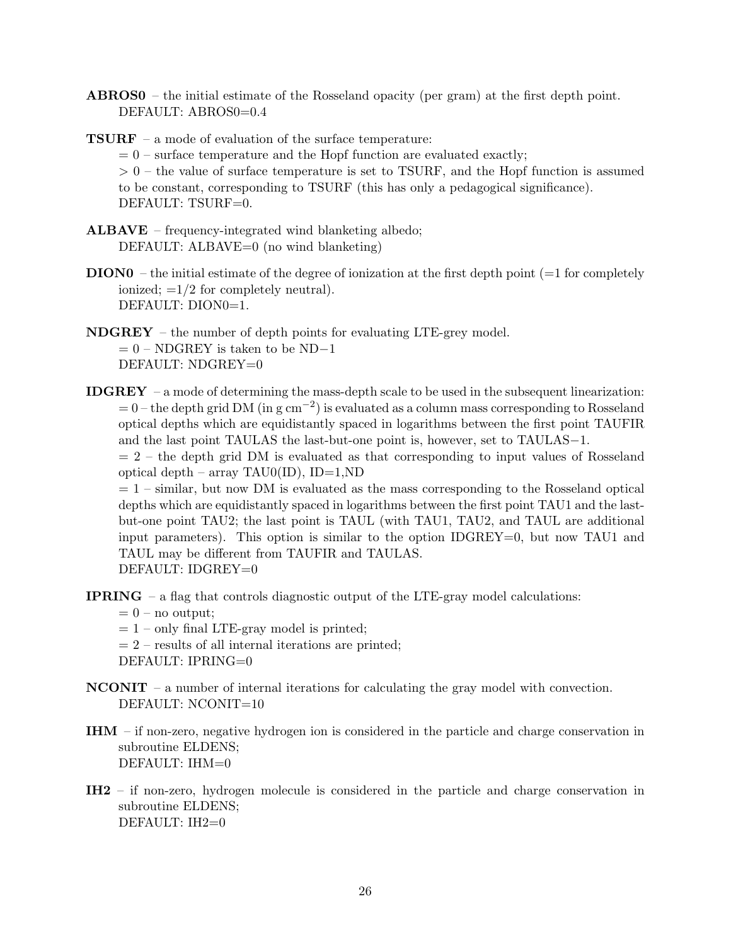- ABROS0 the initial estimate of the Rosseland opacity (per gram) at the first depth point. DEFAULT: ABROS0=0.4
- TSURF a mode of evaluation of the surface temperature:  $= 0$  – surface temperature and the Hopf function are evaluated exactly;  $> 0$  – the value of surface temperature is set to TSURF, and the Hopf function is assumed to be constant, corresponding to TSURF (this has only a pedagogical significance). DEFAULT: TSURF=0.
- ALBAVE frequency-integrated wind blanketing albedo; DEFAULT: ALBAVE=0 (no wind blanketing)
- $DION0 -$  the initial estimate of the degree of ionization at the first depth point ( $=1$  for completely ionized;  $=1/2$  for completely neutral). DEFAULT: DION0=1.
- NDGREY the number of depth points for evaluating LTE-grey model.  $= 0 - NDGREV$  is taken to be ND−1 DEFAULT: NDGREY=0
- IDGREY a mode of determining the mass-depth scale to be used in the subsequent linearization:  $= 0$  – the depth grid DM (in g cm<sup>-2</sup>) is evaluated as a column mass corresponding to Rosseland optical depths which are equidistantly spaced in logarithms between the first point TAUFIR and the last point TAULAS the last-but-one point is, however, set to TAULAS−1.

 $= 2$  – the depth grid DM is evaluated as that corresponding to input values of Rosseland optical depth – array TAU0(ID), ID=1,ND

 $= 1$  – similar, but now DM is evaluated as the mass corresponding to the Rosseland optical depths which are equidistantly spaced in logarithms between the first point TAU1 and the lastbut-one point TAU2; the last point is TAUL (with TAU1, TAU2, and TAUL are additional input parameters). This option is similar to the option IDGREY=0, but now TAU1 and TAUL may be different from TAUFIR and TAULAS. DEFAULT: IDGREY=0

- IPRING a flag that controls diagnostic output of the LTE-gray model calculations:
	- $= 0$  no output;
	- $= 1$  only final LTE-gray model is printed;
	- $= 2$  results of all internal iterations are printed;

DEFAULT: IPRING=0

- $NCOMIT a$  number of internal iterations for calculating the gray model with convection. DEFAULT: NCONIT=10
- IHM if non-zero, negative hydrogen ion is considered in the particle and charge conservation in subroutine ELDENS; DEFAULT: IHM=0
- IH2 if non-zero, hydrogen molecule is considered in the particle and charge conservation in subroutine ELDENS; DEFAULT: IH2=0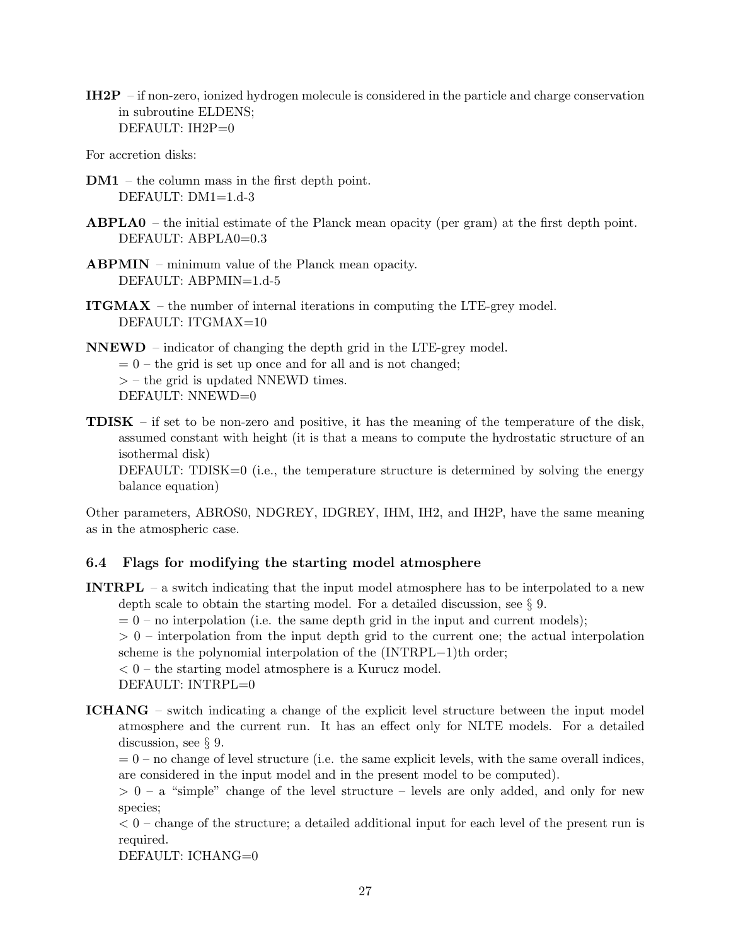IH2P – if non-zero, ionized hydrogen molecule is considered in the particle and charge conservation in subroutine ELDENS; DEFAULT: IH2P=0

For accretion disks:

- DM1 the column mass in the first depth point. DEFAULT: DM1=1.d-3
- ABPLA0 the initial estimate of the Planck mean opacity (per gram) at the first depth point. DEFAULT: ABPLA0=0.3
- ABPMIN minimum value of the Planck mean opacity. DEFAULT: ABPMIN=1.d-5
- ITGMAX the number of internal iterations in computing the LTE-grey model. DEFAULT: ITGMAX=10

NNEWD – indicator of changing the depth grid in the LTE-grey model.  $= 0$  – the grid is set up once and for all and is not changed;  $>$  – the grid is updated NNEWD times. DEFAULT: NNEWD=0

**TDISK** – if set to be non-zero and positive, it has the meaning of the temperature of the disk, assumed constant with height (it is that a means to compute the hydrostatic structure of an isothermal disk)

DEFAULT: TDISK= $0$  (i.e., the temperature structure is determined by solving the energy balance equation)

Other parameters, ABROS0, NDGREY, IDGREY, IHM, IH2, and IH2P, have the same meaning as in the atmospheric case.

### 6.4 Flags for modifying the starting model atmosphere

INTRPL – a switch indicating that the input model atmosphere has to be interpolated to a new depth scale to obtain the starting model. For a detailed discussion, see § 9.  $= 0$  – no interpolation (i.e. the same depth grid in the input and current models);

 $> 0$  – interpolation from the input depth grid to the current one; the actual interpolation scheme is the polynomial interpolation of the (INTRPL−1)th order;

 $< 0$  – the starting model atmosphere is a Kurucz model.

DEFAULT: INTRPL=0

ICHANG – switch indicating a change of the explicit level structure between the input model atmosphere and the current run. It has an effect only for NLTE models. For a detailed discussion, see § 9.

 $= 0$  – no change of level structure (i.e. the same explicit levels, with the same overall indices, are considered in the input model and in the present model to be computed).

 $> 0 - a$  "simple" change of the level structure – levels are only added, and only for new species;

 $< 0$  – change of the structure; a detailed additional input for each level of the present run is required.

DEFAULT: ICHANG=0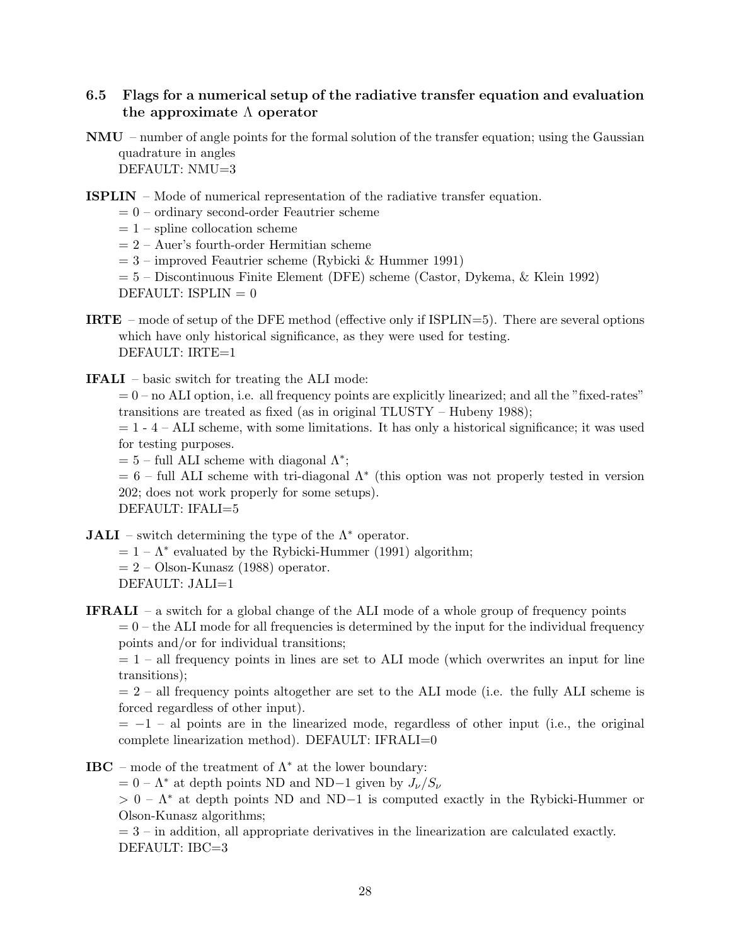### 6.5 Flags for a numerical setup of the radiative transfer equation and evaluation the approximate  $\Lambda$  operator

- NMU number of angle points for the formal solution of the transfer equation; using the Gaussian quadrature in angles DEFAULT: NMU=3
- ISPLIN Mode of numerical representation of the radiative transfer equation.
	- $= 0$  ordinary second-order Feautrier scheme
	- $= 1$  spline collocation scheme
	- $= 2 Auer's fourth-order Hermitian scheme$
	- $= 3$  improved Feautrier scheme (Rybicki & Hummer 1991)
	- = 5 Discontinuous Finite Element (DFE) scheme (Castor, Dykema, & Klein 1992) DEFAULT: ISPLIN  $= 0$
- IRTE mode of setup of the DFE method (effective only if ISPLIN=5). There are several options which have only historical significance, as they were used for testing. DEFAULT: IRTE=1
- IFALI basic switch for treating the ALI mode:

 $= 0$  – no ALI option, i.e. all frequency points are explicitly linearized; and all the "fixed-rates" transitions are treated as fixed (as in original TLUSTY – Hubeny 1988);

 $= 1 - 4 - ALI$  scheme, with some limitations. It has only a historical significance; it was used for testing purposes.

 $= 5$  – full ALI scheme with diagonal  $\Lambda^*$ ;

 $= 6$  – full ALI scheme with tri-diagonal  $\Lambda^*$  (this option was not properly tested in version 202; does not work properly for some setups).

DEFAULT: IFALI=5

**JALI** – switch determining the type of the  $\Lambda^*$  operator.

- $= 1 \Lambda^*$  evaluated by the Rybicki-Hummer (1991) algorithm;
- $= 2 -$ Olson-Kunasz (1988) operator.
- DEFAULT: JALI=1
- **IFRALI** a switch for a global change of the ALI mode of a whole group of frequency points

 $= 0$  – the ALI mode for all frequencies is determined by the input for the individual frequency points and/or for individual transitions;

 $= 1$  – all frequency points in lines are set to ALI mode (which overwrites an input for line transitions);

 $= 2$  – all frequency points altogether are set to the ALI mode (i.e. the fully ALI scheme is forced regardless of other input).

 $= -1$  – al points are in the linearized mode, regardless of other input (i.e., the original complete linearization method). DEFAULT: IFRALI=0

**IBC** – mode of the treatment of  $\Lambda^*$  at the lower boundary:

 $= 0 - \Lambda^*$  at depth points ND and ND−1 given by  $J_{\nu}/S_{\nu}$ 

 $> 0 - \Lambda^*$  at depth points ND and ND-1 is computed exactly in the Rybicki-Hummer or Olson-Kunasz algorithms;

 $= 3$  – in addition, all appropriate derivatives in the linearization are calculated exactly. DEFAULT: IBC=3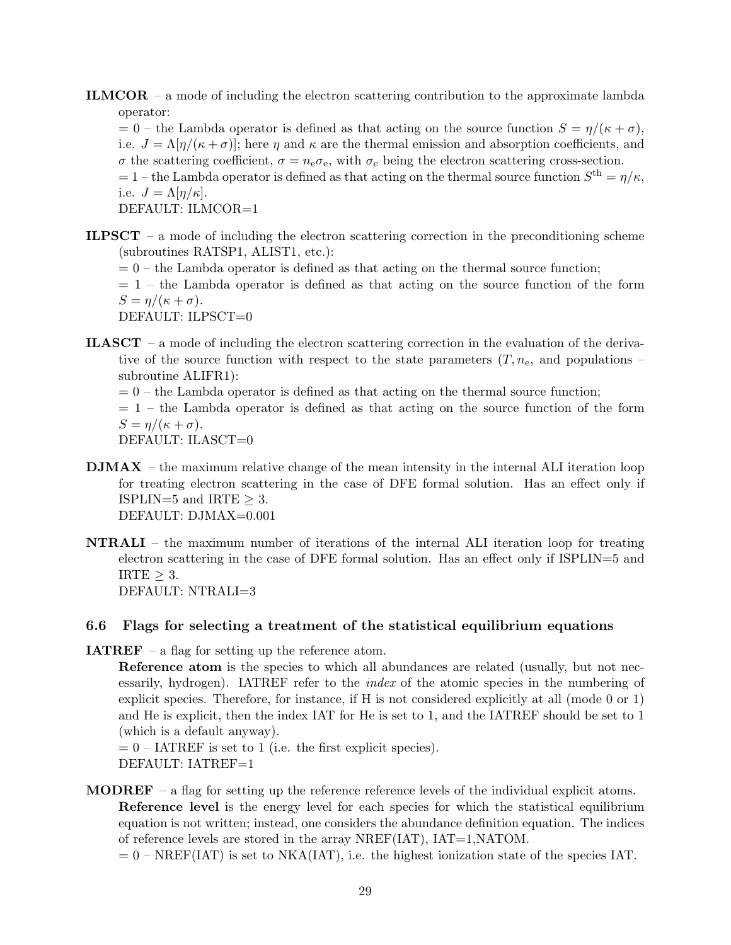ILMCOR – a mode of including the electron scattering contribution to the approximate lambda operator:

 $= 0$  – the Lambda operator is defined as that acting on the source function  $S = \eta/(\kappa + \sigma)$ , i.e.  $J = \Lambda[\eta/(\kappa + \sigma)]$ ; here  $\eta$  and  $\kappa$  are the thermal emission and absorption coefficients, and σ the scattering coefficient,  $σ = n_e σ_e$ , with  $σ_e$  being the electron scattering cross-section.  $= 1$  – the Lambda operator is defined as that acting on the thermal source function  $S<sup>th</sup> = \eta/\kappa$ , i.e.  $J = \Lambda[\eta/\kappa]$ .

DEFAULT: ILMCOR=1

- **ILPSCT** a mode of including the electron scattering correction in the preconditioning scheme (subroutines RATSP1, ALIST1, etc.):
	- $= 0$  the Lambda operator is defined as that acting on the thermal source function;
	- $= 1$  the Lambda operator is defined as that acting on the source function of the form  $S = \eta/(\kappa + \sigma).$

DEFAULT: ILPSCT=0

- ILASCT a mode of including the electron scattering correction in the evaluation of the derivative of the source function with respect to the state parameters  $(T, n_e)$ , and populations – subroutine ALIFR1):
	- $= 0$  the Lambda operator is defined as that acting on the thermal source function;

 $= 1$  – the Lambda operator is defined as that acting on the source function of the form  $S = \eta/(\kappa + \sigma).$ 

DEFAULT: ILASCT=0

- $\textbf{DMAX}$  the maximum relative change of the mean intensity in the internal ALI iteration loop for treating electron scattering in the case of DFE formal solution. Has an effect only if ISPLIN=5 and IRTE  $>$  3. DEFAULT: DJMAX=0.001
- NTRALI the maximum number of iterations of the internal ALI iteration loop for treating electron scattering in the case of DFE formal solution. Has an effect only if ISPLIN=5 and  $IRTE > 3$ . DEFAULT: NTRALI=3

#### 6.6 Flags for selecting a treatment of the statistical equilibrium equations

- **IATREF** a flag for setting up the reference atom.
	- Reference atom is the species to which all abundances are related (usually, but not necessarily, hydrogen). IATREF refer to the *index* of the atomic species in the numbering of explicit species. Therefore, for instance, if H is not considered explicitly at all (mode 0 or 1) and He is explicit, then the index IAT for He is set to 1, and the IATREF should be set to 1 (which is a default anyway).

 $= 0$  – IATREF is set to 1 (i.e. the first explicit species). DEFAULT: IATREF=1

**MODREF** – a flag for setting up the reference reference levels of the individual explicit atoms. Reference level is the energy level for each species for which the statistical equilibrium equation is not written; instead, one considers the abundance definition equation. The indices of reference levels are stored in the array NREF(IAT), IAT=1,NATOM.

 $= 0$  – NREF(IAT) is set to NKA(IAT), i.e. the highest ionization state of the species IAT.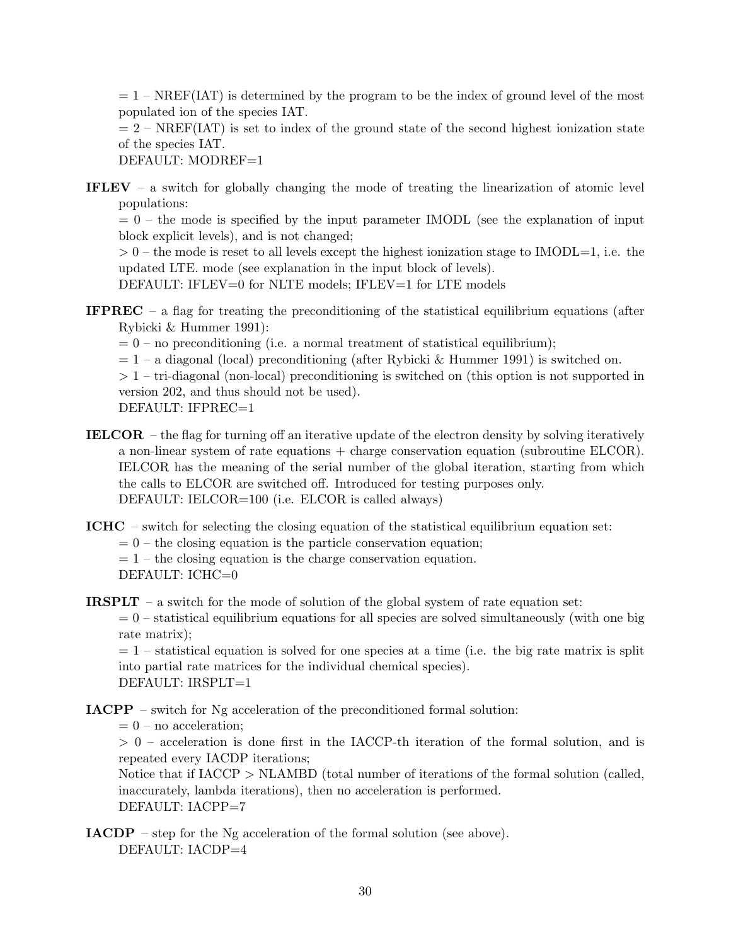$= 1$  – NREF(IAT) is determined by the program to be the index of ground level of the most populated ion of the species IAT.

 $= 2$  – NREF(IAT) is set to index of the ground state of the second highest ionization state of the species IAT.

DEFAULT: MODREF=1

IFLEV – a switch for globally changing the mode of treating the linearization of atomic level populations:

 $= 0$  – the mode is specified by the input parameter IMODL (see the explanation of input block explicit levels), and is not changed;

 $> 0$  – the mode is reset to all levels except the highest ionization stage to IMODL=1, i.e. the updated LTE. mode (see explanation in the input block of levels).

DEFAULT: IFLEV=0 for NLTE models; IFLEV=1 for LTE models

**IFPREC** – a flag for treating the preconditioning of the statistical equilibrium equations (after Rybicki & Hummer 1991):

 $= 0$  – no preconditioning (i.e. a normal treatment of statistical equilibrium);

 $= 1 - a$  diagonal (local) preconditioning (after Rybicki & Hummer 1991) is switched on.

 $> 1$  – tri-diagonal (non-local) preconditioning is switched on (this option is not supported in version 202, and thus should not be used).

DEFAULT: IFPREC=1

IELCOR – the flag for turning off an iterative update of the electron density by solving iteratively a non-linear system of rate equations + charge conservation equation (subroutine ELCOR). IELCOR has the meaning of the serial number of the global iteration, starting from which the calls to ELCOR are switched off. Introduced for testing purposes only. DEFAULT: IELCOR=100 (i.e. ELCOR is called always)

ICHC – switch for selecting the closing equation of the statistical equilibrium equation set:

 $= 0$  – the closing equation is the particle conservation equation;

 $= 1$  – the closing equation is the charge conservation equation.

DEFAULT: ICHC=0

**IRSPLT** – a switch for the mode of solution of the global system of rate equation set:

 $= 0$  – statistical equilibrium equations for all species are solved simultaneously (with one big rate matrix);

 $= 1$  – statistical equation is solved for one species at a time (i.e. the big rate matrix is split into partial rate matrices for the individual chemical species). DEFAULT: IRSPLT=1

IACPP – switch for Ng acceleration of the preconditioned formal solution:

 $= 0$  – no acceleration:

 $> 0$  – acceleration is done first in the IACCP-th iteration of the formal solution, and is repeated every IACDP iterations;

Notice that if IACCP > NLAMBD (total number of iterations of the formal solution (called, inaccurately, lambda iterations), then no acceleration is performed. DEFAULT: IACPP=7

IACDP – step for the Ng acceleration of the formal solution (see above). DEFAULT: IACDP=4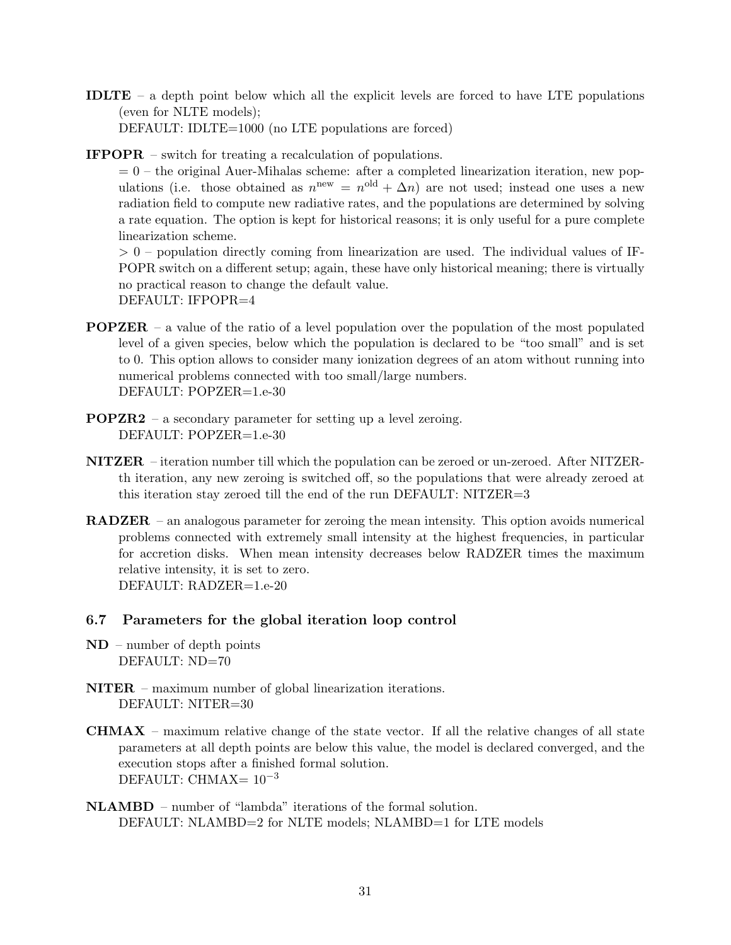- IDLTE a depth point below which all the explicit levels are forced to have LTE populations (even for NLTE models); DEFAULT: IDLTE=1000 (no LTE populations are forced)
- IFPOPR switch for treating a recalculation of populations.

 $= 0$  – the original Auer-Mihalas scheme: after a completed linearization iteration, new populations (i.e. those obtained as  $n^{\text{new}} = n^{\text{old}} + \Delta n$ ) are not used; instead one uses a new radiation field to compute new radiative rates, and the populations are determined by solving a rate equation. The option is kept for historical reasons; it is only useful for a pure complete linearization scheme.

 $> 0$  – population directly coming from linearization are used. The individual values of IF-POPR switch on a different setup; again, these have only historical meaning; there is virtually no practical reason to change the default value. DEFAULT: IFPOPR=4

- POPZER a value of the ratio of a level population over the population of the most populated level of a given species, below which the population is declared to be "too small" and is set to 0. This option allows to consider many ionization degrees of an atom without running into numerical problems connected with too small/large numbers. DEFAULT: POPZER=1.e-30
- POPZR2 a secondary parameter for setting up a level zeroing. DEFAULT: POPZER=1.e-30
- NITZER iteration number till which the population can be zeroed or un-zeroed. After NITZERth iteration, any new zeroing is switched off, so the populations that were already zeroed at this iteration stay zeroed till the end of the run DEFAULT: NITZER=3
- RADZER an analogous parameter for zeroing the mean intensity. This option avoids numerical problems connected with extremely small intensity at the highest frequencies, in particular for accretion disks. When mean intensity decreases below RADZER times the maximum relative intensity, it is set to zero. DEFAULT: RADZER=1.e-20
- 6.7 Parameters for the global iteration loop control
- $ND$  number of depth points DEFAULT: ND=70
- NITER maximum number of global linearization iterations. DEFAULT: NITER=30
- **CHMAX** maximum relative change of the state vector. If all the relative changes of all state parameters at all depth points are below this value, the model is declared converged, and the execution stops after a finished formal solution. DEFAULT: CHMAX=  $10^{-3}$
- NLAMBD number of "lambda" iterations of the formal solution. DEFAULT: NLAMBD=2 for NLTE models; NLAMBD=1 for LTE models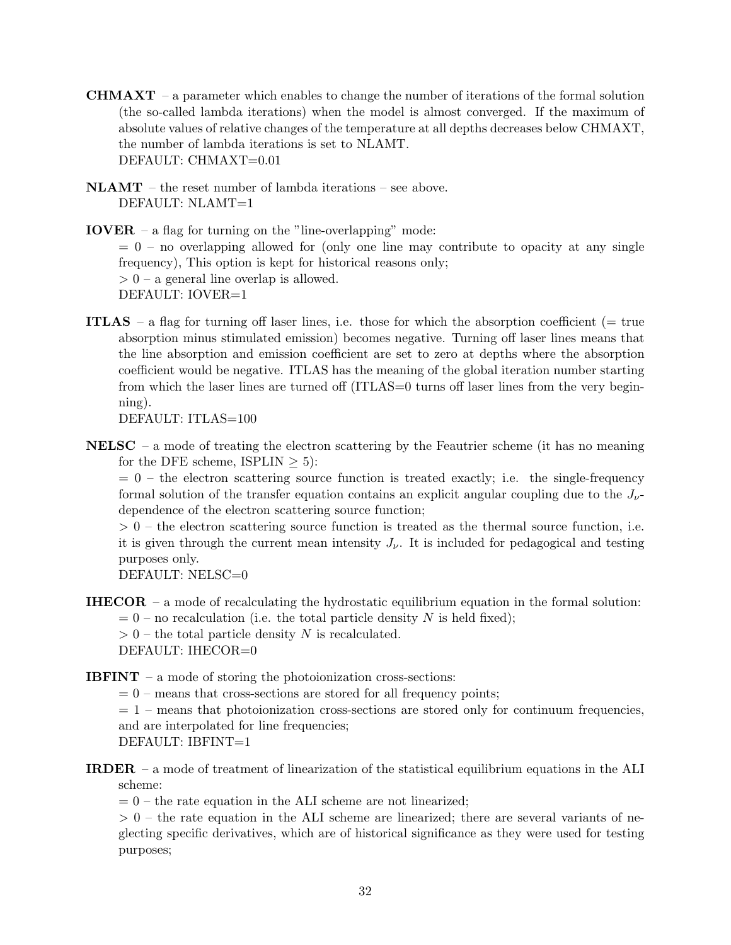- **CHMAXT** a parameter which enables to change the number of iterations of the formal solution (the so-called lambda iterations) when the model is almost converged. If the maximum of absolute values of relative changes of the temperature at all depths decreases below CHMAXT, the number of lambda iterations is set to NLAMT. DEFAULT: CHMAXT=0.01
- NLAMT the reset number of lambda iterations see above. DEFAULT: NLAMT=1

**IOVER** – a flag for turning on the "line-overlapping" mode:  $= 0$  – no overlapping allowed for (only one line may contribute to opacity at any single frequency), This option is kept for historical reasons only;  $> 0$  – a general line overlap is allowed. DEFAULT: IOVER=1

ITLAS – a flag for turning off laser lines, i.e. those for which the absorption coefficient (= true absorption minus stimulated emission) becomes negative. Turning off laser lines means that the line absorption and emission coefficient are set to zero at depths where the absorption coefficient would be negative. ITLAS has the meaning of the global iteration number starting from which the laser lines are turned off (ITLAS=0 turns off laser lines from the very beginning).

DEFAULT: ITLAS=100

**NELSC** – a mode of treating the electron scattering by the Feautrier scheme (it has no meaning for the DFE scheme, ISPLIN  $> 5$ :

 $= 0$  – the electron scattering source function is treated exactly; i.e. the single-frequency formal solution of the transfer equation contains an explicit angular coupling due to the  $J_{\nu}$ dependence of the electron scattering source function;

 $> 0$  – the electron scattering source function is treated as the thermal source function, i.e. it is given through the current mean intensity  $J_{\nu}$ . It is included for pedagogical and testing purposes only.

DEFAULT: NELSC=0

**IHECOR** – a mode of recalculating the hydrostatic equilibrium equation in the formal solution:  $= 0$  – no recalculation (i.e. the total particle density N is held fixed);

 $> 0$  – the total particle density N is recalculated.

DEFAULT: IHECOR=0

- **IBFINT** a mode of storing the photoionization cross-sections:
	- $= 0$  means that cross-sections are stored for all frequency points;

 $= 1$  – means that photoionization cross-sections are stored only for continuum frequencies, and are interpolated for line frequencies; DEFAULT: IBFINT=1

- 
- IRDER a mode of treatment of linearization of the statistical equilibrium equations in the ALI scheme:

 $= 0$  – the rate equation in the ALI scheme are not linearized;

 $> 0$  – the rate equation in the ALI scheme are linearized; there are several variants of neglecting specific derivatives, which are of historical significance as they were used for testing purposes;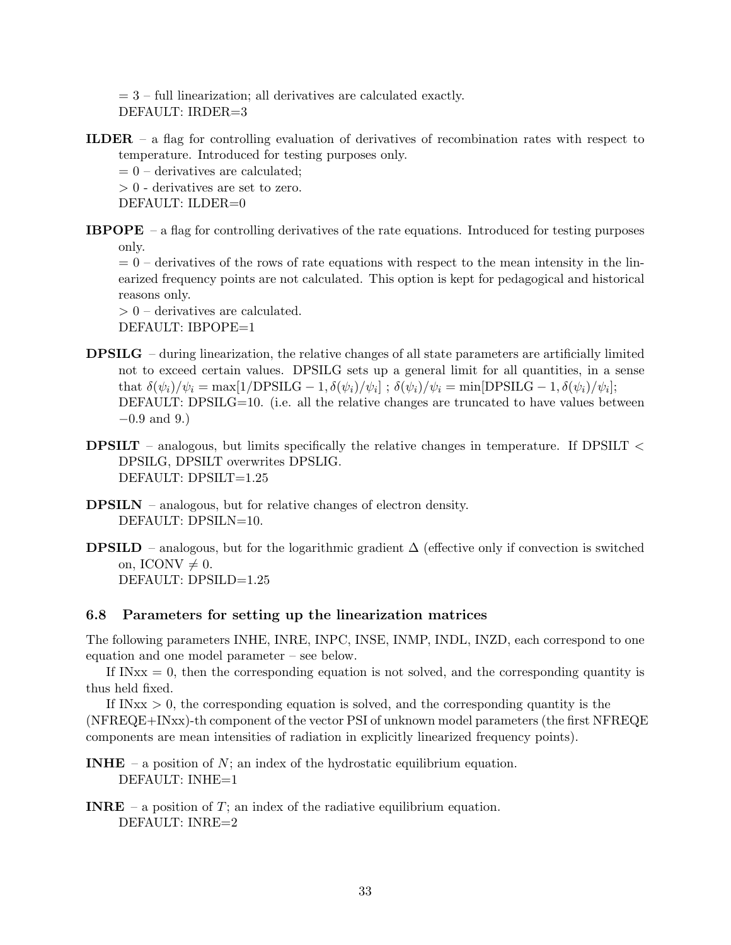$= 3$  – full linearization; all derivatives are calculated exactly. DEFAULT: IRDER=3

ILDER – a flag for controlling evaluation of derivatives of recombination rates with respect to temperature. Introduced for testing purposes only.

 $= 0$  – derivatives are calculated;

> 0 - derivatives are set to zero.

DEFAULT: ILDER=0

**IBPOPE** – a flag for controlling derivatives of the rate equations. Introduced for testing purposes only.

 $= 0$  – derivatives of the rows of rate equations with respect to the mean intensity in the linearized frequency points are not calculated. This option is kept for pedagogical and historical reasons only.

> 0 – derivatives are calculated. DEFAULT: IBPOPE=1

- DPSILG during linearization, the relative changes of all state parameters are artificially limited not to exceed certain values. DPSILG sets up a general limit for all quantities, in a sense that  $\delta(\psi_i)/\psi_i = \max[1/\text{DPSILG} - 1, \delta(\psi_i)/\psi_i]; \ \delta(\psi_i)/\psi_i = \min[\text{DPSILG} - 1, \delta(\psi_i)/\psi_i];$ DEFAULT: DPSILG=10. (i.e. all the relative changes are truncated to have values between  $-0.9$  and 9.)
- **DPSILT** analogous, but limits specifically the relative changes in temperature. If DPSILT  $\lt$ DPSILG, DPSILT overwrites DPSLIG. DEFAULT: DPSILT=1.25
- DPSILN analogous, but for relative changes of electron density. DEFAULT: DPSILN=10.
- **DPSILD** analogous, but for the logarithmic gradient  $\Delta$  (effective only if convection is switched on, ICONV  $\neq$  0. DEFAULT: DPSILD=1.25

### 6.8 Parameters for setting up the linearization matrices

The following parameters INHE, INRE, INPC, INSE, INMP, INDL, INZD, each correspond to one equation and one model parameter – see below.

If  $INxx = 0$ , then the corresponding equation is not solved, and the corresponding quantity is thus held fixed.

If IN $xx > 0$ , the corresponding equation is solved, and the corresponding quantity is the (NFREQE+INxx)-th component of the vector PSI of unknown model parameters (the first NFREQE components are mean intensities of radiation in explicitly linearized frequency points).

**INHE** – a position of N; an index of the hydrostatic equilibrium equation. DEFAULT: INHE=1

**INRE** – a position of  $T$ ; an index of the radiative equilibrium equation. DEFAULT: INRE=2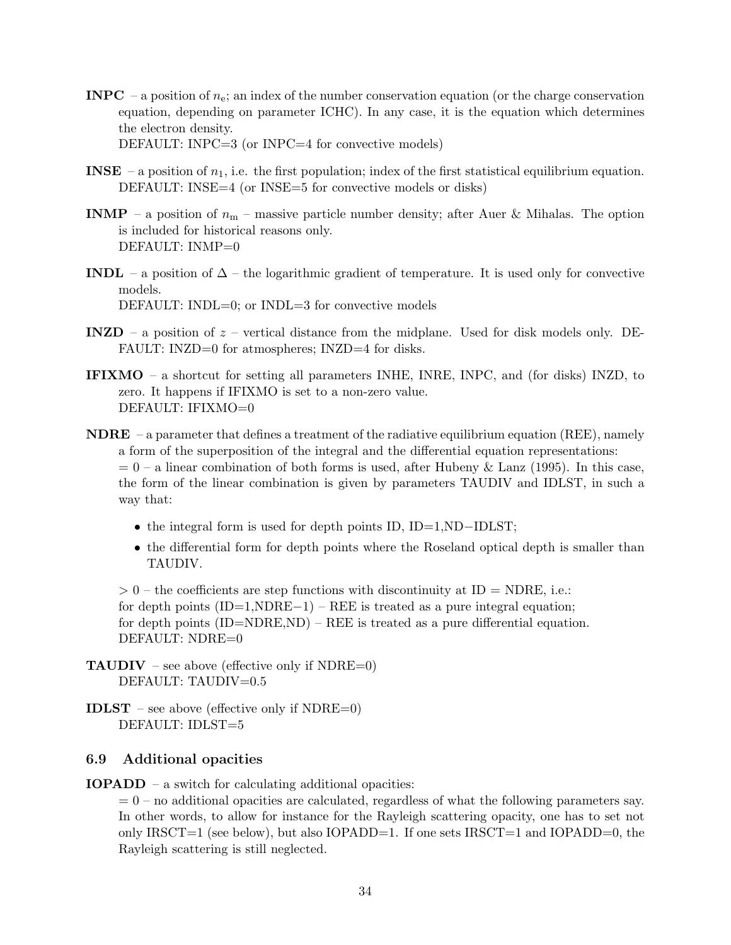- **INPC** a position of  $n_e$ ; an index of the number conservation equation (or the charge conservation equation, depending on parameter ICHC). In any case, it is the equation which determines the electron density. DEFAULT: INPC=3 (or INPC=4 for convective models)
- **INSE** a position of  $n_1$ , i.e. the first population; index of the first statistical equilibrium equation. DEFAULT: INSE=4 (or INSE=5 for convective models or disks)
- **INMP** a position of  $n_m$  massive particle number density; after Auer & Mihalas. The option is included for historical reasons only. DEFAULT: INMP=0
- **INDL** a position of  $\Delta$  the logarithmic gradient of temperature. It is used only for convective models. DEFAULT: INDL $=0$ ; or INDL $=3$  for convective models
- INZD a position of  $z$  vertical distance from the midplane. Used for disk models only. DE-FAULT: INZD=0 for atmospheres; INZD=4 for disks.
- IFIXMO a shortcut for setting all parameters INHE, INRE, INPC, and (for disks) INZD, to zero. It happens if IFIXMO is set to a non-zero value. DEFAULT: IFIXMO=0
- **NDRE** a parameter that defines a treatment of the radiative equilibrium equation (REE), namely a form of the superposition of the integral and the differential equation representations:  $= 0$  – a linear combination of both forms is used, after Hubeny & Lanz (1995). In this case, the form of the linear combination is given by parameters TAUDIV and IDLST, in such a way that:
	- the integral form is used for depth points ID, ID=1,ND-IDLST;
	- the differential form for depth points where the Roseland optical depth is smaller than TAUDIV.

 $> 0$  – the coefficients are step functions with discontinuity at ID = NDRE, i.e.: for depth points  $(ID=1, NDRE-1) - REE$  is treated as a pure integral equation; for depth points  $(ID=NNRE,ND)$  – REE is treated as a pure differential equation. DEFAULT: NDRE=0

**TAUDIV** – see above (effective only if NDRE=0) DEFAULT: TAUDIV=0.5

**IDLST** – see above (effective only if  $NDRE=0$ ) DEFAULT: IDLST=5

### 6.9 Additional opacities

IOPADD – a switch for calculating additional opacities:

 $= 0$  – no additional opacities are calculated, regardless of what the following parameters say. In other words, to allow for instance for the Rayleigh scattering opacity, one has to set not only IRSCT=1 (see below), but also IOPADD=1. If one sets IRSCT=1 and IOPADD=0, the Rayleigh scattering is still neglected.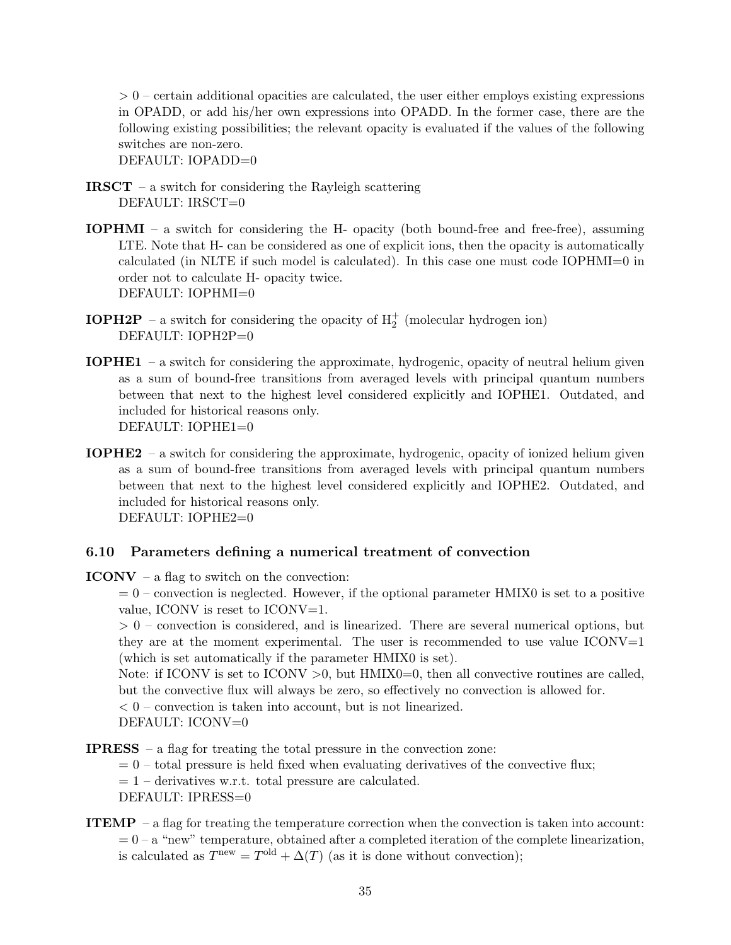$> 0$  – certain additional opacities are calculated, the user either employs existing expressions in OPADD, or add his/her own expressions into OPADD. In the former case, there are the following existing possibilities; the relevant opacity is evaluated if the values of the following switches are non-zero.

DEFAULT: IOPADD=0

- **IRSCT** a switch for considering the Rayleigh scattering DEFAULT: IRSCT=0
- IOPHMI a switch for considering the H- opacity (both bound-free and free-free), assuming LTE. Note that H- can be considered as one of explicit ions, then the opacity is automatically calculated (in NLTE if such model is calculated). In this case one must code IOPHMI=0 in order not to calculate H- opacity twice. DEFAULT: IOPHMI=0
- **IOPH2P** a switch for considering the opacity of  $H_2^+$  (molecular hydrogen ion) DEFAULT: IOPH2P=0
- IOPHE1 a switch for considering the approximate, hydrogenic, opacity of neutral helium given as a sum of bound-free transitions from averaged levels with principal quantum numbers between that next to the highest level considered explicitly and IOPHE1. Outdated, and included for historical reasons only. DEFAULT: IOPHE1=0
- IOPHE2 a switch for considering the approximate, hydrogenic, opacity of ionized helium given as a sum of bound-free transitions from averaged levels with principal quantum numbers between that next to the highest level considered explicitly and IOPHE2. Outdated, and included for historical reasons only. DEFAULT: IOPHE2=0

### 6.10 Parameters defining a numerical treatment of convection

 $ICONV - a flag to switch on the convection:$ 

 $= 0$  – convection is neglected. However, if the optional parameter HMIX0 is set to a positive value, ICONV is reset to ICONV=1.

 $> 0$  – convection is considered, and is linearized. There are several numerical options, but they are at the moment experimental. The user is recommended to use value  $ICONV=1$ (which is set automatically if the parameter HMIX0 is set).

Note: if ICONV is set to ICONV  $>0$ , but HMIX0=0, then all convective routines are called, but the convective flux will always be zero, so effectively no convection is allowed for.

 $< 0$  – convection is taken into account, but is not linearized. DEFAULT: ICONV=0

**IPRESS** – a flag for treating the total pressure in the convection zone:

 $= 0$  – total pressure is held fixed when evaluating derivatives of the convective flux;

 $= 1$  – derivatives w.r.t. total pressure are calculated.

DEFAULT: IPRESS=0

**ITEMP** – a flag for treating the temperature correction when the convection is taken into account:  $= 0 - a$  "new" temperature, obtained after a completed iteration of the complete linearization, is calculated as  $T^{\text{new}} = T^{\text{old}} + \Delta(T)$  (as it is done without convection);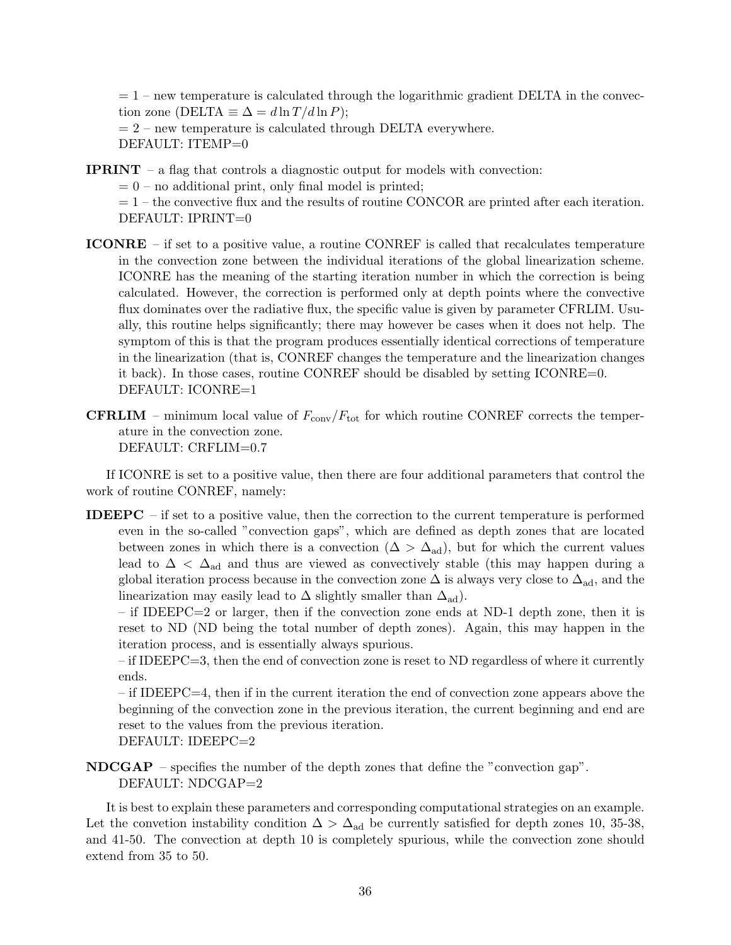$= 1$  – new temperature is calculated through the logarithmic gradient DELTA in the convection zone (DELTA  $\equiv \Delta = d \ln T / d \ln P$ );

 $= 2$  – new temperature is calculated through DELTA everywhere. DEFAULT: ITEMP=0

IPRINT – a flag that controls a diagnostic output for models with convection:

 $= 0$  – no additional print, only final model is printed;

 $= 1$  – the convective flux and the results of routine CONCOR are printed after each iteration. DEFAULT: IPRINT=0

- ICONRE if set to a positive value, a routine CONREF is called that recalculates temperature in the convection zone between the individual iterations of the global linearization scheme. ICONRE has the meaning of the starting iteration number in which the correction is being calculated. However, the correction is performed only at depth points where the convective flux dominates over the radiative flux, the specific value is given by parameter CFRLIM. Usually, this routine helps significantly; there may however be cases when it does not help. The symptom of this is that the program produces essentially identical corrections of temperature in the linearization (that is, CONREF changes the temperature and the linearization changes it back). In those cases, routine CONREF should be disabled by setting ICONRE=0. DEFAULT: ICONRE=1
- **CFRLIM** minimum local value of  $F_{\text{conv}}/F_{\text{tot}}$  for which routine CONREF corrects the temperature in the convection zone. DEFAULT: CRFLIM=0.7

If ICONRE is set to a positive value, then there are four additional parameters that control the work of routine CONREF, namely:

**IDEEPC** – if set to a positive value, then the correction to the current temperature is performed even in the so-called "convection gaps", which are defined as depth zones that are located between zones in which there is a convection  $(\Delta > \Delta_{ad})$ , but for which the current values lead to  $\Delta < \Delta_{\text{ad}}$  and thus are viewed as convectively stable (this may happen during a global iteration process because in the convection zone  $\Delta$  is always very close to  $\Delta_{\text{ad}}$ , and the linearization may easily lead to  $\Delta$  slightly smaller than  $\Delta_{\text{ad}}$ .

– if IDEEPC=2 or larger, then if the convection zone ends at ND-1 depth zone, then it is reset to ND (ND being the total number of depth zones). Again, this may happen in the iteration process, and is essentially always spurious.

 $-$  if IDEEPC $=$ 3, then the end of convection zone is reset to ND regardless of where it currently ends.

– if IDEEPC=4, then if in the current iteration the end of convection zone appears above the beginning of the convection zone in the previous iteration, the current beginning and end are reset to the values from the previous iteration. DEFAULT: IDEEPC=2

NDCGAP – specifies the number of the depth zones that define the "convection gap". DEFAULT: NDCGAP=2

It is best to explain these parameters and corresponding computational strategies on an example. Let the convetion instability condition  $\Delta > \Delta_{ad}$  be currently satisfied for depth zones 10, 35-38, and 41-50. The convection at depth 10 is completely spurious, while the convection zone should extend from 35 to 50.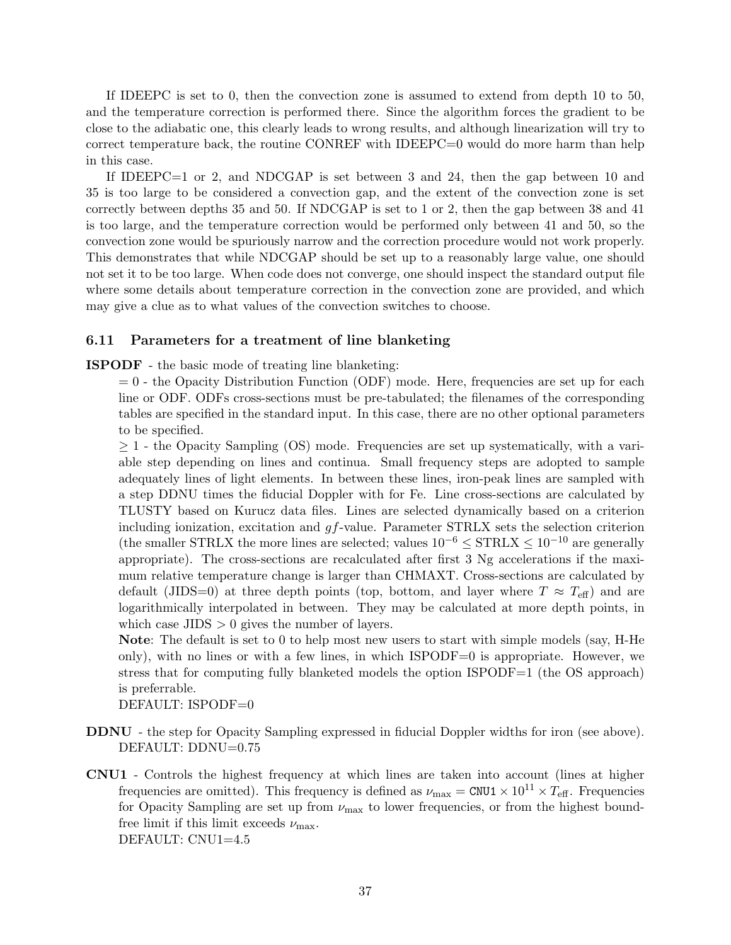If IDEEPC is set to 0, then the convection zone is assumed to extend from depth 10 to 50, and the temperature correction is performed there. Since the algorithm forces the gradient to be close to the adiabatic one, this clearly leads to wrong results, and although linearization will try to correct temperature back, the routine CONREF with IDEEPC=0 would do more harm than help in this case.

If IDEEPC=1 or 2, and NDCGAP is set between 3 and 24, then the gap between 10 and 35 is too large to be considered a convection gap, and the extent of the convection zone is set correctly between depths 35 and 50. If NDCGAP is set to 1 or 2, then the gap between 38 and 41 is too large, and the temperature correction would be performed only between 41 and 50, so the convection zone would be spuriously narrow and the correction procedure would not work properly. This demonstrates that while NDCGAP should be set up to a reasonably large value, one should not set it to be too large. When code does not converge, one should inspect the standard output file where some details about temperature correction in the convection zone are provided, and which may give a clue as to what values of the convection switches to choose.

#### 6.11 Parameters for a treatment of line blanketing

ISPODF - the basic mode of treating line blanketing:

 $= 0$  - the Opacity Distribution Function (ODF) mode. Here, frequencies are set up for each line or ODF. ODFs cross-sections must be pre-tabulated; the filenames of the corresponding tables are specified in the standard input. In this case, there are no other optional parameters to be specified.

 $\geq$  1 - the Opacity Sampling (OS) mode. Frequencies are set up systematically, with a variable step depending on lines and continua. Small frequency steps are adopted to sample adequately lines of light elements. In between these lines, iron-peak lines are sampled with a step DDNU times the fiducial Doppler with for Fe. Line cross-sections are calculated by TLUSTY based on Kurucz data files. Lines are selected dynamically based on a criterion including ionization, excitation and  $qf$ -value. Parameter STRLX sets the selection criterion (the smaller STRLX the more lines are selected; values  $10^{-6} \leq \text{STRLX} \leq 10^{-10}$  are generally appropriate). The cross-sections are recalculated after first 3 Ng accelerations if the maximum relative temperature change is larger than CHMAXT. Cross-sections are calculated by default (JIDS=0) at three depth points (top, bottom, and layer where  $T \approx T_{\text{eff}}$ ) and are logarithmically interpolated in between. They may be calculated at more depth points, in which case  $JIDS > 0$  gives the number of layers.

Note: The default is set to 0 to help most new users to start with simple models (say, H-He only), with no lines or with a few lines, in which ISPODF=0 is appropriate. However, we stress that for computing fully blanketed models the option  $\text{ISPODF}=1$  (the OS approach) is preferrable.

DEFAULT: ISPODF=0

- DDNU the step for Opacity Sampling expressed in fiducial Doppler widths for iron (see above). DEFAULT: DDNU=0.75
- CNU1 Controls the highest frequency at which lines are taken into account (lines at higher frequencies are omitted). This frequency is defined as  $\nu_{\text{max}} = \text{CNU1} \times 10^{11} \times T_{\text{eff}}$ . Frequencies for Opacity Sampling are set up from  $\nu_{\text{max}}$  to lower frequencies, or from the highest boundfree limit if this limit exceeds  $\nu_{\text{max}}$ . DEFAULT: CNU1=4.5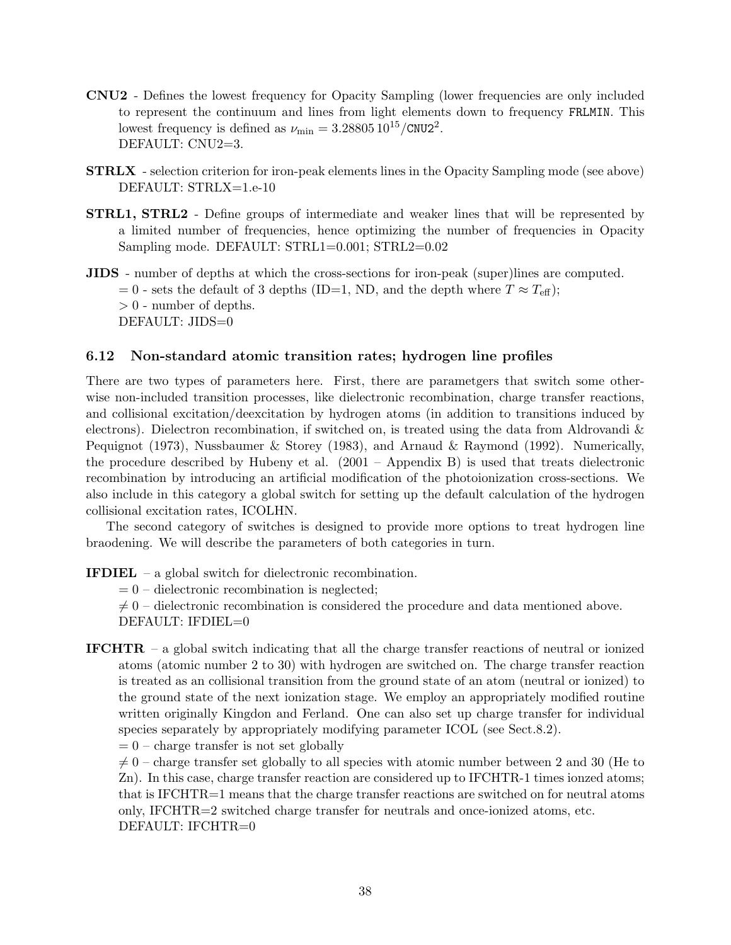- CNU2 Defines the lowest frequency for Opacity Sampling (lower frequencies are only included to represent the continuum and lines from light elements down to frequency FRLMIN. This lowest frequency is defined as  $\nu_{\text{min}} = 3.28805 10^{15} / \text{CNU2}^2$ . DEFAULT: CNU2=3.
- STRLX selection criterion for iron-peak elements lines in the Opacity Sampling mode (see above) DEFAULT: STRLX=1.e-10
- STRL1, STRL2 Define groups of intermediate and weaker lines that will be represented by a limited number of frequencies, hence optimizing the number of frequencies in Opacity Sampling mode. DEFAULT: STRL1=0.001; STRL2=0.02
- JIDS number of depths at which the cross-sections for iron-peak (super)lines are computed.  $= 0$  - sets the default of 3 depths (ID=1, ND, and the depth where  $T \approx T_{\text{eff}}$ );  $> 0$  - number of depths. DEFAULT: JIDS=0

### 6.12 Non-standard atomic transition rates; hydrogen line profiles

There are two types of parameters here. First, there are parametgers that switch some otherwise non-included transition processes, like dielectronic recombination, charge transfer reactions, and collisional excitation/deexcitation by hydrogen atoms (in addition to transitions induced by electrons). Dielectron recombination, if switched on, is treated using the data from Aldrovandi & Pequignot (1973), Nussbaumer & Storey (1983), and Arnaud & Raymond (1992). Numerically, the procedure described by Hubeny et al. (2001 – Appendix B) is used that treats dielectronic recombination by introducing an artificial modification of the photoionization cross-sections. We also include in this category a global switch for setting up the default calculation of the hydrogen collisional excitation rates, ICOLHN.

The second category of switches is designed to provide more options to treat hydrogen line braodening. We will describe the parameters of both categories in turn.

IFDIEL – a global switch for dielectronic recombination.

 $= 0$  – dielectronic recombination is neglected;

 $\neq 0$  – dielectronic recombination is considered the procedure and data mentioned above. DEFAULT: IFDIEL=0

IFCHTR – a global switch indicating that all the charge transfer reactions of neutral or ionized atoms (atomic number 2 to 30) with hydrogen are switched on. The charge transfer reaction is treated as an collisional transition from the ground state of an atom (neutral or ionized) to the ground state of the next ionization stage. We employ an appropriately modified routine written originally Kingdon and Ferland. One can also set up charge transfer for individual species separately by appropriately modifying parameter ICOL (see Sect.8.2).

 $= 0$  – charge transfer is not set globally

 $\neq 0$  – charge transfer set globally to all species with atomic number between 2 and 30 (He to Zn). In this case, charge transfer reaction are considered up to IFCHTR-1 times ionzed atoms; that is IFCHTR=1 means that the charge transfer reactions are switched on for neutral atoms only, IFCHTR=2 switched charge transfer for neutrals and once-ionized atoms, etc. DEFAULT: IFCHTR=0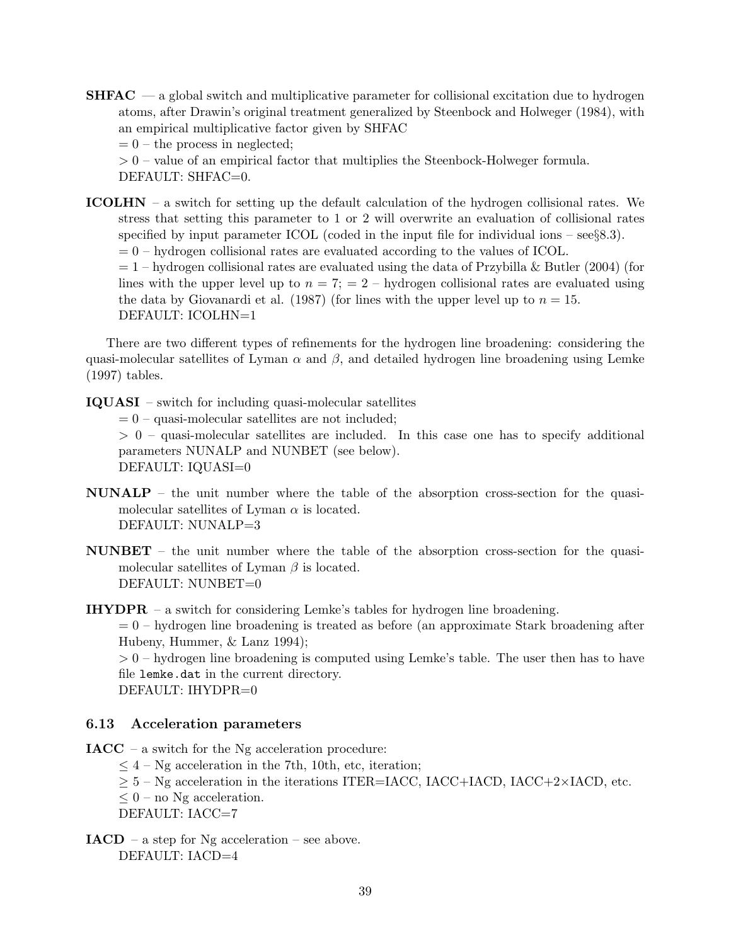$SHFAC$  — a global switch and multiplicative parameter for collisional excitation due to hydrogen atoms, after Drawin's original treatment generalized by Steenbock and Holweger (1984), with an empirical multiplicative factor given by SHFAC

 $= 0$  – the process in neglected;

 $> 0$  – value of an empirical factor that multiplies the Steenbock-Holweger formula.

DEFAULT: SHFAC=0.

ICOLHN – a switch for setting up the default calculation of the hydrogen collisional rates. We stress that setting this parameter to 1 or 2 will overwrite an evaluation of collisional rates specified by input parameter ICOL (coded in the input file for individual ions  $-$  see§8.3).  $= 0$  – hydrogen collisional rates are evaluated according to the values of ICOL.

 $= 1$  – hydrogen collisional rates are evaluated using the data of Przybilla & Butler (2004) (for lines with the upper level up to  $n = 7$ ;  $= 2$  – hydrogen collisional rates are evaluated using the data by Giovanardi et al. (1987) (for lines with the upper level up to  $n = 15$ . DEFAULT: ICOLHN=1

There are two different types of refinements for the hydrogen line broadening: considering the quasi-molecular satellites of Lyman  $\alpha$  and  $\beta$ , and detailed hydrogen line broadening using Lemke (1997) tables.

IQUASI – switch for including quasi-molecular satellites

 $= 0$  – quasi-molecular satellites are not included;

> 0 – quasi-molecular satellites are included. In this case one has to specify additional parameters NUNALP and NUNBET (see below). DEFAULT: IQUASI=0

- NUNALP the unit number where the table of the absorption cross-section for the quasimolecular satellites of Lyman  $\alpha$  is located. DEFAULT: NUNALP=3
- NUNBET the unit number where the table of the absorption cross-section for the quasimolecular satellites of Lyman  $\beta$  is located. DEFAULT: NUNBET=0

IHYDPR – a switch for considering Lemke's tables for hydrogen line broadening.

 $= 0$  – hydrogen line broadening is treated as before (an approximate Stark broadening after Hubeny, Hummer, & Lanz 1994);

 $> 0$  – hydrogen line broadening is computed using Lemke's table. The user then has to have file lemke.dat in the current directory.

DEFAULT: IHYDPR=0

#### 6.13 Acceleration parameters

 $IACC - a switch for the Ng acceleration procedure:$ 

- $\leq 4$  Ng acceleration in the 7th, 10th, etc, iteration;
- $\geq$  5 Ng acceleration in the iterations ITER=IACC, IACC+IACD, IACC+2×IACD, etc.
- $\leq 0$  no Ng acceleration.

DEFAULT: IACC=7

 $IACD$  – a step for Ng acceleration – see above. DEFAULT: IACD=4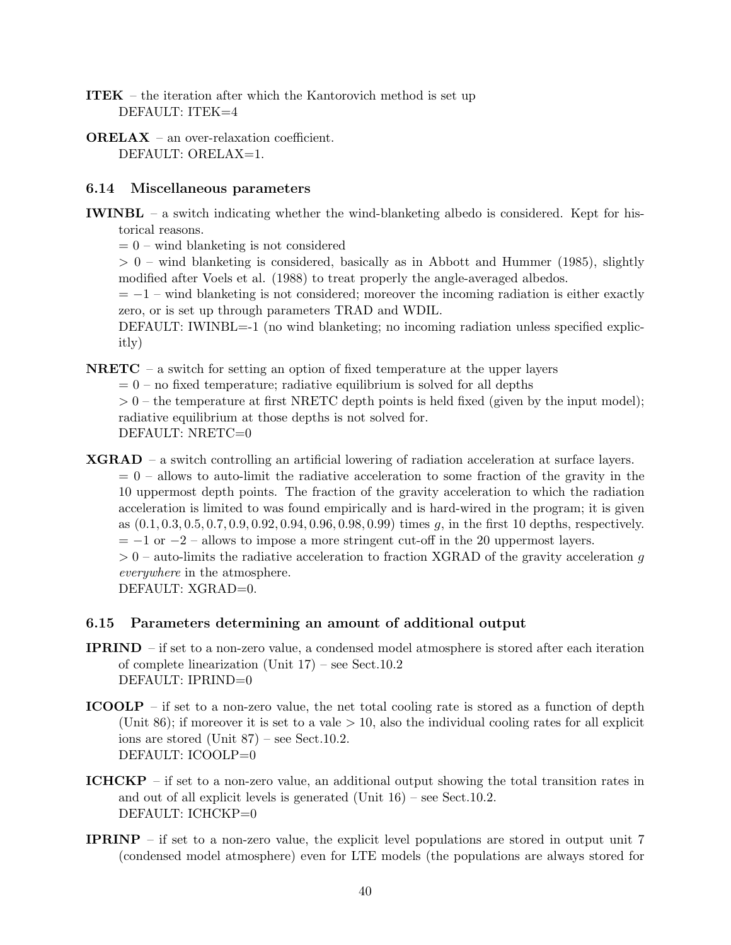- ITEK the iteration after which the Kantorovich method is set up DEFAULT: ITEK=4
- ORELAX an over-relaxation coefficient. DEFAULT: ORELAX=1.

### 6.14 Miscellaneous parameters

- IWINBL a switch indicating whether the wind-blanketing albedo is considered. Kept for historical reasons.
	- $= 0$  wind blanketing is not considered

 $> 0$  – wind blanketing is considered, basically as in Abbott and Hummer (1985), slightly modified after Voels et al. (1988) to treat properly the angle-averaged albedos.

 $= -1$  – wind blanketing is not considered; moreover the incoming radiation is either exactly zero, or is set up through parameters TRAD and WDIL.

DEFAULT: IWINBL=-1 (no wind blanketing; no incoming radiation unless specified explicitly)

**NRETC** – a switch for setting an option of fixed temperature at the upper layers

 $= 0$  – no fixed temperature; radiative equilibrium is solved for all depths

 $> 0$  – the temperature at first NRETC depth points is held fixed (given by the input model); radiative equilibrium at those depths is not solved for. DEFAULT: NRETC=0

XGRAD – a switch controlling an artificial lowering of radiation acceleration at surface layers.  $= 0$  – allows to auto-limit the radiative acceleration to some fraction of the gravity in the 10 uppermost depth points. The fraction of the gravity acceleration to which the radiation acceleration is limited to was found empirically and is hard-wired in the program; it is given as  $(0.1, 0.3, 0.5, 0.7, 0.9, 0.92, 0.94, 0.96, 0.98, 0.99)$  times g, in the first 10 depths, respectively.  $= -1$  or  $-2$  – allows to impose a more stringent cut-off in the 20 uppermost layers.

 $> 0$  – auto-limits the radiative acceleration to fraction XGRAD of the gravity acceleration g everywhere in the atmosphere.

DEFAULT: XGRAD=0.

### 6.15 Parameters determining an amount of additional output

- IPRIND if set to a non-zero value, a condensed model atmosphere is stored after each iteration of complete linearization (Unit 17) – see Sect.10.2 DEFAULT: IPRIND=0
- ICOOLP if set to a non-zero value, the net total cooling rate is stored as a function of depth (Unit 86); if moreover it is set to a vale  $> 10$ , also the individual cooling rates for all explicit ions are stored (Unit 87) – see Sect.10.2. DEFAULT: ICOOLP=0
- ICHCKP if set to a non-zero value, an additional output showing the total transition rates in and out of all explicit levels is generated (Unit 16) – see Sect.10.2. DEFAULT: ICHCKP=0
- IPRINP if set to a non-zero value, the explicit level populations are stored in output unit 7 (condensed model atmosphere) even for LTE models (the populations are always stored for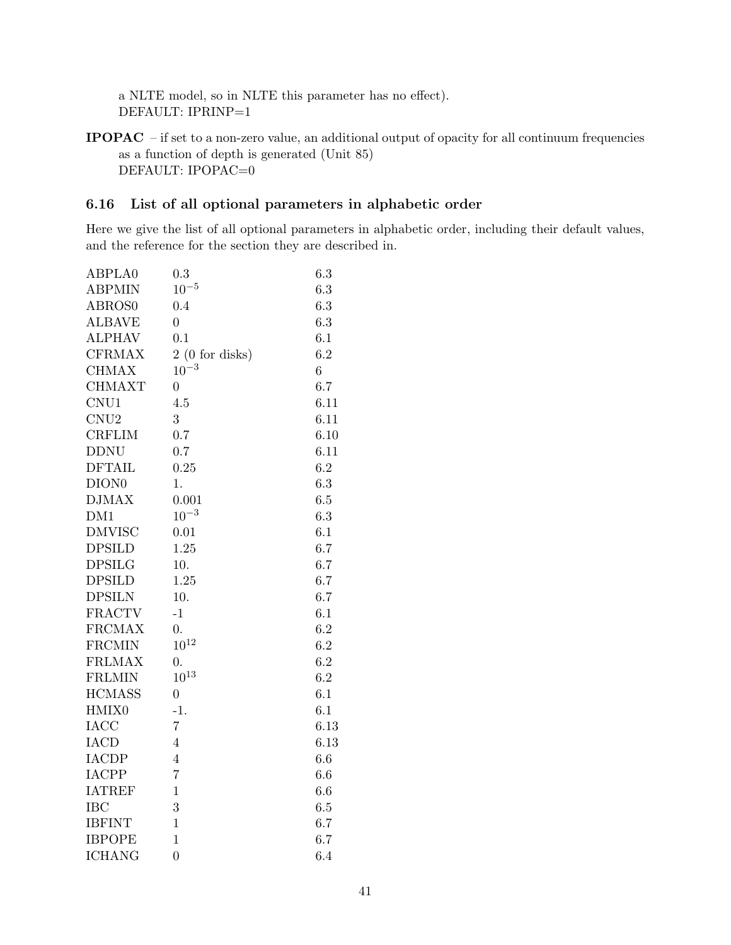a NLTE model, so in NLTE this parameter has no effect). DEFAULT: IPRINP=1

IPOPAC – if set to a non-zero value, an additional output of opacity for all continuum frequencies as a function of depth is generated (Unit 85) DEFAULT: IPOPAC=0

# 6.16 List of all optional parameters in alphabetic order

Here we give the list of all optional parameters in alphabetic order, including their default values, and the reference for the section they are described in.

| ABPLA0                  | 0.3              | 6.3     |
|-------------------------|------------------|---------|
| <b>ABPMIN</b>           | $10^{-5}$        | 6.3     |
| <b>ABROS0</b>           | 0.4              | 6.3     |
| <b>ALBAVE</b>           | $\overline{0}$   | 6.3     |
| <b>ALPHAV</b>           | 0.1              | 6.1     |
| <b>CFRMAX</b>           | 2(0 for disks)   | 6.2     |
| <b>CHMAX</b>            | $10^{-3}$        | 6       |
| <b>CHMAXT</b>           | $\boldsymbol{0}$ | 6.7     |
| CNU1                    | 4.5              | 6.11    |
| CNU2                    | 3                | 6.11    |
| <b>CRFLIM</b>           | 0.7              | 6.10    |
| <b>DDNU</b>             | 0.7              | 6.11    |
| <b>DFTAIL</b>           | 0.25             | 6.2     |
| DION <sub>0</sub>       | 1.               | 6.3     |
| <b>DJMAX</b>            | 0.001            | 6.5     |
| DM1                     | $10^{-3}$        | 6.3     |
| <b>DMVISC</b>           | 0.01             | 6.1     |
| <b>DPSILD</b>           | 1.25             | 6.7     |
| <b>DPSILG</b>           | 10.              | 6.7     |
| <b>DPSILD</b>           | 1.25             | 6.7     |
| <b>DPSILN</b>           | 10.              | 6.7     |
| <b>FRACTV</b>           | $-1$             | 6.1     |
| <b>FRCMAX</b>           | $\overline{0}$ . | 6.2     |
| $\operatorname{FRCMIN}$ | $10^{12}\,$      | 6.2     |
| <b>FRLMAX</b>           | $\overline{0}$ . | 6.2     |
| <b>FRLMIN</b>           | $10^{13}\,$      | 6.2     |
| <b>HCMASS</b>           | $\overline{0}$   | 6.1     |
| HMIX0                   | $-1.$            | 6.1     |
| <b>IACC</b>             | $\overline{7}$   | 6.13    |
| <b>IACD</b>             | $\overline{4}$   | 6.13    |
| <b>IACDP</b>            | $\overline{4}$   | 6.6     |
| <b>IACPP</b>            | $\overline{7}$   | 6.6     |
| <b>IATREF</b>           | $\mathbf{1}$     | 6.6     |
| <b>IBC</b>              | 3                | $6.5\,$ |
| <b>IBFINT</b>           | $\mathbf 1$      | 6.7     |
| <b>IBPOPE</b>           | $\mathbf 1$      | 6.7     |
| <b>ICHANG</b>           | $\overline{0}$   | 6.4     |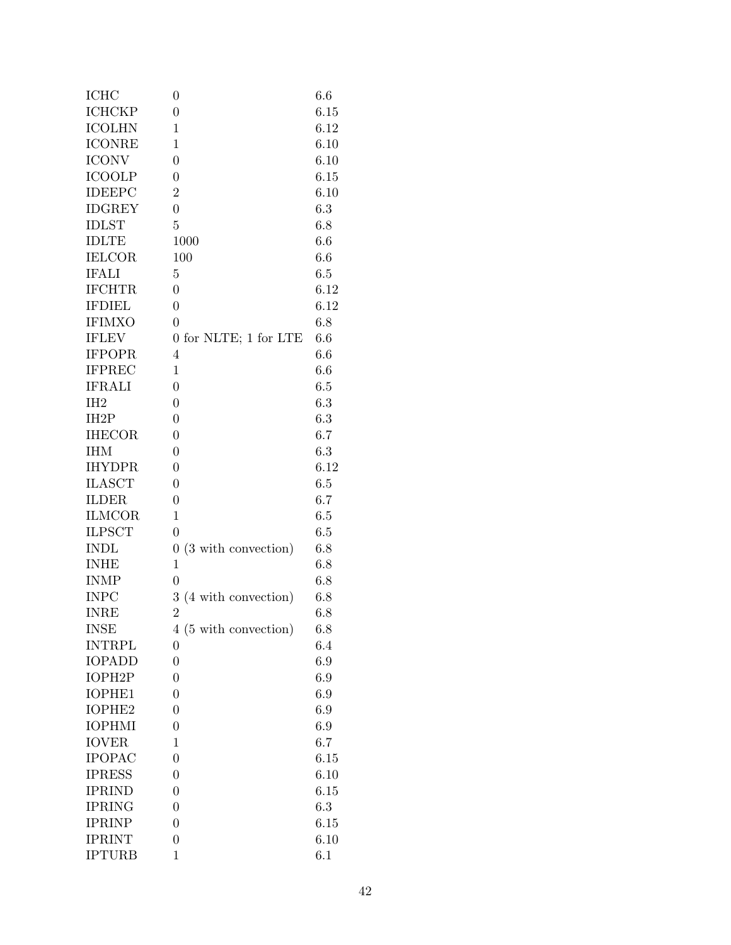| <b>ICHC</b>       | $\boldsymbol{0}$                        | 6.6     |
|-------------------|-----------------------------------------|---------|
| <b>ICHCKP</b>     | $\overline{0}$                          | 6.15    |
| <b>ICOLHN</b>     | $\mathbf{1}$                            | 6.12    |
| <b>ICONRE</b>     | $\mathbf{1}$                            | 6.10    |
| <b>ICONV</b>      | $\boldsymbol{0}$                        | 6.10    |
| <b>ICOOLP</b>     | $\boldsymbol{0}$                        | 6.15    |
| <b>IDEEPC</b>     | $\overline{2}$                          | 6.10    |
| <b>IDGREY</b>     | $\overline{0}$                          | 6.3     |
| <b>IDLST</b>      | $\overline{5}$                          | 6.8     |
| <b>IDLTE</b>      | 1000                                    | 6.6     |
| <b>IELCOR</b>     | 100                                     | 6.6     |
| <b>IFALI</b>      | 5                                       | 6.5     |
| <b>IFCHTR</b>     | $\boldsymbol{0}$                        | 6.12    |
| <b>IFDIEL</b>     | $\boldsymbol{0}$                        | 6.12    |
| <b>IFIMXO</b>     | $\overline{0}$                          | 6.8     |
| <b>IFLEV</b>      | 0 for NLTE; 1 for LTE                   | 6.6     |
| <b>IFPOPR</b>     | $\overline{4}$                          | 6.6     |
| <b>IFPREC</b>     | $\mathbf{1}$                            | 6.6     |
| <b>IFRALI</b>     | $\overline{0}$                          | 6.5     |
| IH <sub>2</sub>   | $\boldsymbol{0}$                        | 6.3     |
| IH <sub>2</sub> P | $\boldsymbol{0}$                        | 6.3     |
| <b>IHECOR</b>     | $\overline{0}$                          | 6.7     |
| <b>IHM</b>        | $\boldsymbol{0}$                        | 6.3     |
| <b>IHYDPR</b>     | $\boldsymbol{0}$                        | 6.12    |
| <b>ILASCT</b>     | $\boldsymbol{0}$                        | 6.5     |
| <b>ILDER</b>      | $\boldsymbol{0}$                        | 6.7     |
| <b>ILMCOR</b>     | $\mathbf{1}$                            | 6.5     |
| <b>ILPSCT</b>     | $\overline{0}$                          | 6.5     |
| <b>INDL</b>       | $\boldsymbol{0}$<br>(3 with convection) | 6.8     |
| <b>INHE</b>       | $\mathbf{1}$                            | 6.8     |
| <b>INMP</b>       | $\overline{0}$                          | 6.8     |
| <b>INPC</b>       | 3 (4 with convection)                   | 6.8     |
| <b>INRE</b>       | $\overline{2}$                          | 6.8     |
| <b>INSE</b>       | 4 (5 with convection)                   | 6.8     |
| <b>INTRPL</b>     | $\overline{0}$                          | 6.4     |
| <b>IOPADD</b>     | $\overline{0}$                          | 6.9     |
| IOPH2P            | $\boldsymbol{0}$                        | 6.9     |
| <b>IOPHE1</b>     | $\boldsymbol{0}$                        | 6.9     |
| IOPHE2            | $\overline{0}$                          | $6.9\,$ |
| <b>IOPHMI</b>     | $\boldsymbol{0}$                        | 6.9     |
| <b>IOVER</b>      | 1                                       | 6.7     |
| <b>IPOPAC</b>     | $\overline{0}$                          | 6.15    |
| <b>IPRESS</b>     | $\boldsymbol{0}$                        | 6.10    |
| <b>IPRIND</b>     | $\boldsymbol{0}$                        | 6.15    |
| <b>IPRING</b>     | $\boldsymbol{0}$                        | 6.3     |
| <b>IPRINP</b>     | $\boldsymbol{0}$                        | 6.15    |
| <b>IPRINT</b>     | $\overline{0}$                          | 6.10    |
| <b>IPTURB</b>     | $\mathbf 1$                             | 6.1     |
|                   |                                         |         |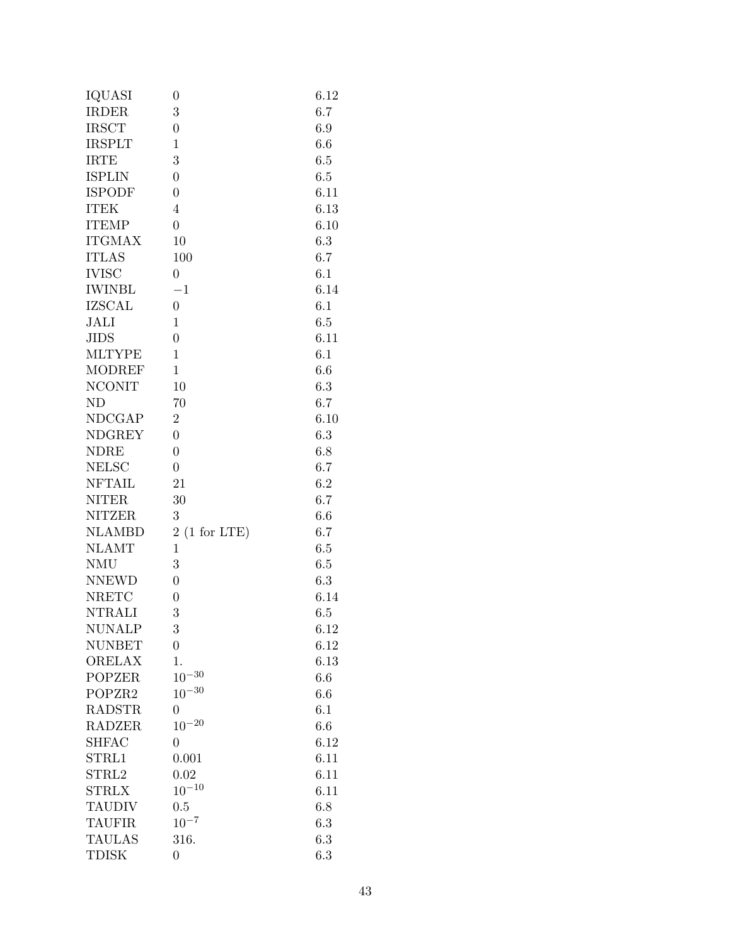| IQUASI        | 0                | 6.12 |
|---------------|------------------|------|
| <b>IRDER</b>  | 3                | 6.7  |
| <b>IRSCT</b>  | $\overline{0}$   | 6.9  |
| <b>IRSPLT</b> | $\mathbf{1}$     | 6.6  |
| <b>IRTE</b>   | 3                | 6.5  |
| <b>ISPLIN</b> | $\overline{0}$   | 6.5  |
| <b>ISPODF</b> | $\overline{0}$   | 6.11 |
| <b>ITEK</b>   | $\overline{4}$   | 6.13 |
| <b>ITEMP</b>  | $\overline{0}$   | 6.10 |
| <b>ITGMAX</b> | 10               | 6.3  |
| <b>ITLAS</b>  | 100              | 6.7  |
| <b>IVISC</b>  | $\overline{0}$   | 6.1  |
| <b>IWINBL</b> | $-1$             | 6.14 |
| <b>IZSCAL</b> | $\overline{0}$   | 6.1  |
| <b>JALI</b>   | $\mathbf{1}$     | 6.5  |
| <b>JIDS</b>   | $\overline{0}$   | 6.11 |
| <b>MLTYPE</b> | $\mathbf{1}$     | 6.1  |
| <b>MODREF</b> | $\mathbf{1}$     | 6.6  |
| <b>NCONIT</b> | 10               | 6.3  |
| $\rm ND$      | 70               | 6.7  |
| <b>NDCGAP</b> | $\overline{2}$   | 6.10 |
| <b>NDGREY</b> | $\overline{0}$   | 6.3  |
| <b>NDRE</b>   | $\overline{0}$   | 6.8  |
| <b>NELSC</b>  | $\overline{0}$   | 6.7  |
| <b>NFTAIL</b> | 21               | 6.2  |
| <b>NITER</b>  | 30               | 6.7  |
| <b>NITZER</b> | 3                | 6.6  |
| <b>NLAMBD</b> | 2(1 for LTE)     | 6.7  |
| <b>NLAMT</b>  | $\mathbf{1}$     | 6.5  |
| <b>NMU</b>    | 3                | 6.5  |
| <b>NNEWD</b>  | $\overline{0}$   | 6.3  |
| <b>NRETC</b>  | $\overline{0}$   | 6.14 |
| <b>NTRALI</b> | 3                | 6.5  |
| NUNALP        | 3                | 6.12 |
| <b>NUNBET</b> | $\boldsymbol{0}$ | 6.12 |
| <b>ORELAX</b> | 1.               | 6.13 |
| <b>POPZER</b> | $10^{-30}$       | 6.6  |
| POPZR2        | $10^{-30}$       | 6.6  |
| <b>RADSTR</b> | $\overline{0}$   | 6.1  |
| <b>RADZER</b> | $10^{-20}$       | 6.6  |
| <b>SHFAC</b>  | $\overline{0}$   | 6.12 |
| STRL1         | 0.001            | 6.11 |
| STRL2         | 0.02             | 6.11 |
| <b>STRLX</b>  | $10^{-10}$       | 6.11 |
| <b>TAUDIV</b> | 0.5              | 6.8  |
| <b>TAUFIR</b> | $10^{-7}$        | 6.3  |
| <b>TAULAS</b> | 316.             | 6.3  |
| <b>TDISK</b>  | $\overline{0}$   | 6.3  |
|               |                  |      |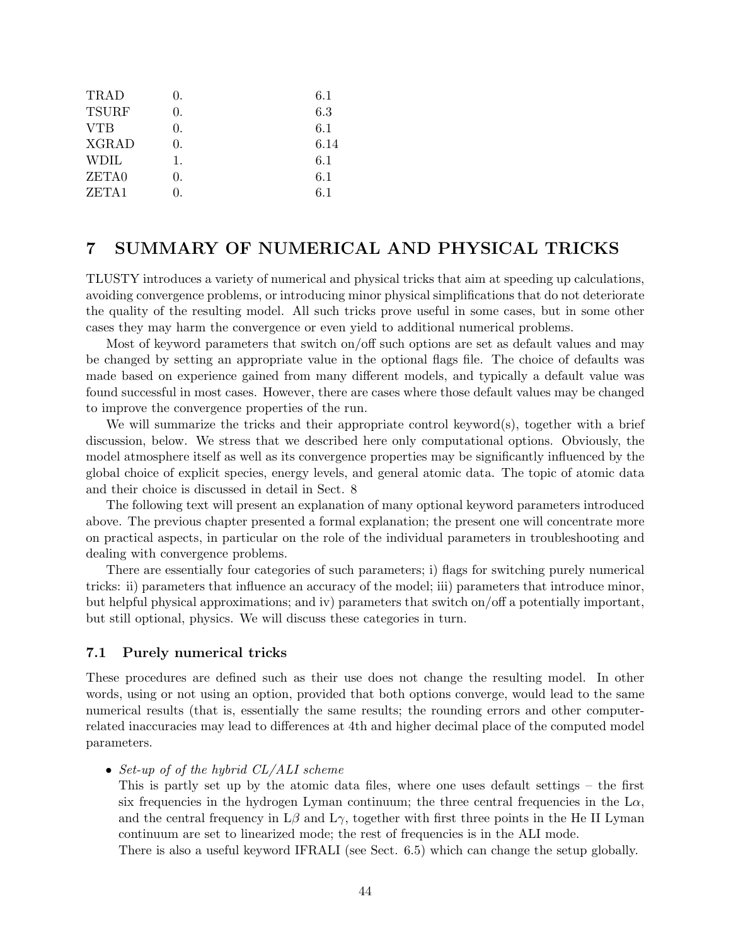| TRAD         | $\theta$ . | 6.1  |
|--------------|------------|------|
| <b>TSURF</b> | 0.         | 6.3  |
| <b>VTB</b>   | 0.         | 6.1  |
| <b>XGRAD</b> | 0.         | 6.14 |
| <b>WDIL</b>  | 1.         | 6.1  |
| ZETA0        | 0.         | 6.1  |
| ZETA1        | $\theta$ . | 6.1  |
|              |            |      |

# 7 SUMMARY OF NUMERICAL AND PHYSICAL TRICKS

TLUSTY introduces a variety of numerical and physical tricks that aim at speeding up calculations, avoiding convergence problems, or introducing minor physical simplifications that do not deteriorate the quality of the resulting model. All such tricks prove useful in some cases, but in some other cases they may harm the convergence or even yield to additional numerical problems.

Most of keyword parameters that switch on/off such options are set as default values and may be changed by setting an appropriate value in the optional flags file. The choice of defaults was made based on experience gained from many different models, and typically a default value was found successful in most cases. However, there are cases where those default values may be changed to improve the convergence properties of the run.

We will summarize the tricks and their appropriate control keyword(s), together with a brief discussion, below. We stress that we described here only computational options. Obviously, the model atmosphere itself as well as its convergence properties may be significantly influenced by the global choice of explicit species, energy levels, and general atomic data. The topic of atomic data and their choice is discussed in detail in Sect. 8

The following text will present an explanation of many optional keyword parameters introduced above. The previous chapter presented a formal explanation; the present one will concentrate more on practical aspects, in particular on the role of the individual parameters in troubleshooting and dealing with convergence problems.

There are essentially four categories of such parameters; i) flags for switching purely numerical tricks: ii) parameters that influence an accuracy of the model; iii) parameters that introduce minor, but helpful physical approximations; and iv) parameters that switch on/off a potentially important, but still optional, physics. We will discuss these categories in turn.

### 7.1 Purely numerical tricks

These procedures are defined such as their use does not change the resulting model. In other words, using or not using an option, provided that both options converge, would lead to the same numerical results (that is, essentially the same results; the rounding errors and other computerrelated inaccuracies may lead to differences at 4th and higher decimal place of the computed model parameters.

• Set-up of of the hybrid CL/ALI scheme

This is partly set up by the atomic data files, where one uses default settings – the first six frequencies in the hydrogen Lyman continuum; the three central frequencies in the  $L\alpha$ , and the central frequency in  $L\beta$  and  $L\gamma$ , together with first three points in the He II Lyman continuum are set to linearized mode; the rest of frequencies is in the ALI mode.

There is also a useful keyword IFRALI (see Sect. 6.5) which can change the setup globally.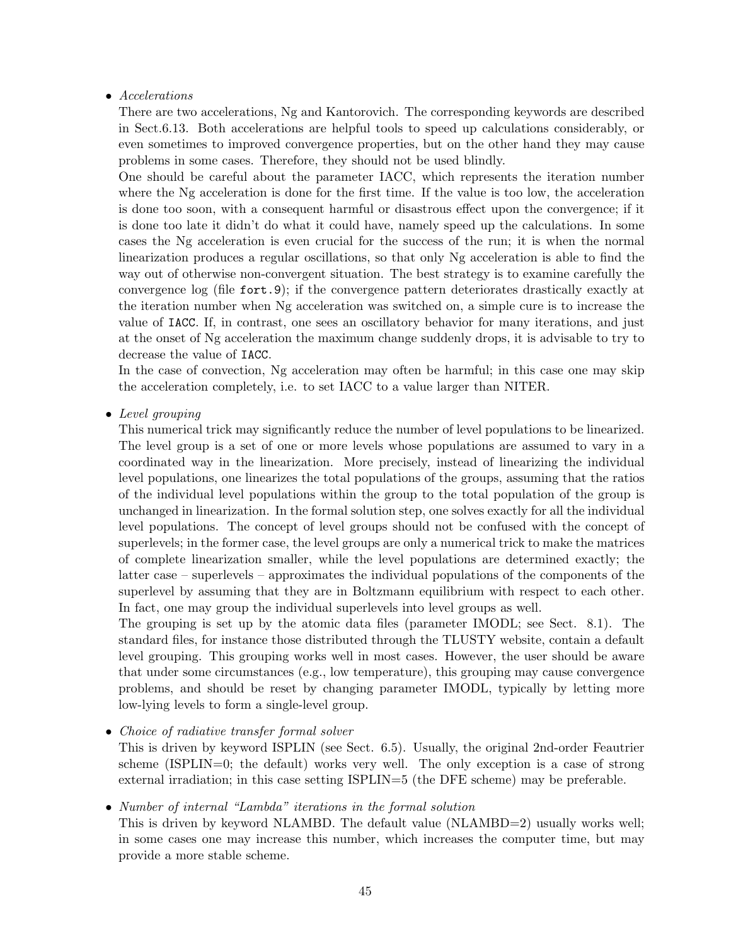### • Accelerations

There are two accelerations, Ng and Kantorovich. The corresponding keywords are described in Sect.6.13. Both accelerations are helpful tools to speed up calculations considerably, or even sometimes to improved convergence properties, but on the other hand they may cause problems in some cases. Therefore, they should not be used blindly.

One should be careful about the parameter IACC, which represents the iteration number where the Ng acceleration is done for the first time. If the value is too low, the acceleration is done too soon, with a consequent harmful or disastrous effect upon the convergence; if it is done too late it didn't do what it could have, namely speed up the calculations. In some cases the Ng acceleration is even crucial for the success of the run; it is when the normal linearization produces a regular oscillations, so that only Ng acceleration is able to find the way out of otherwise non-convergent situation. The best strategy is to examine carefully the convergence log (file fort.9); if the convergence pattern deteriorates drastically exactly at the iteration number when Ng acceleration was switched on, a simple cure is to increase the value of IACC. If, in contrast, one sees an oscillatory behavior for many iterations, and just at the onset of Ng acceleration the maximum change suddenly drops, it is advisable to try to decrease the value of IACC.

In the case of convection, Ng acceleration may often be harmful; in this case one may skip the acceleration completely, i.e. to set IACC to a value larger than NITER.

#### • Level grouping

This numerical trick may significantly reduce the number of level populations to be linearized. The level group is a set of one or more levels whose populations are assumed to vary in a coordinated way in the linearization. More precisely, instead of linearizing the individual level populations, one linearizes the total populations of the groups, assuming that the ratios of the individual level populations within the group to the total population of the group is unchanged in linearization. In the formal solution step, one solves exactly for all the individual level populations. The concept of level groups should not be confused with the concept of superlevels; in the former case, the level groups are only a numerical trick to make the matrices of complete linearization smaller, while the level populations are determined exactly; the latter case – superlevels – approximates the individual populations of the components of the superlevel by assuming that they are in Boltzmann equilibrium with respect to each other. In fact, one may group the individual superlevels into level groups as well.

The grouping is set up by the atomic data files (parameter IMODL; see Sect. 8.1). The standard files, for instance those distributed through the TLUSTY website, contain a default level grouping. This grouping works well in most cases. However, the user should be aware that under some circumstances (e.g., low temperature), this grouping may cause convergence problems, and should be reset by changing parameter IMODL, typically by letting more low-lying levels to form a single-level group.

• Choice of radiative transfer formal solver

This is driven by keyword ISPLIN (see Sect. 6.5). Usually, the original 2nd-order Feautrier scheme (ISPLIN=0; the default) works very well. The only exception is a case of strong external irradiation; in this case setting ISPLIN=5 (the DFE scheme) may be preferable.

#### • Number of internal "Lambda" iterations in the formal solution

This is driven by keyword NLAMBD. The default value (NLAMBD=2) usually works well; in some cases one may increase this number, which increases the computer time, but may provide a more stable scheme.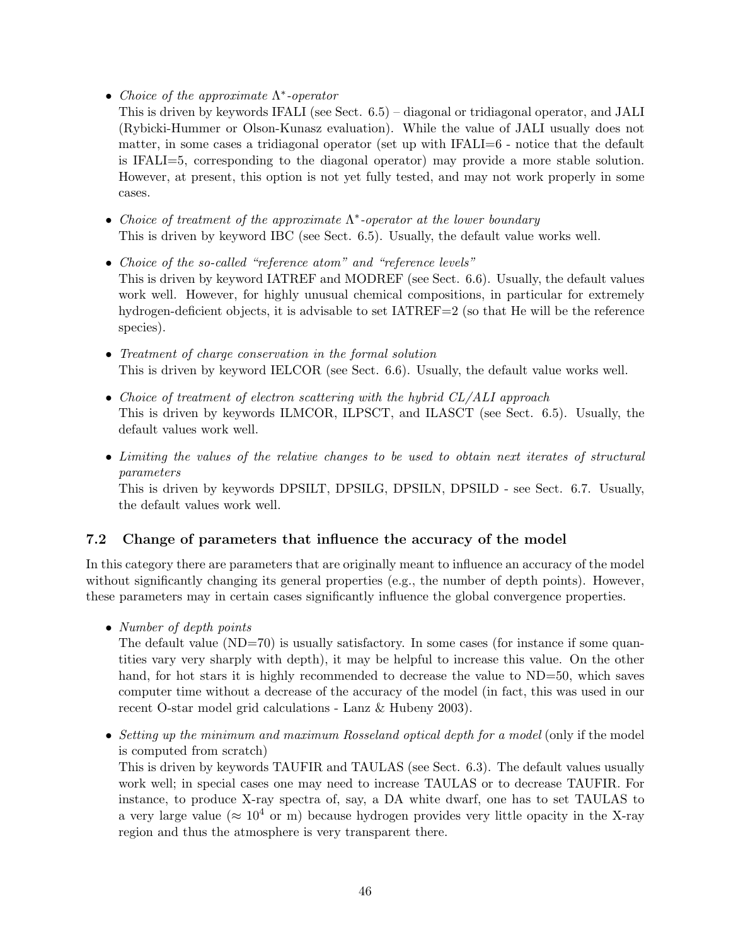- Choice of the approximate  $\Lambda^*$ -operator
- This is driven by keywords IFALI (see Sect. 6.5) diagonal or tridiagonal operator, and JALI (Rybicki-Hummer or Olson-Kunasz evaluation). While the value of JALI usually does not matter, in some cases a tridiagonal operator (set up with IFALI=6 - notice that the default is IFALI=5, corresponding to the diagonal operator) may provide a more stable solution. However, at present, this option is not yet fully tested, and may not work properly in some cases.
- Choice of treatment of the approximate  $\Lambda^*$ -operator at the lower boundary This is driven by keyword IBC (see Sect. 6.5). Usually, the default value works well.
- Choice of the so-called "reference atom" and "reference levels" This is driven by keyword IATREF and MODREF (see Sect. 6.6). Usually, the default values work well. However, for highly unusual chemical compositions, in particular for extremely hydrogen-deficient objects, it is advisable to set IATREF=2 (so that He will be the reference species).
- Treatment of charge conservation in the formal solution This is driven by keyword IELCOR (see Sect. 6.6). Usually, the default value works well.
- Choice of treatment of electron scattering with the hybrid CL/ALI approach This is driven by keywords ILMCOR, ILPSCT, and ILASCT (see Sect. 6.5). Usually, the default values work well.
- Limiting the values of the relative changes to be used to obtain next iterates of structural parameters

This is driven by keywords DPSILT, DPSILG, DPSILN, DPSILD - see Sect. 6.7. Usually, the default values work well.

### 7.2 Change of parameters that influence the accuracy of the model

In this category there are parameters that are originally meant to influence an accuracy of the model without significantly changing its general properties (e.g., the number of depth points). However, these parameters may in certain cases significantly influence the global convergence properties.

• Number of depth points

The default value (ND=70) is usually satisfactory. In some cases (for instance if some quantities vary very sharply with depth), it may be helpful to increase this value. On the other hand, for hot stars it is highly recommended to decrease the value to ND=50, which saves computer time without a decrease of the accuracy of the model (in fact, this was used in our recent O-star model grid calculations - Lanz & Hubeny 2003).

• Setting up the minimum and maximum Rosseland optical depth for a model (only if the model is computed from scratch)

This is driven by keywords TAUFIR and TAULAS (see Sect. 6.3). The default values usually work well; in special cases one may need to increase TAULAS or to decrease TAUFIR. For instance, to produce X-ray spectra of, say, a DA white dwarf, one has to set TAULAS to a very large value ( $\approx 10^4$  or m) because hydrogen provides very little opacity in the X-ray region and thus the atmosphere is very transparent there.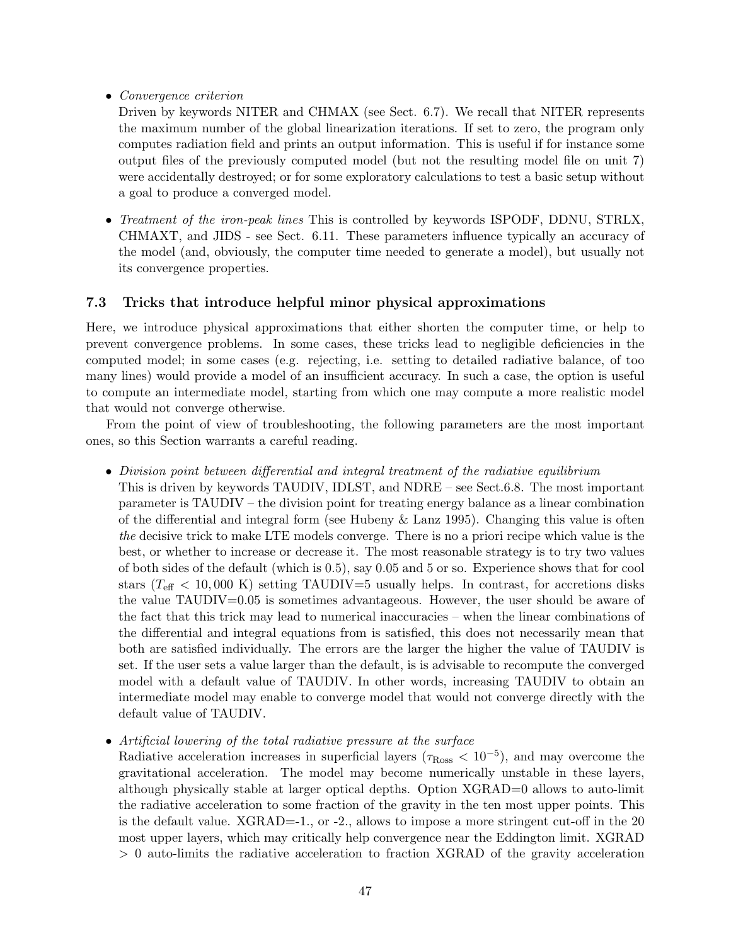• Convergence criterion

Driven by keywords NITER and CHMAX (see Sect. 6.7). We recall that NITER represents the maximum number of the global linearization iterations. If set to zero, the program only computes radiation field and prints an output information. This is useful if for instance some output files of the previously computed model (but not the resulting model file on unit 7) were accidentally destroyed; or for some exploratory calculations to test a basic setup without a goal to produce a converged model.

• Treatment of the iron-peak lines This is controlled by keywords ISPODF, DDNU, STRLX, CHMAXT, and JIDS - see Sect. 6.11. These parameters influence typically an accuracy of the model (and, obviously, the computer time needed to generate a model), but usually not its convergence properties.

### 7.3 Tricks that introduce helpful minor physical approximations

Here, we introduce physical approximations that either shorten the computer time, or help to prevent convergence problems. In some cases, these tricks lead to negligible deficiencies in the computed model; in some cases (e.g. rejecting, i.e. setting to detailed radiative balance, of too many lines) would provide a model of an insufficient accuracy. In such a case, the option is useful to compute an intermediate model, starting from which one may compute a more realistic model that would not converge otherwise.

From the point of view of troubleshooting, the following parameters are the most important ones, so this Section warrants a careful reading.

• Division point between differential and integral treatment of the radiative equilibrium

This is driven by keywords TAUDIV, IDLST, and NDRE – see Sect.6.8. The most important parameter is TAUDIV – the division point for treating energy balance as a linear combination of the differential and integral form (see Hubeny  $\&$  Lanz 1995). Changing this value is often the decisive trick to make LTE models converge. There is no a priori recipe which value is the best, or whether to increase or decrease it. The most reasonable strategy is to try two values of both sides of the default (which is 0.5), say 0.05 and 5 or so. Experience shows that for cool stars ( $T_{\text{eff}}$  < 10,000 K) setting TAUDIV=5 usually helps. In contrast, for accretions disks the value TAUDIV=0.05 is sometimes advantageous. However, the user should be aware of the fact that this trick may lead to numerical inaccuracies – when the linear combinations of the differential and integral equations from is satisfied, this does not necessarily mean that both are satisfied individually. The errors are the larger the higher the value of TAUDIV is set. If the user sets a value larger than the default, is is advisable to recompute the converged model with a default value of TAUDIV. In other words, increasing TAUDIV to obtain an intermediate model may enable to converge model that would not converge directly with the default value of TAUDIV.

• Artificial lowering of the total radiative pressure at the surface

Radiative acceleration increases in superficial layers ( $\tau_{\rm Ross} < 10^{-5}$ ), and may overcome the gravitational acceleration. The model may become numerically unstable in these layers, although physically stable at larger optical depths. Option XGRAD=0 allows to auto-limit the radiative acceleration to some fraction of the gravity in the ten most upper points. This is the default value.  $XGRAD=1$ ., or  $-2$ ., allows to impose a more stringent cut-off in the 20 most upper layers, which may critically help convergence near the Eddington limit. XGRAD > 0 auto-limits the radiative acceleration to fraction XGRAD of the gravity acceleration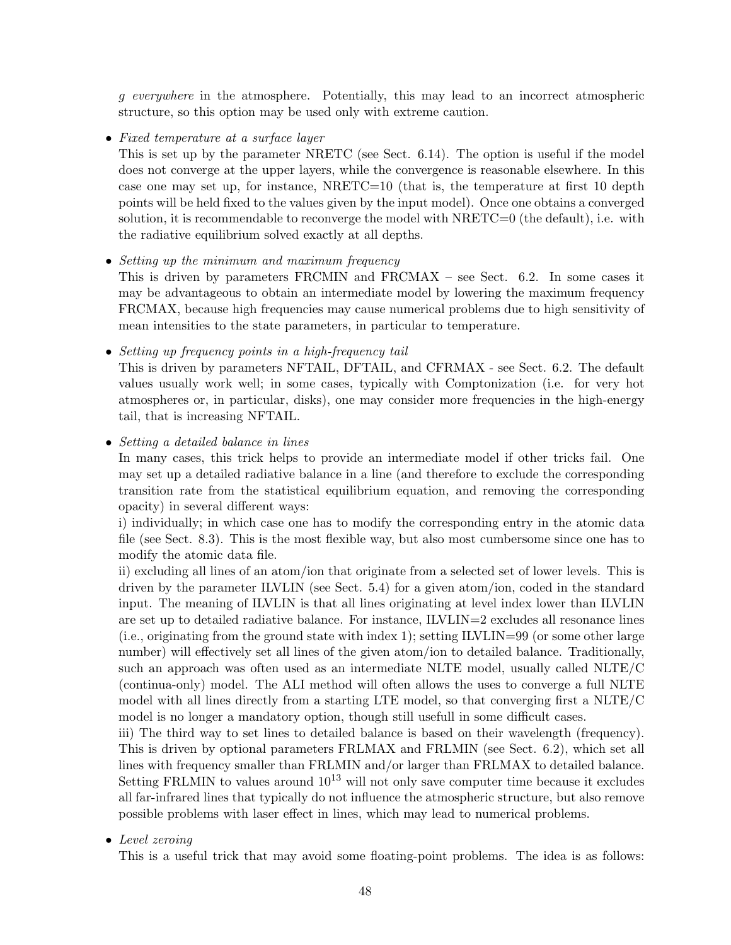g everywhere in the atmosphere. Potentially, this may lead to an incorrect atmospheric structure, so this option may be used only with extreme caution.

• Fixed temperature at a surface layer

This is set up by the parameter NRETC (see Sect. 6.14). The option is useful if the model does not converge at the upper layers, while the convergence is reasonable elsewhere. In this case one may set up, for instance,  $NRETC=10$  (that is, the temperature at first 10 depth points will be held fixed to the values given by the input model). Once one obtains a converged solution, it is recommendable to reconverge the model with NRETC=0 (the default), i.e. with the radiative equilibrium solved exactly at all depths.

• Setting up the minimum and maximum frequency

This is driven by parameters FRCMIN and FRCMAX – see Sect. 6.2. In some cases it may be advantageous to obtain an intermediate model by lowering the maximum frequency FRCMAX, because high frequencies may cause numerical problems due to high sensitivity of mean intensities to the state parameters, in particular to temperature.

• Setting up frequency points in a high-frequency tail

This is driven by parameters NFTAIL, DFTAIL, and CFRMAX - see Sect. 6.2. The default values usually work well; in some cases, typically with Comptonization (i.e. for very hot atmospheres or, in particular, disks), one may consider more frequencies in the high-energy tail, that is increasing NFTAIL.

• Setting a detailed balance in lines

In many cases, this trick helps to provide an intermediate model if other tricks fail. One may set up a detailed radiative balance in a line (and therefore to exclude the corresponding transition rate from the statistical equilibrium equation, and removing the corresponding opacity) in several different ways:

i) individually; in which case one has to modify the corresponding entry in the atomic data file (see Sect. 8.3). This is the most flexible way, but also most cumbersome since one has to modify the atomic data file.

ii) excluding all lines of an atom/ion that originate from a selected set of lower levels. This is driven by the parameter ILVLIN (see Sect. 5.4) for a given atom/ion, coded in the standard input. The meaning of ILVLIN is that all lines originating at level index lower than ILVLIN are set up to detailed radiative balance. For instance, ILVLIN=2 excludes all resonance lines (i.e., originating from the ground state with index 1); setting ILVLIN=99 (or some other large number) will effectively set all lines of the given atom/ion to detailed balance. Traditionally, such an approach was often used as an intermediate NLTE model, usually called NLTE/C (continua-only) model. The ALI method will often allows the uses to converge a full NLTE model with all lines directly from a starting LTE model, so that converging first a NLTE/C model is no longer a mandatory option, though still usefull in some difficult cases.

iii) The third way to set lines to detailed balance is based on their wavelength (frequency). This is driven by optional parameters FRLMAX and FRLMIN (see Sect. 6.2), which set all lines with frequency smaller than FRLMIN and/or larger than FRLMAX to detailed balance. Setting FRLMIN to values around  $10^{13}$  will not only save computer time because it excludes all far-infrared lines that typically do not influence the atmospheric structure, but also remove possible problems with laser effect in lines, which may lead to numerical problems.

• Level zeroing

This is a useful trick that may avoid some floating-point problems. The idea is as follows: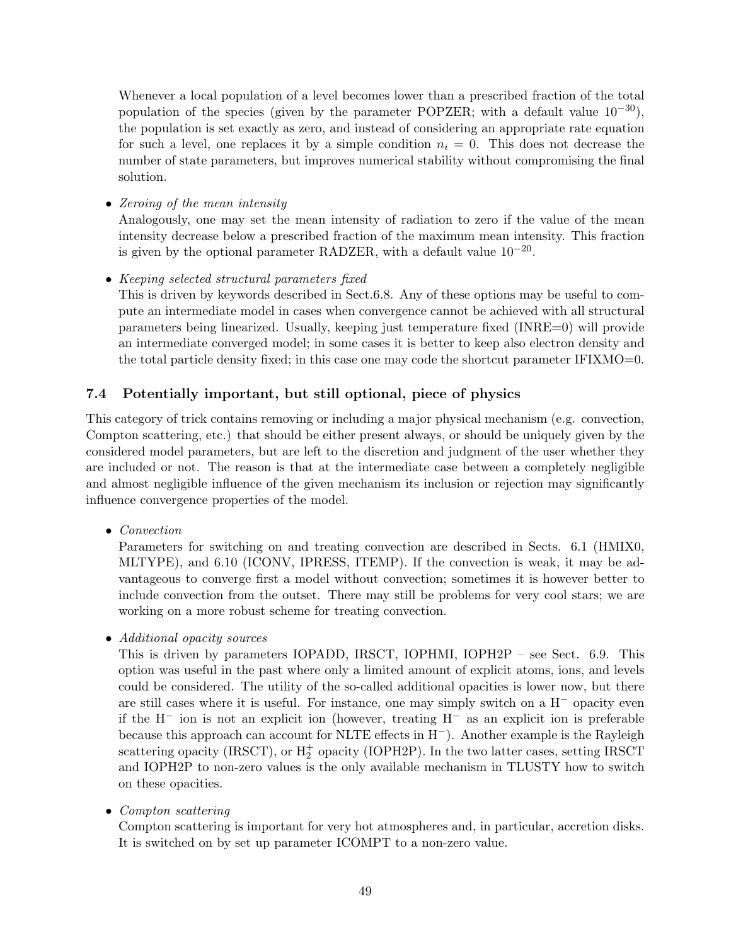Whenever a local population of a level becomes lower than a prescribed fraction of the total population of the species (given by the parameter POPZER; with a default value  $10^{-30}$ ), the population is set exactly as zero, and instead of considering an appropriate rate equation for such a level, one replaces it by a simple condition  $n<sub>i</sub> = 0$ . This does not decrease the number of state parameters, but improves numerical stability without compromising the final solution.

• Zeroing of the mean intensity

Analogously, one may set the mean intensity of radiation to zero if the value of the mean intensity decrease below a prescribed fraction of the maximum mean intensity. This fraction is given by the optional parameter RADZER, with a default value  $10^{-20}$ .

• Keeping selected structural parameters fixed

This is driven by keywords described in Sect.6.8. Any of these options may be useful to compute an intermediate model in cases when convergence cannot be achieved with all structural parameters being linearized. Usually, keeping just temperature fixed (INRE=0) will provide an intermediate converged model; in some cases it is better to keep also electron density and the total particle density fixed; in this case one may code the shortcut parameter IFIXMO=0.

### 7.4 Potentially important, but still optional, piece of physics

This category of trick contains removing or including a major physical mechanism (e.g. convection, Compton scattering, etc.) that should be either present always, or should be uniquely given by the considered model parameters, but are left to the discretion and judgment of the user whether they are included or not. The reason is that at the intermediate case between a completely negligible and almost negligible influence of the given mechanism its inclusion or rejection may significantly influence convergence properties of the model.

• Convection

Parameters for switching on and treating convection are described in Sects. 6.1 (HMIX0, MLTYPE), and 6.10 (ICONV, IPRESS, ITEMP). If the convection is weak, it may be advantageous to converge first a model without convection; sometimes it is however better to include convection from the outset. There may still be problems for very cool stars; we are working on a more robust scheme for treating convection.

• Additional opacity sources

This is driven by parameters IOPADD, IRSCT, IOPHMI, IOPH2P – see Sect. 6.9. This option was useful in the past where only a limited amount of explicit atoms, ions, and levels could be considered. The utility of the so-called additional opacities is lower now, but there are still cases where it is useful. For instance, one may simply switch on a H<sup>−</sup> opacity even if the H<sup>−</sup> ion is not an explicit ion (however, treating H<sup>−</sup> as an explicit ion is preferable because this approach can account for NLTE effects in H−). Another example is the Rayleigh scattering opacity (IRSCT), or  $H_2^+$  opacity (IOPH2P). In the two latter cases, setting IRSCT and IOPH2P to non-zero values is the only available mechanism in TLUSTY how to switch on these opacities.

• Compton scattering

Compton scattering is important for very hot atmospheres and, in particular, accretion disks. It is switched on by set up parameter ICOMPT to a non-zero value.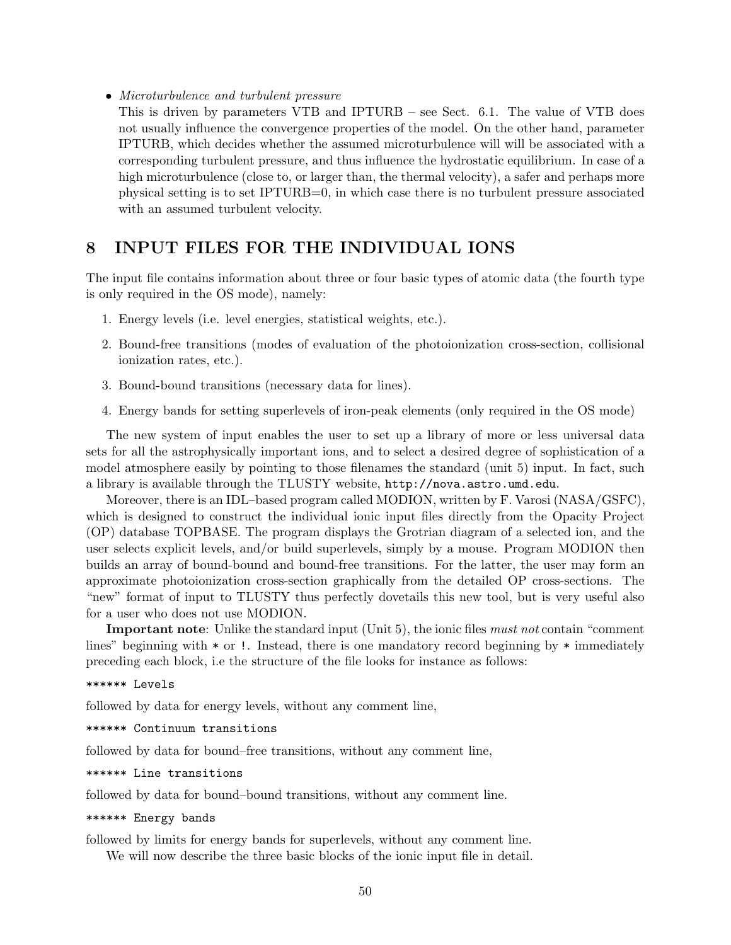• Microturbulence and turbulent pressure

This is driven by parameters VTB and IPTURB – see Sect. 6.1. The value of VTB does not usually influence the convergence properties of the model. On the other hand, parameter IPTURB, which decides whether the assumed microturbulence will will be associated with a corresponding turbulent pressure, and thus influence the hydrostatic equilibrium. In case of a high microturbulence (close to, or larger than, the thermal velocity), a safer and perhaps more physical setting is to set IPTURB=0, in which case there is no turbulent pressure associated with an assumed turbulent velocity.

# 8 INPUT FILES FOR THE INDIVIDUAL IONS

The input file contains information about three or four basic types of atomic data (the fourth type is only required in the OS mode), namely:

- 1. Energy levels (i.e. level energies, statistical weights, etc.).
- 2. Bound-free transitions (modes of evaluation of the photoionization cross-section, collisional ionization rates, etc.).
- 3. Bound-bound transitions (necessary data for lines).
- 4. Energy bands for setting superlevels of iron-peak elements (only required in the OS mode)

The new system of input enables the user to set up a library of more or less universal data sets for all the astrophysically important ions, and to select a desired degree of sophistication of a model atmosphere easily by pointing to those filenames the standard (unit 5) input. In fact, such a library is available through the TLUSTY website, http://nova.astro.umd.edu.

Moreover, there is an IDL–based program called MODION, written by F. Varosi (NASA/GSFC), which is designed to construct the individual ionic input files directly from the Opacity Project (OP) database TOPBASE. The program displays the Grotrian diagram of a selected ion, and the user selects explicit levels, and/or build superlevels, simply by a mouse. Program MODION then builds an array of bound-bound and bound-free transitions. For the latter, the user may form an approximate photoionization cross-section graphically from the detailed OP cross-sections. The "new" format of input to TLUSTY thus perfectly dovetails this new tool, but is very useful also for a user who does not use MODION.

Important note: Unlike the standard input (Unit 5), the ionic files *must not* contain "comment" lines" beginning with  $*$  or !. Instead, there is one mandatory record beginning by  $*$  immediately preceding each block, i.e the structure of the file looks for instance as follows:

#### \*\*\*\*\*\* Levels

followed by data for energy levels, without any comment line,

\*\*\*\*\*\* Continuum transitions

followed by data for bound–free transitions, without any comment line,

\*\*\*\*\*\* Line transitions

followed by data for bound–bound transitions, without any comment line.

#### \*\*\*\*\*\* Energy bands

followed by limits for energy bands for superlevels, without any comment line. We will now describe the three basic blocks of the ionic input file in detail.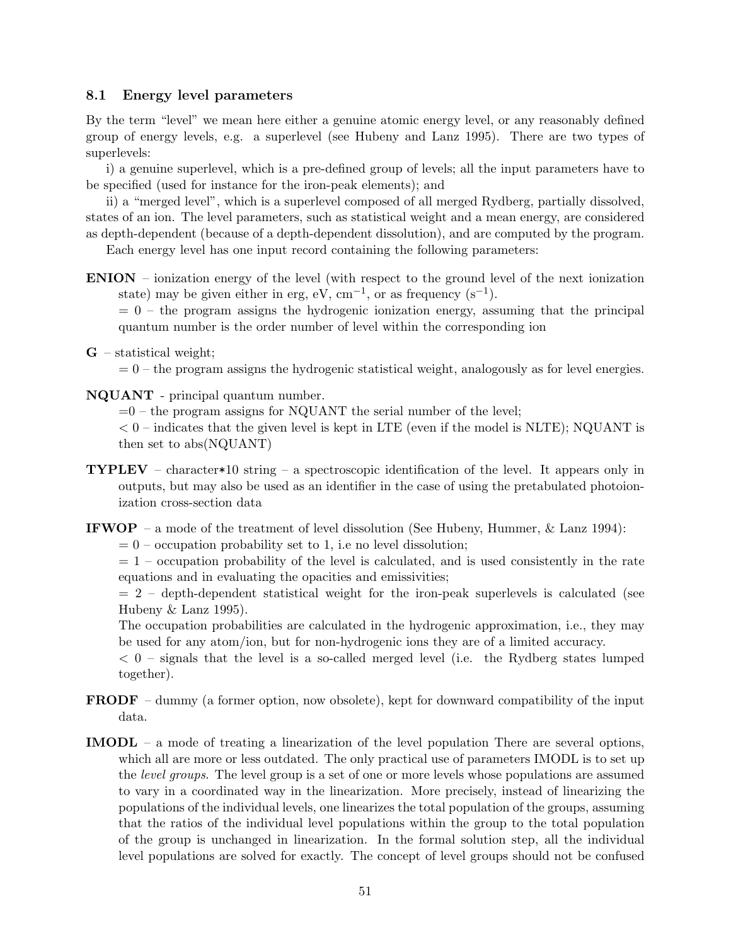### 8.1 Energy level parameters

By the term "level" we mean here either a genuine atomic energy level, or any reasonably defined group of energy levels, e.g. a superlevel (see Hubeny and Lanz 1995). There are two types of superlevels:

i) a genuine superlevel, which is a pre-defined group of levels; all the input parameters have to be specified (used for instance for the iron-peak elements); and

ii) a "merged level", which is a superlevel composed of all merged Rydberg, partially dissolved, states of an ion. The level parameters, such as statistical weight and a mean energy, are considered as depth-dependent (because of a depth-dependent dissolution), and are computed by the program.

Each energy level has one input record containing the following parameters:

ENION – ionization energy of the level (with respect to the ground level of the next ionization state) may be given either in erg, eV,  $cm^{-1}$ , or as frequency  $(s^{-1})$ .

 $= 0$  – the program assigns the hydrogenic ionization energy, assuming that the principal quantum number is the order number of level within the corresponding ion

 $G$  – statistical weight;

 $= 0$  – the program assigns the hydrogenic statistical weight, analogously as for level energies.

NQUANT - principal quantum number.

 $=0$  – the program assigns for NQUANT the serial number of the level;

 $< 0$  – indicates that the given level is kept in LTE (even if the model is NLTE); NQUANT is then set to abs(NQUANT)

**TYPLEV** – character\*10 string – a spectroscopic identification of the level. It appears only in outputs, but may also be used as an identifier in the case of using the pretabulated photoionization cross-section data

**IFWOP** – a mode of the treatment of level dissolution (See Hubeny, Hummer,  $\&$  Lanz 1994):

 $= 0$  – occupation probability set to 1, i.e no level dissolution;

 $= 1$  – occupation probability of the level is calculated, and is used consistently in the rate equations and in evaluating the opacities and emissivities;

 $= 2$  – depth-dependent statistical weight for the iron-peak superlevels is calculated (see Hubeny & Lanz 1995).

The occupation probabilities are calculated in the hydrogenic approximation, i.e., they may be used for any atom/ion, but for non-hydrogenic ions they are of a limited accuracy.

 $<$  0 – signals that the level is a so-called merged level (i.e. the Rydberg states lumped together).

- FRODF dummy (a former option, now obsolete), kept for downward compatibility of the input data.
- IMODL a mode of treating a linearization of the level population There are several options, which all are more or less outdated. The only practical use of parameters IMODL is to set up the level groups. The level group is a set of one or more levels whose populations are assumed to vary in a coordinated way in the linearization. More precisely, instead of linearizing the populations of the individual levels, one linearizes the total population of the groups, assuming that the ratios of the individual level populations within the group to the total population of the group is unchanged in linearization. In the formal solution step, all the individual level populations are solved for exactly. The concept of level groups should not be confused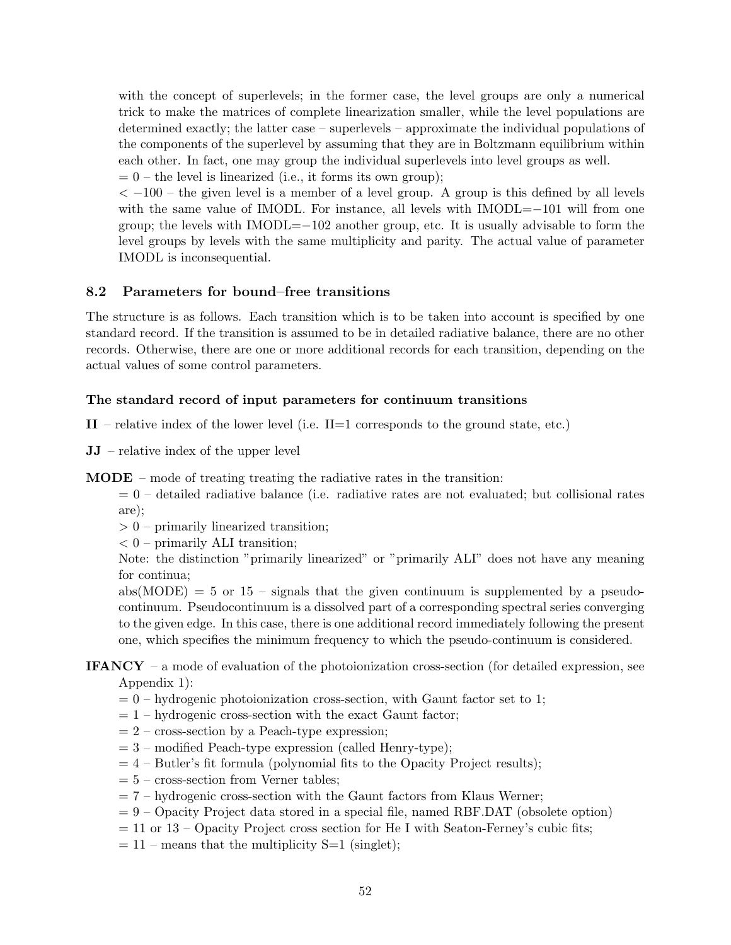with the concept of superlevels; in the former case, the level groups are only a numerical trick to make the matrices of complete linearization smaller, while the level populations are determined exactly; the latter case – superlevels – approximate the individual populations of the components of the superlevel by assuming that they are in Boltzmann equilibrium within each other. In fact, one may group the individual superlevels into level groups as well.

 $= 0$  – the level is linearized (i.e., it forms its own group);

 $<-100$  – the given level is a member of a level group. A group is this defined by all levels with the same value of IMODL. For instance, all levels with IMODL=−101 will from one group; the levels with IMODL=−102 another group, etc. It is usually advisable to form the level groups by levels with the same multiplicity and parity. The actual value of parameter IMODL is inconsequential.

### 8.2 Parameters for bound–free transitions

The structure is as follows. Each transition which is to be taken into account is specified by one standard record. If the transition is assumed to be in detailed radiative balance, there are no other records. Otherwise, there are one or more additional records for each transition, depending on the actual values of some control parameters.

### The standard record of input parameters for continuum transitions

 $II$  – relative index of the lower level (i.e.  $II=1$  corresponds to the ground state, etc.)

JJ – relative index of the upper level

MODE – mode of treating treating the radiative rates in the transition:

 $= 0$  – detailed radiative balance (i.e. radiative rates are not evaluated; but collisional rates are);

> 0 – primarily linearized transition;

 $< 0$  – primarily ALI transition;

Note: the distinction "primarily linearized" or "primarily ALI" does not have any meaning for continua;

 $abs(MODE) = 5$  or 15 – signals that the given continuum is supplemented by a pseudocontinuum. Pseudocontinuum is a dissolved part of a corresponding spectral series converging to the given edge. In this case, there is one additional record immediately following the present one, which specifies the minimum frequency to which the pseudo-continuum is considered.

### IFANCY – a mode of evaluation of the photoionization cross-section (for detailed expression, see Appendix 1):

- $= 0$  hydrogenic photoionization cross-section, with Gaunt factor set to 1;
- $= 1$  hydrogenic cross-section with the exact Gaunt factor;
- $= 2$  cross-section by a Peach-type expression;
- $= 3$  modified Peach-type expression (called Henry-type);
- $= 4$  Butler's fit formula (polynomial fits to the Opacity Project results);
- $= 5$  cross-section from Verner tables;
- $= 7$  hydrogenic cross-section with the Gaunt factors from Klaus Werner;
- $= 9$  Opacity Project data stored in a special file, named RBF.DAT (obsolete option)
- $= 11$  or  $13 -$ Opacity Project cross section for He I with Seaton-Ferney's cubic fits;
- $= 11$  means that the multiplicity S=1 (singlet);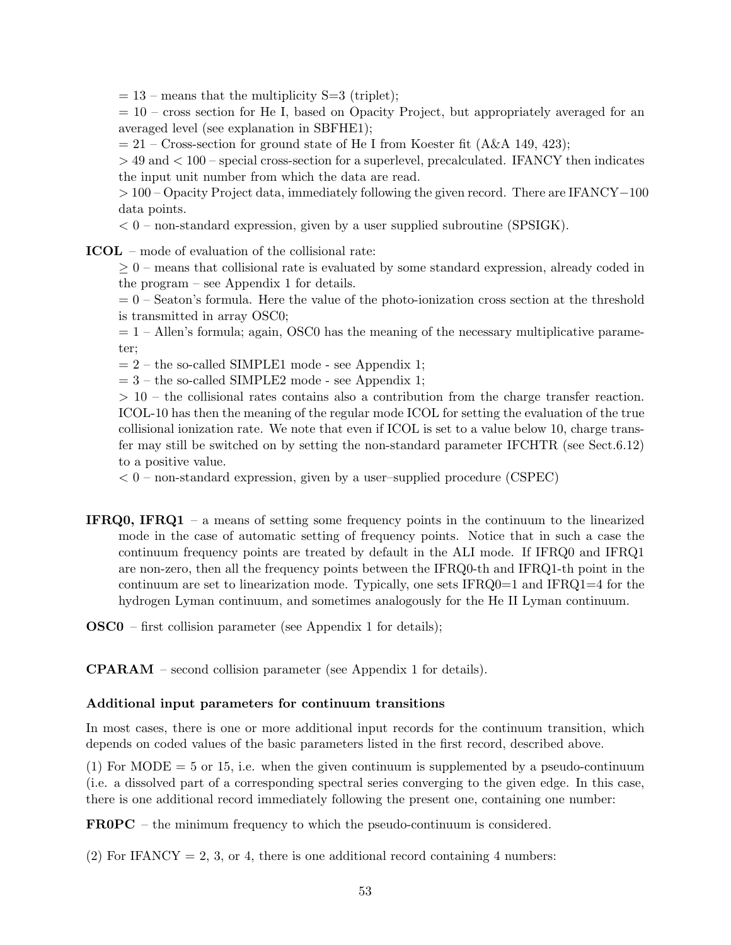$= 13$  – means that the multiplicity S=3 (triplet);

 $= 10$  – cross section for He I, based on Opacity Project, but appropriately averaged for an averaged level (see explanation in SBFHE1);

 $= 21$  – Cross-section for ground state of He I from Koester fit (A&A 149, 423);

> 49 and < 100 – special cross-section for a superlevel, precalculated. IFANCY then indicates the input unit number from which the data are read.

> 100 – Opacity Project data, immediately following the given record. There are IFANCY−100 data points.

 $< 0$  – non-standard expression, given by a user supplied subroutine (SPSIGK).

ICOL – mode of evaluation of the collisional rate:

 $\geq 0$  – means that collisional rate is evaluated by some standard expression, already coded in the program – see Appendix 1 for details.

 $= 0$  – Seaton's formula. Here the value of the photo-ionization cross section at the threshold is transmitted in array OSC0;

 $= 1$  – Allen's formula; again, OSC0 has the meaning of the necessary multiplicative parameter;

 $= 2$  – the so-called SIMPLE1 mode - see Appendix 1;

 $= 3$  – the so-called SIMPLE2 mode - see Appendix 1;

 $> 10$  – the collisional rates contains also a contribution from the charge transfer reaction. ICOL-10 has then the meaning of the regular mode ICOL for setting the evaluation of the true collisional ionization rate. We note that even if ICOL is set to a value below 10, charge transfer may still be switched on by setting the non-standard parameter IFCHTR (see Sect.6.12) to a positive value.

 $< 0$  – non-standard expression, given by a user–supplied procedure (CSPEC)

IFRQ0, IFRQ1 – a means of setting some frequency points in the continuum to the linearized mode in the case of automatic setting of frequency points. Notice that in such a case the continuum frequency points are treated by default in the ALI mode. If IFRQ0 and IFRQ1 are non-zero, then all the frequency points between the IFRQ0-th and IFRQ1-th point in the continuum are set to linearization mode. Typically, one sets  $IFRQ0=1$  and  $IFRQ1=4$  for the hydrogen Lyman continuum, and sometimes analogously for the He II Lyman continuum.

OSC0 – first collision parameter (see Appendix 1 for details);

CPARAM – second collision parameter (see Appendix 1 for details).

#### Additional input parameters for continuum transitions

In most cases, there is one or more additional input records for the continuum transition, which depends on coded values of the basic parameters listed in the first record, described above.

(1) For MODE  $=$  5 or 15, i.e. when the given continuum is supplemented by a pseudo-continuum (i.e. a dissolved part of a corresponding spectral series converging to the given edge. In this case, there is one additional record immediately following the present one, containing one number:

FR0PC – the minimum frequency to which the pseudo-continuum is considered.

(2) For IFANCY = 2, 3, or 4, there is one additional record containing 4 numbers: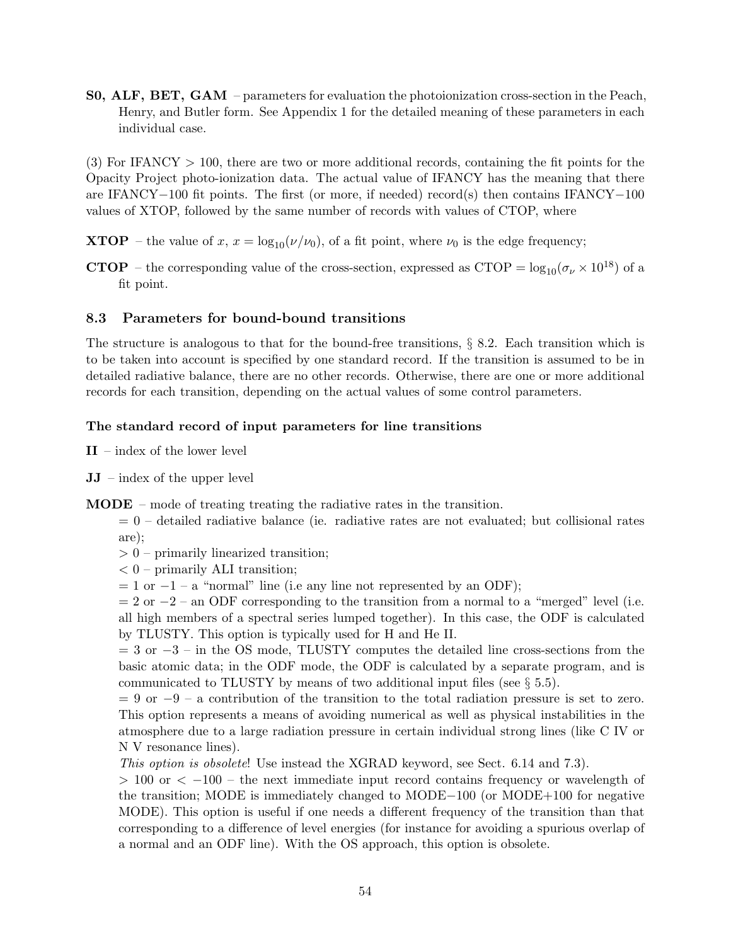S0, ALF, BET, GAM – parameters for evaluation the photoionization cross-section in the Peach, Henry, and Butler form. See Appendix 1 for the detailed meaning of these parameters in each individual case.

(3) For IFANCY > 100, there are two or more additional records, containing the fit points for the Opacity Project photo-ionization data. The actual value of IFANCY has the meaning that there are IFANCY−100 fit points. The first (or more, if needed) record(s) then contains IFANCY−100 values of XTOP, followed by the same number of records with values of CTOP, where

**XTOP** – the value of x,  $x = \log_{10}(\nu/\nu_0)$ , of a fit point, where  $\nu_0$  is the edge frequency;

**CTOP** – the corresponding value of the cross-section, expressed as CTOP =  $log_{10}(\sigma_{\nu} \times 10^{18})$  of a fit point.

### 8.3 Parameters for bound-bound transitions

The structure is analogous to that for the bound-free transitions, § 8.2. Each transition which is to be taken into account is specified by one standard record. If the transition is assumed to be in detailed radiative balance, there are no other records. Otherwise, there are one or more additional records for each transition, depending on the actual values of some control parameters.

#### The standard record of input parameters for line transitions

II – index of the lower level

- JJ index of the upper level
- MODE mode of treating treating the radiative rates in the transition.

 $= 0$  – detailed radiative balance (ie. radiative rates are not evaluated; but collisional rates are);

- > 0 primarily linearized transition;
- $< 0$  primarily ALI transition;
- $= 1$  or  $-1 a$  "normal" line (i.e any line not represented by an ODF);

 $= 2$  or  $-2$  – an ODF corresponding to the transition from a normal to a "merged" level (i.e. all high members of a spectral series lumped together). In this case, the ODF is calculated by TLUSTY. This option is typically used for H and He II.

 $= 3$  or  $-3$  – in the OS mode, TLUSTY computes the detailed line cross-sections from the basic atomic data; in the ODF mode, the ODF is calculated by a separate program, and is communicated to TLUSTY by means of two additional input files (see  $\S 5.5$ ).

 $= 9$  or  $-9 - a$  contribution of the transition to the total radiation pressure is set to zero. This option represents a means of avoiding numerical as well as physical instabilities in the atmosphere due to a large radiation pressure in certain individual strong lines (like C IV or N V resonance lines).

This option is obsolete! Use instead the XGRAD keyword, see Sect. 6.14 and 7.3).

 $> 100$  or  $<-100$  – the next immediate input record contains frequency or wavelength of the transition; MODE is immediately changed to MODE−100 (or MODE+100 for negative MODE). This option is useful if one needs a different frequency of the transition than that corresponding to a difference of level energies (for instance for avoiding a spurious overlap of a normal and an ODF line). With the OS approach, this option is obsolete.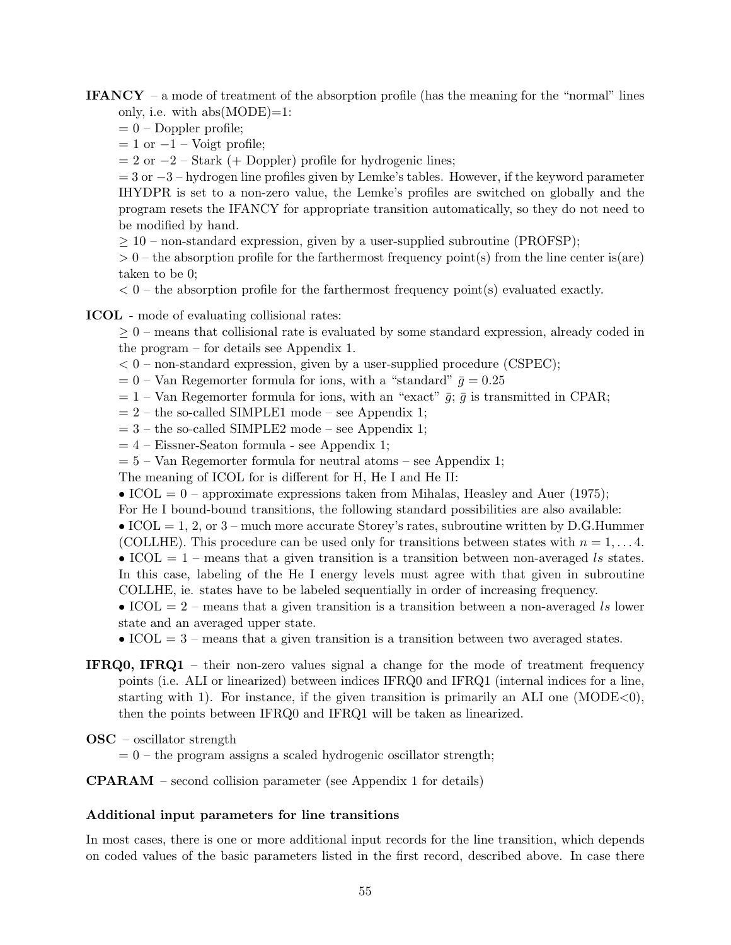**IFANCY** – a mode of treatment of the absorption profile (has the meaning for the "normal" lines only, i.e. with  $abs(MODE)=1$ :

- $= 0$  Doppler profile;
- $= 1$  or  $-1$  Voigt profile;
- $= 2$  or  $-2$  Stark (+ Doppler) profile for hydrogenic lines;

 $= 3$  or  $-3$  – hydrogen line profiles given by Lemke's tables. However, if the keyword parameter IHYDPR is set to a non-zero value, the Lemke's profiles are switched on globally and the program resets the IFANCY for appropriate transition automatically, so they do not need to be modified by hand.

 $\geq 10$  – non-standard expression, given by a user-supplied subroutine (PROFSP);

 $> 0$  – the absorption profile for the farthermost frequency point(s) from the line center is(are) taken to be 0;

 $< 0$  – the absorption profile for the farthermost frequency point(s) evaluated exactly.

ICOL - mode of evaluating collisional rates:

 $\geq 0$  – means that collisional rate is evaluated by some standard expression, already coded in the program – for details see Appendix 1.

- $< 0$  non-standard expression, given by a user-supplied procedure (CSPEC);
- $= 0$  Van Regemorter formula for ions, with a "standard"  $\bar{g} = 0.25$
- $= 1$  Van Regemorter formula for ions, with an "exact"  $\bar{g}$ ;  $\bar{g}$  is transmitted in CPAR;
- $= 2$  the so-called SIMPLE1 mode see Appendix 1;
- $= 3$  the so-called SIMPLE2 mode see Appendix 1;
- $= 4$  Eissner-Seaton formula see Appendix 1;
- $= 5 Van Regemorter formula for neutral atoms see Appendix 1;$

The meaning of ICOL for is different for H, He I and He II:

- ICOL = 0 approximate expressions taken from Mihalas, Heasley and Auer (1975);
- For He I bound-bound transitions, the following standard possibilities are also available:
- ICOL = 1, 2, or  $3$  much more accurate Storey's rates, subroutine written by D.G.Hummer
- (COLLHE). This procedure can be used only for transitions between states with  $n = 1, \ldots 4$ .
- ICOL  $= 1$  means that a given transition is a transition between non-averaged ls states. In this case, labeling of the He I energy levels must agree with that given in subroutine
- COLLHE, ie. states have to be labeled sequentially in order of increasing frequency.

• ICOL  $= 2$  – means that a given transition is a transition between a non-averaged ls lower state and an averaged upper state.

- ICOL  $= 3$  means that a given transition is a transition between two averaged states.
- IFRQ0, IFRQ1 their non-zero values signal a change for the mode of treatment frequency points (i.e. ALI or linearized) between indices IFRQ0 and IFRQ1 (internal indices for a line, starting with 1). For instance, if the given transition is primarily an ALI one  $(MODE<0)$ , then the points between IFRQ0 and IFRQ1 will be taken as linearized.

OSC – oscillator strength

 $= 0$  – the program assigns a scaled hydrogenic oscillator strength;

CPARAM – second collision parameter (see Appendix 1 for details)

#### Additional input parameters for line transitions

In most cases, there is one or more additional input records for the line transition, which depends on coded values of the basic parameters listed in the first record, described above. In case there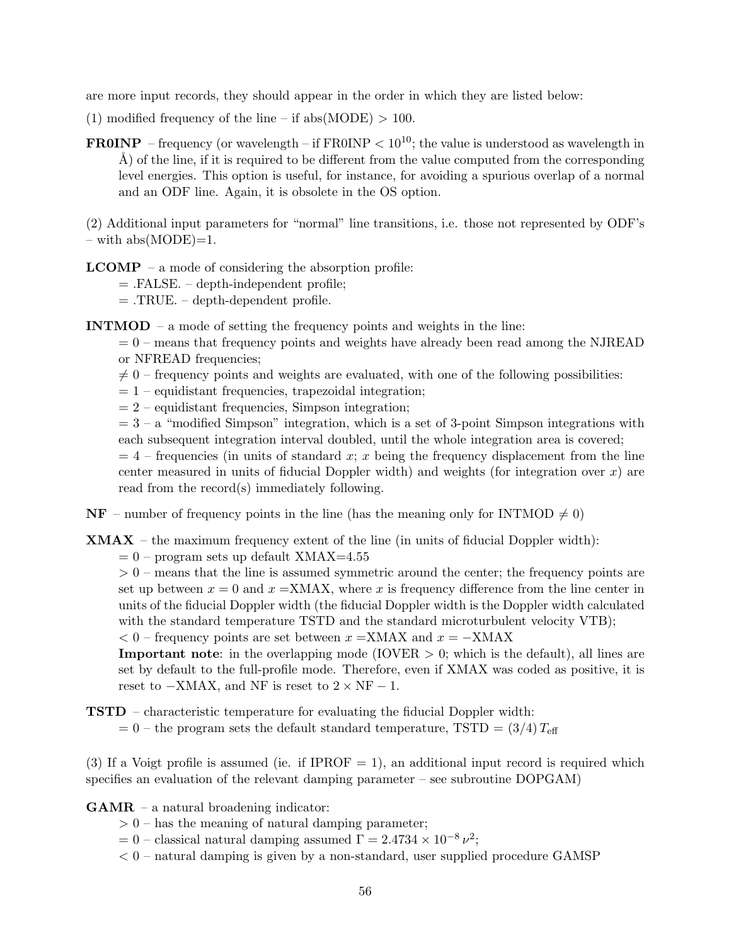are more input records, they should appear in the order in which they are listed below:

- (1) modified frequency of the line if abs(MODE)  $> 100$ .
- **FR0INP** frequency (or wavelength if FR0INP  $\lt 10^{10}$ ; the value is understood as wavelength in  $\hat{A}$ ) of the line, if it is required to be different from the value computed from the corresponding level energies. This option is useful, for instance, for avoiding a spurious overlap of a normal and an ODF line. Again, it is obsolete in the OS option.

(2) Additional input parameters for "normal" line transitions, i.e. those not represented by ODF's  $-$  with abs(MODE)=1.

 $$ 

= .FALSE. – depth-independent profile;

 $=$  .TRUE. – depth-dependent profile.

INTMOD – a mode of setting the frequency points and weights in the line:

 $= 0$  – means that frequency points and weights have already been read among the NJREAD or NFREAD frequencies;

- $\neq 0$  frequency points and weights are evaluated, with one of the following possibilities:
- $= 1$  equidistant frequencies, trapezoidal integration;
- $= 2$  equidistant frequencies, Simpson integration;
- $= 3 a$  "modified Simpson" integration, which is a set of 3-point Simpson integrations with each subsequent integration interval doubled, until the whole integration area is covered;

 $= 4$  – frequencies (in units of standard x; x being the frequency displacement from the line center measured in units of fiducial Doppler width) and weights (for integration over  $x$ ) are read from the record(s) immediately following.

 $NF$  – number of frequency points in the line (has the meaning only for INTMOD  $\neq 0$ )

**XMAX** – the maximum frequency extent of the line (in units of fiducial Doppler width):

 $= 0$  – program sets up default XMAX=4.55

 $> 0$  – means that the line is assumed symmetric around the center; the frequency points are set up between  $x = 0$  and  $x = XMAX$ , where x is frequency difference from the line center in units of the fiducial Doppler width (the fiducial Doppler width is the Doppler width calculated with the standard temperature TSTD and the standard microturbulent velocity VTB);

 $< 0$  – frequency points are set between  $x = XMAX$  and  $x = -XMAX$ 

**Important note**: in the overlapping mode (IOVER  $> 0$ ; which is the default), all lines are set by default to the full-profile mode. Therefore, even if XMAX was coded as positive, it is reset to  $-XMAX$ , and NF is reset to  $2 \times NF - 1$ .

TSTD – characteristic temperature for evaluating the fiducial Doppler width:  $= 0$  – the program sets the default standard temperature, TSTD  $= (3/4) T_{\text{eff}}$ 

(3) If a Voigt profile is assumed (ie. if IPROF  $= 1$ ), an additional input record is required which specifies an evaluation of the relevant damping parameter – see subroutine DOPGAM)

- GAMR a natural broadening indicator:
	- $> 0$  has the meaning of natural damping parameter;
	- $= 0$  classical natural damping assumed  $\Gamma = 2.4734 \times 10^{-8} \nu^2$ ;
	- $< 0$  natural damping is given by a non-standard, user supplied procedure GAMSP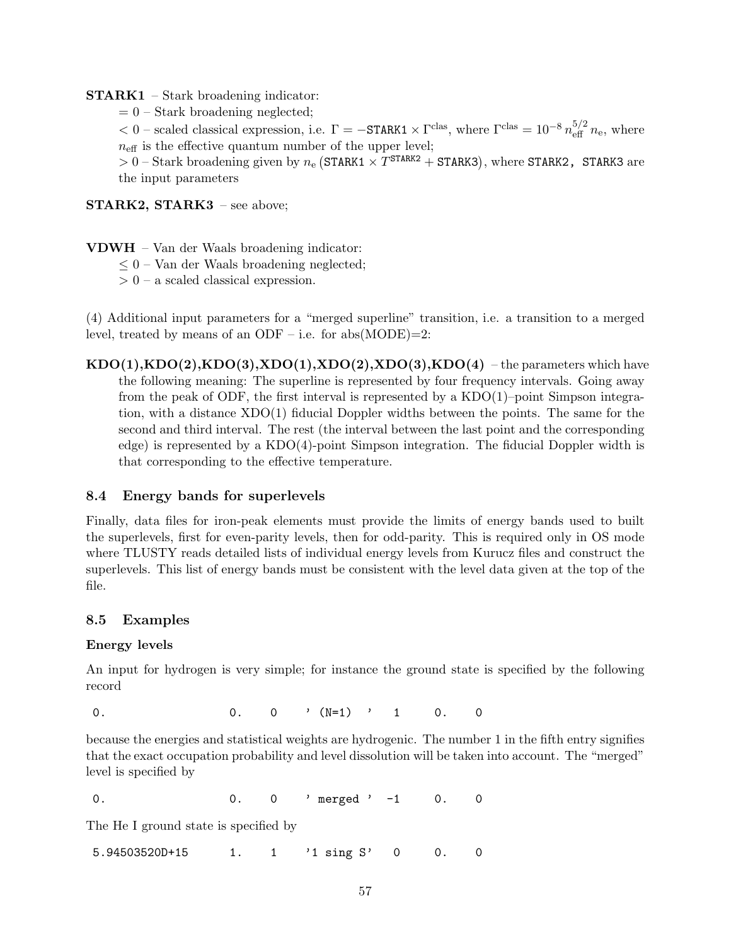#### STARK1 – Stark broadening indicator:

 $= 0$  – Stark broadening neglected;

 $< 0$  – scaled classical expression, i.e.  $\Gamma = -\text{STARK1} \times \Gamma^{\text{clas}}$ , where  $\Gamma^{\text{clas}} = 10^{-8} n_{\text{eff}}^{5/2} n_{\text{e}}$ , where  $n_{\text{eff}}$  is the effective quantum number of the upper level;

 $> 0$  – Stark broadening given by  $n_e$  (STARK1  $\times T^{STARK2}$  + STARK3), where STARK2, STARK3 are the input parameters

STARK2, STARK3 - see above;

- VDWH Van der Waals broadening indicator:
	- $\leq 0$  Van der Waals broadening neglected;
	- $> 0$  a scaled classical expression.

(4) Additional input parameters for a "merged superline" transition, i.e. a transition to a merged level, treated by means of an ODF – i.e. for  $abs(MODE)=2$ :

 $KDO(1), KDO(2), KDO(3), XDO(1), XDO(2), XDO(3), KDO(4)$  – the parameters which have the following meaning: The superline is represented by four frequency intervals. Going away from the peak of ODF, the first interval is represented by a KDO(1)–point Simpson integration, with a distance XDO(1) fiducial Doppler widths between the points. The same for the second and third interval. The rest (the interval between the last point and the corresponding edge) is represented by a KDO(4)-point Simpson integration. The fiducial Doppler width is that corresponding to the effective temperature.

### 8.4 Energy bands for superlevels

Finally, data files for iron-peak elements must provide the limits of energy bands used to built the superlevels, first for even-parity levels, then for odd-parity. This is required only in OS mode where TLUSTY reads detailed lists of individual energy levels from Kurucz files and construct the superlevels. This list of energy bands must be consistent with the level data given at the top of the file.

#### 8.5 Examples

#### Energy levels

An input for hydrogen is very simple; for instance the ground state is specified by the following record

0. 0. 0  $\sqrt{N=1}$  , 1 0. 0

because the energies and statistical weights are hydrogenic. The number 1 in the fifth entry signifies that the exact occupation probability and level dissolution will be taken into account. The "merged" level is specified by

0. 0 0. 0 merged ' -1 0. 0

The He I ground state is specified by

5.94503520D+15 1. 1 '1 sing S' 0 0. 0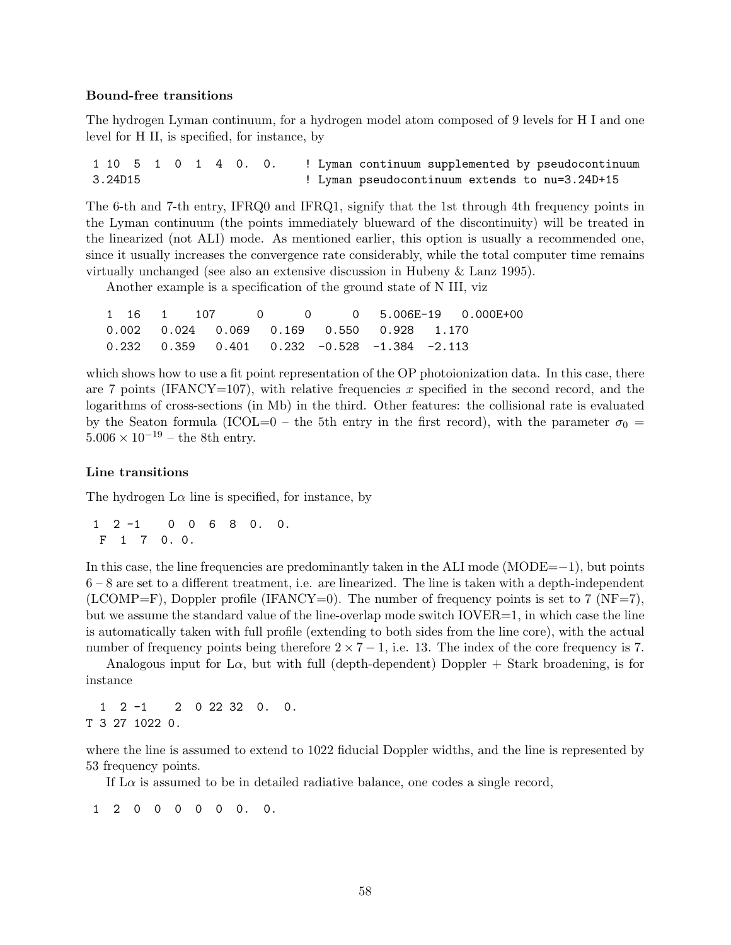#### Bound-free transitions

The hydrogen Lyman continuum, for a hydrogen model atom composed of 9 levels for H I and one level for H II, is specified, for instance, by

1 10 5 1 0 1 4 0. 0. ! Lyman continuum supplemented by pseudocontinuum 3.24D15 ! Lyman pseudocontinuum extends to nu=3.24D+15

The 6-th and 7-th entry, IFRQ0 and IFRQ1, signify that the 1st through 4th frequency points in the Lyman continuum (the points immediately blueward of the discontinuity) will be treated in the linearized (not ALI) mode. As mentioned earlier, this option is usually a recommended one, since it usually increases the convergence rate considerably, while the total computer time remains virtually unchanged (see also an extensive discussion in Hubeny & Lanz 1995).

Another example is a specification of the ground state of N III, viz

|  |  |  |  | $1 \quad 16 \quad 1 \quad 107 \quad 0 \quad 0 \quad 0 \quad 5.006E-19 \quad 0.000E+00$ |
|--|--|--|--|----------------------------------------------------------------------------------------|
|  |  |  |  |                                                                                        |
|  |  |  |  |                                                                                        |

which shows how to use a fit point representation of the OP photoionization data. In this case, there are 7 points (IFANCY=107), with relative frequencies x specified in the second record, and the logarithms of cross-sections (in Mb) in the third. Other features: the collisional rate is evaluated by the Seaton formula (ICOL=0 – the 5th entry in the first record), with the parameter  $\sigma_0$  =  $5.006 \times 10^{-19}$  – the 8th entry.

#### Line transitions

The hydrogen  $L\alpha$  line is specified, for instance, by

1 2 -1 0 0 6 8 0. 0. F 1 7 0. 0.

In this case, the line frequencies are predominantly taken in the ALI mode (MODE=−1), but points 6 – 8 are set to a different treatment, i.e. are linearized. The line is taken with a depth-independent  $(LCOMP=F)$ , Doppler profile (IFANCY=0). The number of frequency points is set to 7 (NF=7), but we assume the standard value of the line-overlap mode switch  $IOVER=1$ , in which case the line is automatically taken with full profile (extending to both sides from the line core), with the actual number of frequency points being therefore  $2 \times 7 - 1$ , i.e. 13. The index of the core frequency is 7.

Analogous input for L $\alpha$ , but with full (depth-dependent) Doppler + Stark broadening, is for instance

1 2 -1 2 0 22 32 0. 0. T 3 27 1022 0.

where the line is assumed to extend to 1022 fiducial Doppler widths, and the line is represented by 53 frequency points.

If  $\text{L}\alpha$  is assumed to be in detailed radiative balance, one codes a single record,

1 2 0 0 0 0 0 0. 0.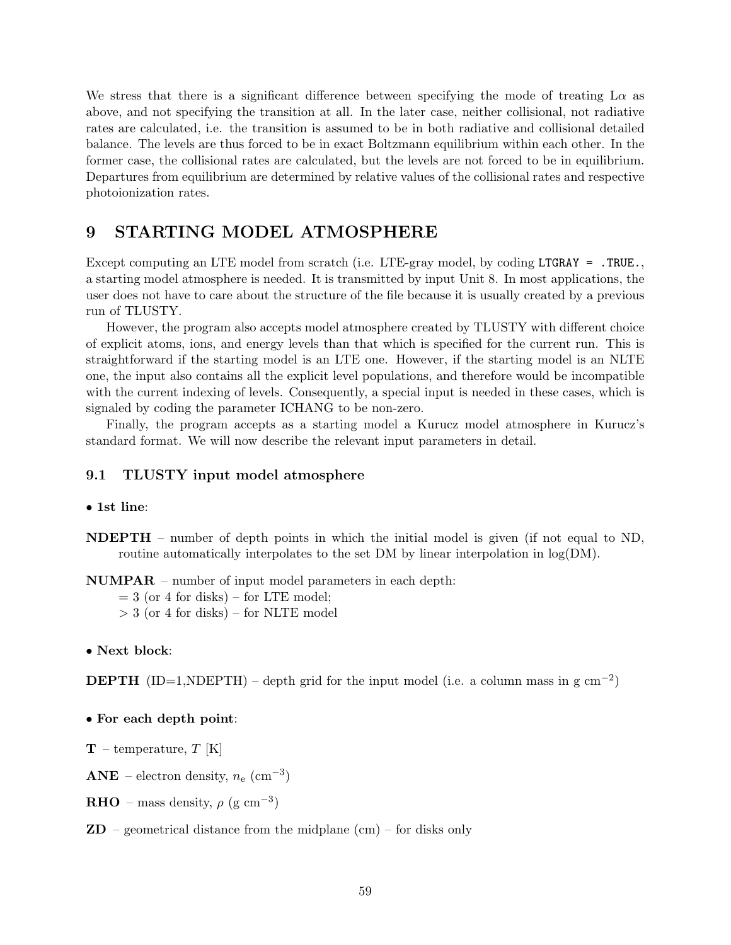We stress that there is a significant difference between specifying the mode of treating  $L\alpha$  as above, and not specifying the transition at all. In the later case, neither collisional, not radiative rates are calculated, i.e. the transition is assumed to be in both radiative and collisional detailed balance. The levels are thus forced to be in exact Boltzmann equilibrium within each other. In the former case, the collisional rates are calculated, but the levels are not forced to be in equilibrium. Departures from equilibrium are determined by relative values of the collisional rates and respective photoionization rates.

# 9 STARTING MODEL ATMOSPHERE

Except computing an LTE model from scratch (i.e. LTE-gray model, by coding LTGRAY = .TRUE. a starting model atmosphere is needed. It is transmitted by input Unit 8. In most applications, the user does not have to care about the structure of the file because it is usually created by a previous run of TLUSTY.

However, the program also accepts model atmosphere created by TLUSTY with different choice of explicit atoms, ions, and energy levels than that which is specified for the current run. This is straightforward if the starting model is an LTE one. However, if the starting model is an NLTE one, the input also contains all the explicit level populations, and therefore would be incompatible with the current indexing of levels. Consequently, a special input is needed in these cases, which is signaled by coding the parameter ICHANG to be non-zero.

Finally, the program accepts as a starting model a Kurucz model atmosphere in Kurucz's standard format. We will now describe the relevant input parameters in detail.

#### 9.1 TLUSTY input model atmosphere

• 1st line:

NDEPTH – number of depth points in which the initial model is given (if not equal to ND, routine automatically interpolates to the set DM by linear interpolation in  $log(DM)$ .

NUMPAR – number of input model parameters in each depth:

 $= 3$  (or 4 for disks) – for LTE model;

- $>$  3 (or 4 for disks) for NLTE model
- Next block:

**DEPTH** (ID=1,NDEPTH) – depth grid for the input model (i.e. a column mass in g cm<sup>-2</sup>)

#### • For each depth point:

 $T$  – temperature, T [K]

 $\mathbf{ANE}$  – electron density,  $n_e \ (\mathrm{cm}^{-3})$ 

**RHO** – mass density,  $\rho$  (g cm<sup>-3</sup>)

 $\mathbf{ZD}$  – geometrical distance from the midplane (cm) – for disks only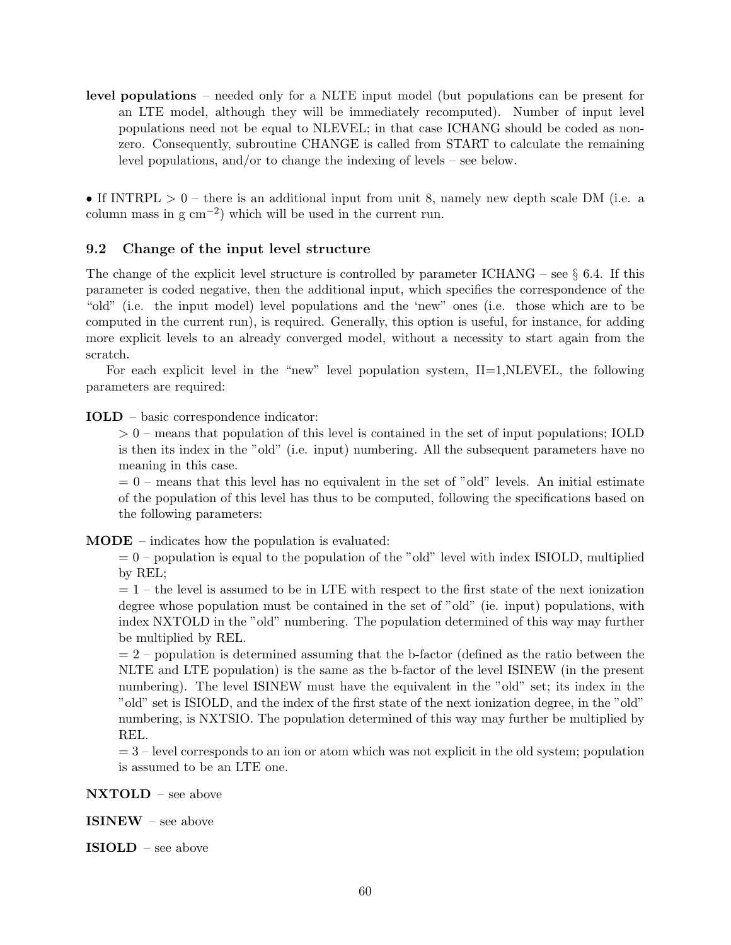level populations – needed only for a NLTE input model (but populations can be present for an LTE model, although they will be immediately recomputed). Number of input level populations need not be equal to NLEVEL; in that case ICHANG should be coded as nonzero. Consequently, subroutine CHANGE is called from START to calculate the remaining level populations, and/or to change the indexing of levels – see below.

• If INTRPL  $> 0$  – there is an additional input from unit 8, namely new depth scale DM (i.e. a column mass in  $g \text{ cm}^{-2}$ ) which will be used in the current run.

### 9.2 Change of the input level structure

The change of the explicit level structure is controlled by parameter ICHANG – see  $\S$  6.4. If this parameter is coded negative, then the additional input, which specifies the correspondence of the "old" (i.e. the input model) level populations and the 'new" ones (i.e. those which are to be computed in the current run), is required. Generally, this option is useful, for instance, for adding more explicit levels to an already converged model, without a necessity to start again from the scratch.

For each explicit level in the "new" level population system,  $II=1, NLEVEL$ , the following parameters are required:

IOLD – basic correspondence indicator:

> 0 – means that population of this level is contained in the set of input populations; IOLD is then its index in the "old" (i.e. input) numbering. All the subsequent parameters have no meaning in this case.

 $= 0$  – means that this level has no equivalent in the set of "old" levels. An initial estimate of the population of this level has thus to be computed, following the specifications based on the following parameters:

MODE – indicates how the population is evaluated:

 $= 0$  – population is equal to the population of the "old" level with index ISIOLD, multiplied by REL;

 $= 1$  – the level is assumed to be in LTE with respect to the first state of the next ionization degree whose population must be contained in the set of "old" (ie. input) populations, with index NXTOLD in the "old" numbering. The population determined of this way may further be multiplied by REL.

 $= 2$  – population is determined assuming that the b-factor (defined as the ratio between the NLTE and LTE population) is the same as the b-factor of the level ISINEW (in the present numbering). The level ISINEW must have the equivalent in the "old" set; its index in the "old" set is ISIOLD, and the index of the first state of the next ionization degree, in the "old" numbering, is NXTSIO. The population determined of this way may further be multiplied by REL.

 $= 3$  – level corresponds to an ion or atom which was not explicit in the old system; population is assumed to be an LTE one.

NXTOLD – see above

ISINEW – see above

ISIOLD – see above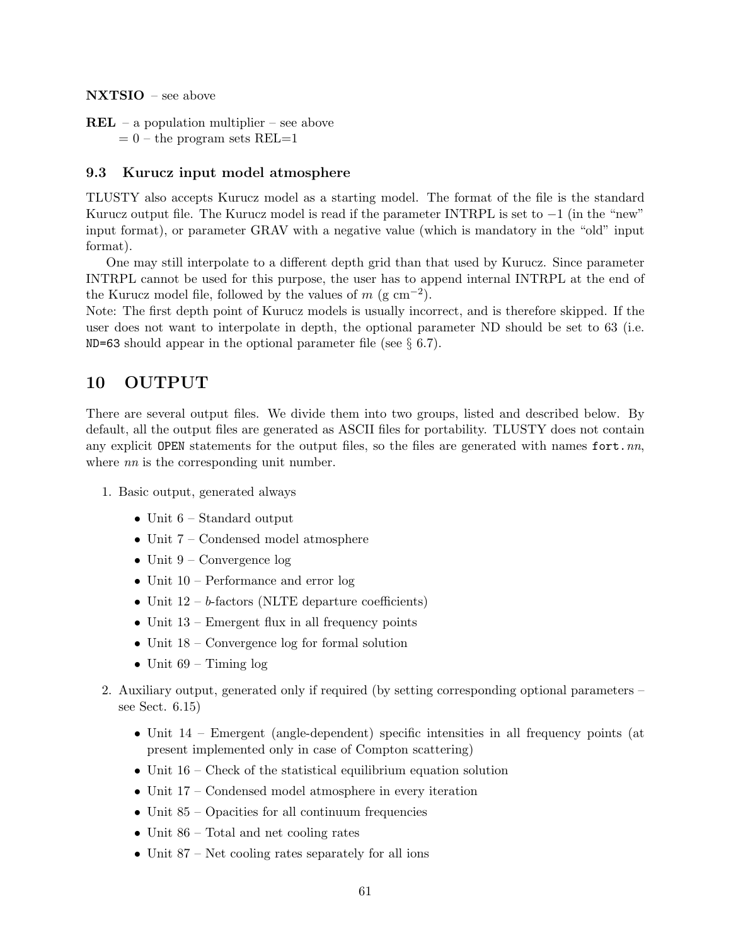NXTSIO – see above

 $REL$  – a population multiplier – see above  $= 0$  – the program sets REL $=1$ 

### 9.3 Kurucz input model atmosphere

TLUSTY also accepts Kurucz model as a starting model. The format of the file is the standard Kurucz output file. The Kurucz model is read if the parameter INTRPL is set to  $-1$  (in the "new" input format), or parameter GRAV with a negative value (which is mandatory in the "old" input format).

One may still interpolate to a different depth grid than that used by Kurucz. Since parameter INTRPL cannot be used for this purpose, the user has to append internal INTRPL at the end of the Kurucz model file, followed by the values of  $m$  (g cm<sup>-2</sup>).

Note: The first depth point of Kurucz models is usually incorrect, and is therefore skipped. If the user does not want to interpolate in depth, the optional parameter ND should be set to 63 (i.e. ND=63 should appear in the optional parameter file (see  $\S 6.7$ ).

# 10 OUTPUT

There are several output files. We divide them into two groups, listed and described below. By default, all the output files are generated as ASCII files for portability. TLUSTY does not contain any explicit OPEN statements for the output files, so the files are generated with names fort.  $nn$ , where *nn* is the corresponding unit number.

- 1. Basic output, generated always
	- Unit 6 Standard output
	- Unit 7 Condensed model atmosphere
	- Unit  $9$  Convergence log
	- Unit 10 Performance and error log
	- Unit  $12 b$ -factors (NLTE departure coefficients)
	- Unit  $13$  Emergent flux in all frequency points
	- Unit  $18$  Convergence log for formal solution
	- Unit  $69$  Timing  $\log$
- 2. Auxiliary output, generated only if required (by setting corresponding optional parameters see Sect. 6.15)
	- Unit  $14$  Emergent (angle-dependent) specific intensities in all frequency points (at present implemented only in case of Compton scattering)
	- Unit  $16$  Check of the statistical equilibrium equation solution
	- Unit 17 Condensed model atmosphere in every iteration
	- Unit 85 Opacities for all continuum frequencies
	- Unit 86 Total and net cooling rates
	- Unit  $87$  Net cooling rates separately for all ions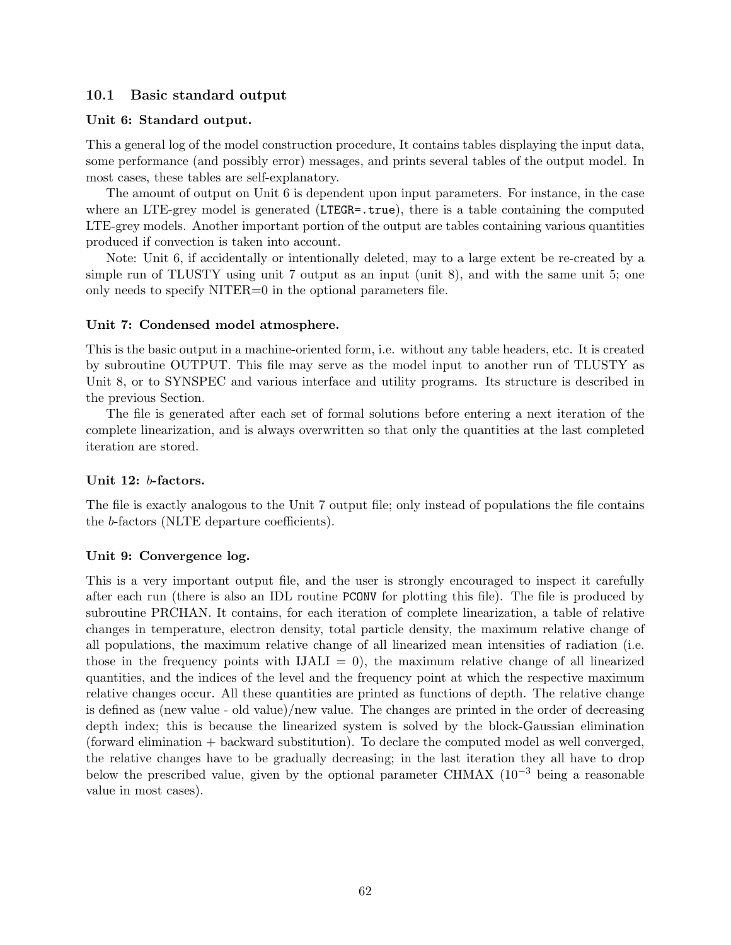### 10.1 Basic standard output

#### Unit 6: Standard output.

This a general log of the model construction procedure, It contains tables displaying the input data, some performance (and possibly error) messages, and prints several tables of the output model. In most cases, these tables are self-explanatory.

The amount of output on Unit 6 is dependent upon input parameters. For instance, in the case where an LTE-grey model is generated (LTEGR=.true), there is a table containing the computed LTE-grey models. Another important portion of the output are tables containing various quantities produced if convection is taken into account.

Note: Unit 6, if accidentally or intentionally deleted, may to a large extent be re-created by a simple run of TLUSTY using unit 7 output as an input (unit 8), and with the same unit 5; one only needs to specify NITER=0 in the optional parameters file.

### Unit 7: Condensed model atmosphere.

This is the basic output in a machine-oriented form, i.e. without any table headers, etc. It is created by subroutine OUTPUT. This file may serve as the model input to another run of TLUSTY as Unit 8, or to SYNSPEC and various interface and utility programs. Its structure is described in the previous Section.

The file is generated after each set of formal solutions before entering a next iteration of the complete linearization, and is always overwritten so that only the quantities at the last completed iteration are stored.

#### Unit 12: b-factors.

The file is exactly analogous to the Unit 7 output file; only instead of populations the file contains the b-factors (NLTE departure coefficients).

#### Unit 9: Convergence log.

This is a very important output file, and the user is strongly encouraged to inspect it carefully after each run (there is also an IDL routine PCONV for plotting this file). The file is produced by subroutine PRCHAN. It contains, for each iteration of complete linearization, a table of relative changes in temperature, electron density, total particle density, the maximum relative change of all populations, the maximum relative change of all linearized mean intensities of radiation (i.e. those in the frequency points with  $IJALI = 0$ , the maximum relative change of all linearized quantities, and the indices of the level and the frequency point at which the respective maximum relative changes occur. All these quantities are printed as functions of depth. The relative change is defined as (new value - old value)/new value. The changes are printed in the order of decreasing depth index; this is because the linearized system is solved by the block-Gaussian elimination (forward elimination + backward substitution). To declare the computed model as well converged, the relative changes have to be gradually decreasing; in the last iteration they all have to drop below the prescribed value, given by the optional parameter CHMAX (10−<sup>3</sup> being a reasonable value in most cases).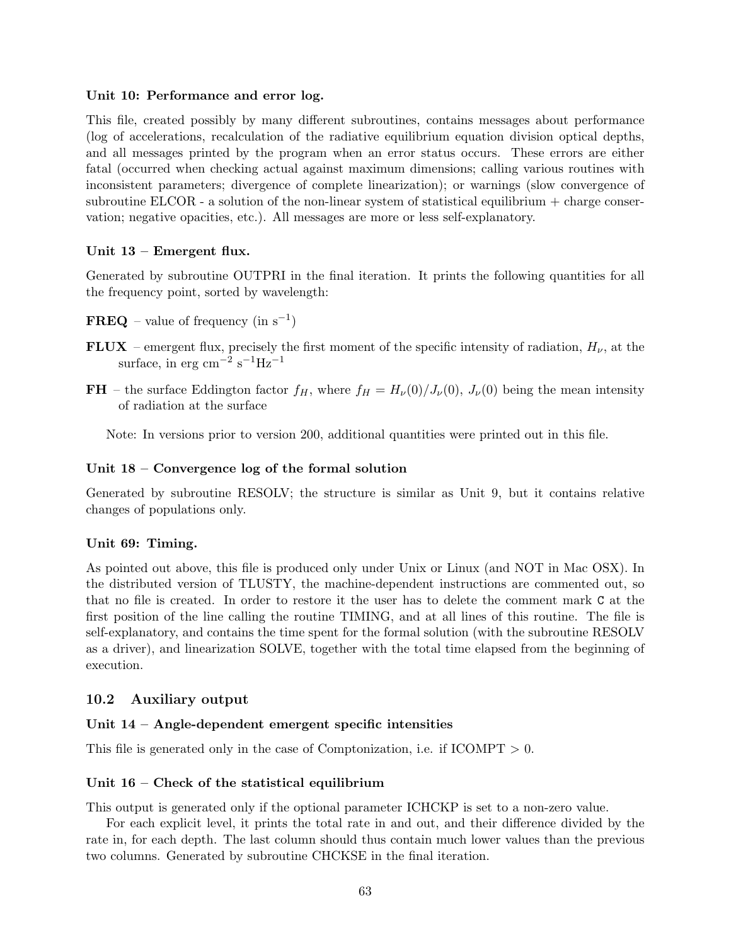#### Unit 10: Performance and error log.

This file, created possibly by many different subroutines, contains messages about performance (log of accelerations, recalculation of the radiative equilibrium equation division optical depths, and all messages printed by the program when an error status occurs. These errors are either fatal (occurred when checking actual against maximum dimensions; calling various routines with inconsistent parameters; divergence of complete linearization); or warnings (slow convergence of subroutine ELCOR - a solution of the non-linear system of statistical equilibrium  $+$  charge conservation; negative opacities, etc.). All messages are more or less self-explanatory.

### Unit 13 – Emergent flux.

Generated by subroutine OUTPRI in the final iteration. It prints the following quantities for all the frequency point, sorted by wavelength:

- $\mathbf{FREQ}$  value of frequency (in  $s^{-1}$ )
- FLUX emergent flux, precisely the first moment of the specific intensity of radiation,  $H_{\nu}$ , at the surface, in erg cm<sup>-2</sup> s<sup>-1</sup>Hz<sup>-1</sup>
- FH the surface Eddington factor  $f_H$ , where  $f_H = H_\nu(0)/J_\nu(0)$ ,  $J_\nu(0)$  being the mean intensity of radiation at the surface

Note: In versions prior to version 200, additional quantities were printed out in this file.

### Unit 18 – Convergence log of the formal solution

Generated by subroutine RESOLV; the structure is similar as Unit 9, but it contains relative changes of populations only.

#### Unit 69: Timing.

As pointed out above, this file is produced only under Unix or Linux (and NOT in Mac OSX). In the distributed version of TLUSTY, the machine-dependent instructions are commented out, so that no file is created. In order to restore it the user has to delete the comment mark C at the first position of the line calling the routine TIMING, and at all lines of this routine. The file is self-explanatory, and contains the time spent for the formal solution (with the subroutine RESOLV as a driver), and linearization SOLVE, together with the total time elapsed from the beginning of execution.

### 10.2 Auxiliary output

#### Unit 14 – Angle-dependent emergent specific intensities

This file is generated only in the case of Comptonization, i.e. if  $ICOMPT > 0$ .

#### Unit 16 – Check of the statistical equilibrium

This output is generated only if the optional parameter ICHCKP is set to a non-zero value.

For each explicit level, it prints the total rate in and out, and their difference divided by the rate in, for each depth. The last column should thus contain much lower values than the previous two columns. Generated by subroutine CHCKSE in the final iteration.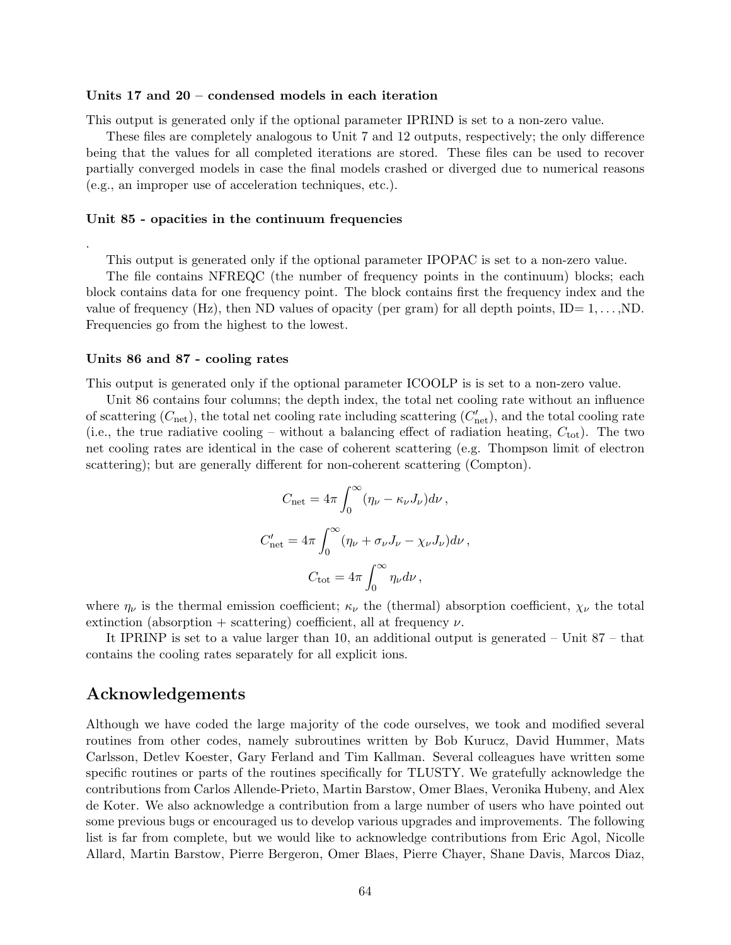#### Units 17 and 20 – condensed models in each iteration

This output is generated only if the optional parameter IPRIND is set to a non-zero value.

These files are completely analogous to Unit 7 and 12 outputs, respectively; the only difference being that the values for all completed iterations are stored. These files can be used to recover partially converged models in case the final models crashed or diverged due to numerical reasons (e.g., an improper use of acceleration techniques, etc.).

#### Unit 85 - opacities in the continuum frequencies

This output is generated only if the optional parameter IPOPAC is set to a non-zero value.

The file contains NFREQC (the number of frequency points in the continuum) blocks; each block contains data for one frequency point. The block contains first the frequency index and the value of frequency (Hz), then ND values of opacity (per gram) for all depth points,  $ID = 1, \ldots, ND$ . Frequencies go from the highest to the lowest.

#### Units 86 and 87 - cooling rates

.

This output is generated only if the optional parameter ICOOLP is is set to a non-zero value.

Unit 86 contains four columns; the depth index, the total net cooling rate without an influence of scattering  $(C_{\text{net}})$ , the total net cooling rate including scattering  $(C'_{\text{net}})$ , and the total cooling rate (i.e., the true radiative cooling – without a balancing effect of radiation heating,  $C_{\text{tot}}$ ). The two net cooling rates are identical in the case of coherent scattering (e.g. Thompson limit of electron scattering); but are generally different for non-coherent scattering (Compton).

$$
C_{\text{net}} = 4\pi \int_0^\infty (\eta_\nu - \kappa_\nu J_\nu) d\nu ,
$$
  

$$
C'_{\text{net}} = 4\pi \int_0^\infty (\eta_\nu + \sigma_\nu J_\nu - \chi_\nu J_\nu) d\nu ,
$$
  

$$
C_{\text{tot}} = 4\pi \int_0^\infty \eta_\nu d\nu ,
$$

where  $\eta_{\nu}$  is the thermal emission coefficient;  $\kappa_{\nu}$  the (thermal) absorption coefficient,  $\chi_{\nu}$  the total extinction (absorption + scattering) coefficient, all at frequency  $\nu$ .

It IPRINP is set to a value larger than 10, an additional output is generated – Unit 87 – that contains the cooling rates separately for all explicit ions.

# Acknowledgements

Although we have coded the large majority of the code ourselves, we took and modified several routines from other codes, namely subroutines written by Bob Kurucz, David Hummer, Mats Carlsson, Detlev Koester, Gary Ferland and Tim Kallman. Several colleagues have written some specific routines or parts of the routines specifically for TLUSTY. We gratefully acknowledge the contributions from Carlos Allende-Prieto, Martin Barstow, Omer Blaes, Veronika Hubeny, and Alex de Koter. We also acknowledge a contribution from a large number of users who have pointed out some previous bugs or encouraged us to develop various upgrades and improvements. The following list is far from complete, but we would like to acknowledge contributions from Eric Agol, Nicolle Allard, Martin Barstow, Pierre Bergeron, Omer Blaes, Pierre Chayer, Shane Davis, Marcos Diaz,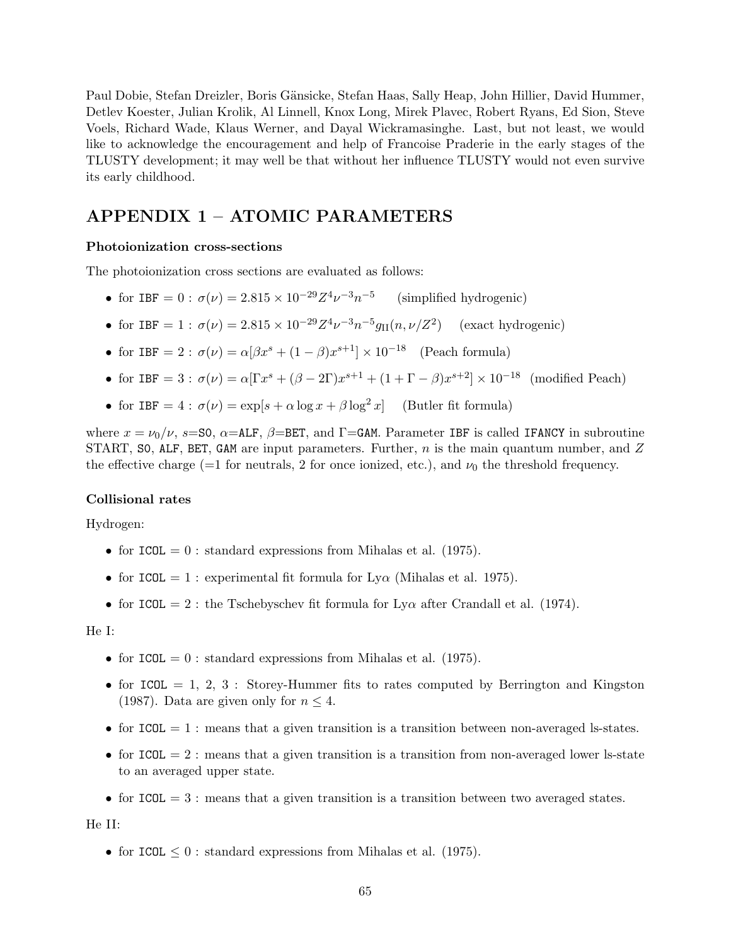Paul Dobie, Stefan Dreizler, Boris Gänsicke, Stefan Haas, Sally Heap, John Hillier, David Hummer, Detlev Koester, Julian Krolik, Al Linnell, Knox Long, Mirek Plavec, Robert Ryans, Ed Sion, Steve Voels, Richard Wade, Klaus Werner, and Dayal Wickramasinghe. Last, but not least, we would like to acknowledge the encouragement and help of Francoise Praderie in the early stages of the TLUSTY development; it may well be that without her influence TLUSTY would not even survive its early childhood.

# APPENDIX 1 – ATOMIC PARAMETERS

#### Photoionization cross-sections

The photoionization cross sections are evaluated as follows:

- for IBF =  $0: \sigma(\nu) = 2.815 \times 10^{-29} Z^4 \nu^{-3} n^{-5}$ (simplified hydrogenic)
- for IBF = 1 :  $\sigma(\nu) = 2.815 \times 10^{-29} Z^4 \nu^{-3} n^{-5} g_{II}(n, \nu/Z^2)$  (exact hydrogenic)
- for IBF = 2:  $\sigma(\nu) = \alpha[\beta x^s + (1-\beta)x^{s+1}] \times 10^{-18}$  (Peach formula)
- for IBF = 3 :  $\sigma(\nu) = \alpha [ \Gamma x^s + (\beta 2\Gamma) x^{s+1} + (1 + \Gamma \beta) x^{s+2}] \times 10^{-18}$  (modified Peach)
- for IBF =  $4$ :  $\sigma(\nu) = \exp[s + \alpha \log x + \beta \log^2 x]$  (Butler fit formula)

where  $x = \nu_0/\nu$ , s=S0,  $\alpha$ =ALF,  $\beta$ =BET, and  $\Gamma$ =GAM. Parameter IBF is called IFANCY in subroutine START, SO, ALF, BET, GAM are input parameters. Further,  $n$  is the main quantum number, and Z the effective charge (=1 for neutrals, 2 for once ionized, etc.), and  $\nu_0$  the threshold frequency.

#### Collisional rates

Hydrogen:

- for  $ICOL = 0$ : standard expressions from Mihalas et al. (1975).
- for ICOL = 1 : experimental fit formula for  $Ly\alpha$  (Mihalas et al. 1975).
- for ICOL = 2 : the Tschebyschev fit formula for  $Ly\alpha$  after Crandall et al. (1974).

#### He I:

- for ICOL  $= 0$ : standard expressions from Mihalas et al. (1975).
- for ICOL = 1, 2, 3 : Storey-Hummer fits to rates computed by Berrington and Kingston (1987). Data are given only for  $n \leq 4$ .
- for  $ICOL = 1$ : means that a given transition is a transition between non-averaged ls-states.
- for  $ICOL = 2$ : means that a given transition is a transition from non-averaged lower ls-state to an averaged upper state.
- for  $ICOL = 3$ : means that a given transition is a transition between two averaged states.

He II:

• for ICOL  $\leq 0$ : standard expressions from Mihalas et al. (1975).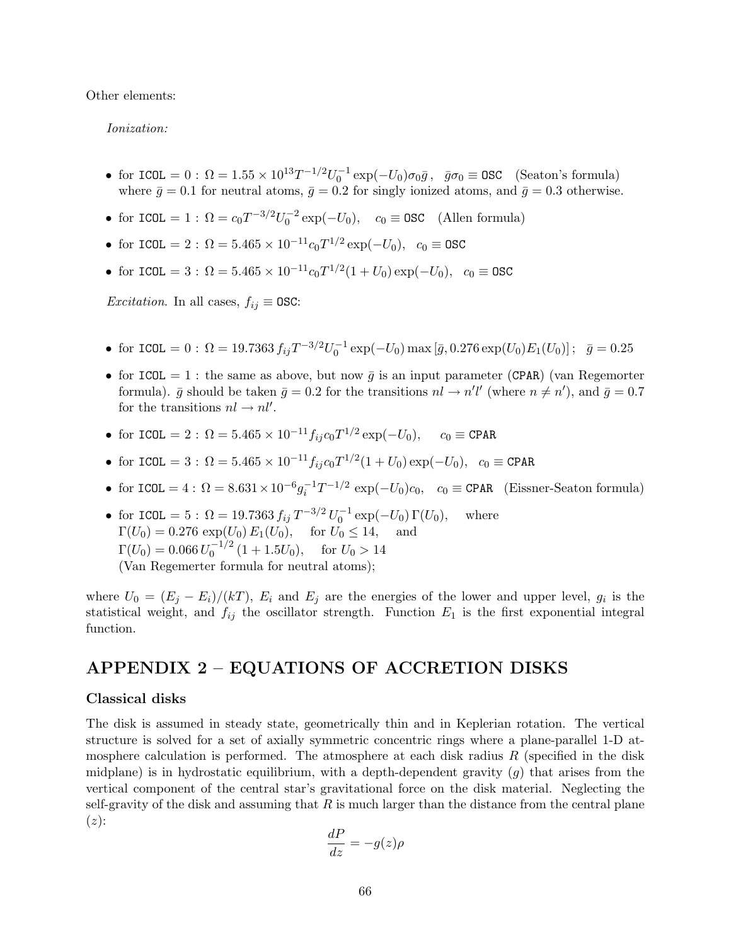Other elements:

Ionization:

- for ICOL =  $0: \Omega = 1.55 \times 10^{13} T^{-1/2} U_0^{-1} \exp(-U_0) \sigma_0 \bar{g}$ ,  $\bar{g} \sigma_0 \equiv \text{OSC}$  (Seaton's formula) where  $\bar{g} = 0.1$  for neutral atoms,  $\bar{g} = 0.2$  for singly ionized atoms, and  $\bar{g} = 0.3$  otherwise.
- for ICOL = 1 :  $\Omega = c_0 T^{-3/2} U_0^{-2} \exp(-U_0)$ ,  $c_0 \equiv \text{OSC}$  (Allen formula)
- for ICOL = 2:  $\Omega = 5.465 \times 10^{-11} c_0 T^{1/2} \exp(-U_0)$ ,  $c_0 \equiv \text{OSC}$
- for ICOL = 3:  $\Omega = 5.465 \times 10^{-11} c_0 T^{1/2} (1 + U_0) \exp(-U_0)$ ,  $c_0 \equiv \text{OSC}$

*Excitation*. In all cases,  $f_{ij} \equiv \text{OSC:}$ 

- for ICOL = 0:  $\Omega = 19.7363 f_{ij} T^{-3/2} U_0^{-1} \exp(-U_0) \max [\bar{g}, 0.276 \exp(U_0) E_1(U_0)]; \quad \bar{g} = 0.25$
- for ICOL = 1 : the same as above, but now  $\bar{g}$  is an input parameter (CPAR) (van Regemorter formula).  $\bar{g}$  should be taken  $\bar{g} = 0.2$  for the transitions  $nl \to n'l'$  (where  $n \neq n'$ ), and  $\bar{g} = 0.7$ for the transitions  $nl \rightarrow nl'$ .
- for ICOL = 2:  $\Omega = 5.465 \times 10^{-11} f_{ij} c_0 T^{1/2} \exp(-U_0)$ ,  $c_0 \equiv \text{CPAR}$
- for ICOL = 3:  $\Omega = 5.465 \times 10^{-11} f_{ij} c_0 T^{1/2} (1 + U_0) \exp(-U_0)$ ,  $c_0 \equiv \text{CPAR}$
- for  $ICOL = 4$ :  $\Omega = 8.631 \times 10^{-6} g_i^{-1} T^{-1/2} \exp(-U_0) c_0$ ,  $c_0 \equiv \text{CPAR}$  (Eissner-Seaton formula)
- for ICOL = 5:  $\Omega = 19.7363 f_{ij} T^{-3/2} U_0^{-1} \exp(-U_0) \Gamma(U_0)$ , where  $\Gamma(U_0) = 0.276 \exp(U_0) E_1(U_0)$ , for  $U_0 \le 14$ , and  $\Gamma(U_0) = 0.066 \, U_0^{-1/2}$  $\int_0^{-1/2} (1 + 1.5U_0)$ , for  $U_0 > 14$ (Van Regemerter formula for neutral atoms);

where  $U_0 = (E_j - E_i)/(kT)$ ,  $E_i$  and  $E_j$  are the energies of the lower and upper level,  $g_i$  is the statistical weight, and  $f_{ij}$  the oscillator strength. Function  $E_1$  is the first exponential integral function.

# APPENDIX 2 – EQUATIONS OF ACCRETION DISKS

#### Classical disks

The disk is assumed in steady state, geometrically thin and in Keplerian rotation. The vertical structure is solved for a set of axially symmetric concentric rings where a plane-parallel 1-D atmosphere calculation is performed. The atmosphere at each disk radius  $R$  (specified in the disk midplane) is in hydrostatic equilibrium, with a depth-dependent gravity  $(g)$  that arises from the vertical component of the central star's gravitational force on the disk material. Neglecting the self-gravity of the disk and assuming that  $R$  is much larger than the distance from the central plane  $(z)$ :

$$
\frac{dP}{dz} = -g(z)\rho
$$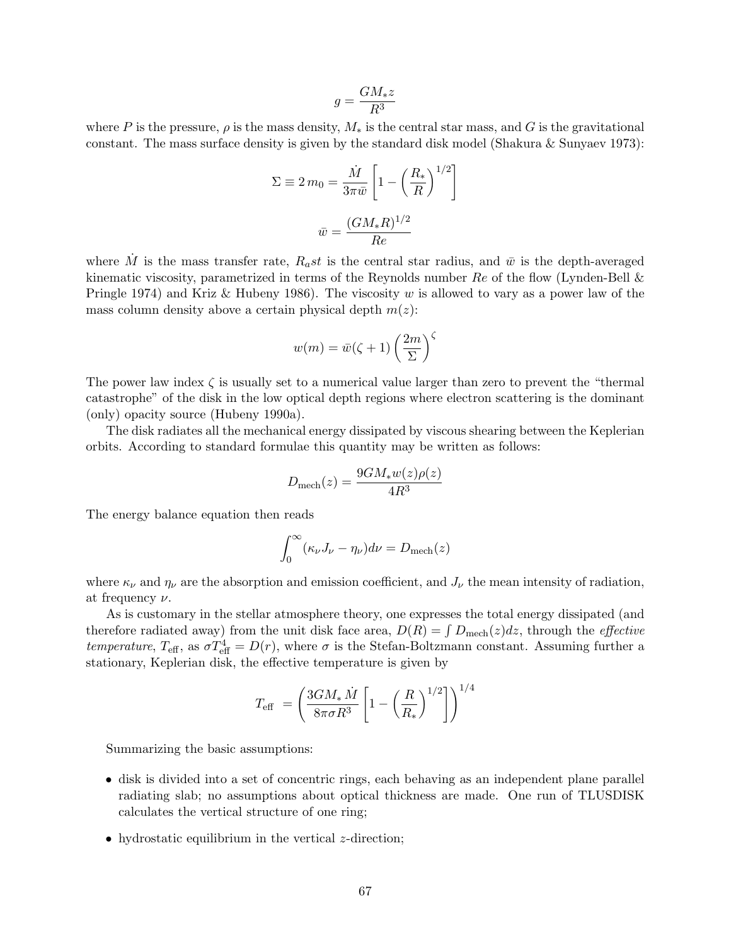$$
g = \frac{GM_*z}{R^3}
$$

where P is the pressure,  $\rho$  is the mass density,  $M_*$  is the central star mass, and G is the gravitational constant. The mass surface density is given by the standard disk model (Shakura & Sunyaev 1973):

$$
\Sigma \equiv 2 m_0 = \frac{\dot{M}}{3\pi \bar{w}} \left[ 1 - \left(\frac{R_*}{R}\right)^{1/2} \right]
$$

$$
\bar{w} = \frac{(GM_*R)^{1/2}}{Re}
$$

where  $\dot{M}$  is the mass transfer rate,  $R_a st$  is the central star radius, and  $\bar{w}$  is the depth-averaged kinematic viscosity, parametrized in terms of the Reynolds number  $Re$  of the flow (Lynden-Bell  $\&$ Pringle 1974) and Kriz & Hubeny 1986). The viscosity w is allowed to vary as a power law of the mass column density above a certain physical depth  $m(z)$ :

$$
w(m) = \bar{w}(\zeta + 1) \left(\frac{2m}{\Sigma}\right)^{\zeta}
$$

The power law index  $\zeta$  is usually set to a numerical value larger than zero to prevent the "thermal" catastrophe" of the disk in the low optical depth regions where electron scattering is the dominant (only) opacity source (Hubeny 1990a).

The disk radiates all the mechanical energy dissipated by viscous shearing between the Keplerian orbits. According to standard formulae this quantity may be written as follows:

$$
D_{\text{mech}}(z) = \frac{9GM_*w(z)\rho(z)}{4R^3}
$$

The energy balance equation then reads

$$
\int_0^\infty (\kappa_\nu J_\nu - \eta_\nu) d\nu = D_{\text{mech}}(z)
$$

where  $\kappa_{\nu}$  and  $\eta_{\nu}$  are the absorption and emission coefficient, and  $J_{\nu}$  the mean intensity of radiation, at frequency  $\nu$ .

As is customary in the stellar atmosphere theory, one expresses the total energy dissipated (and therefore radiated away) from the unit disk face area,  $D(R) = \int D_{\text{mech}}(z)dz$ , through the *effective* temperature,  $T_{\text{eff}}$ , as  $\sigma T_{\text{eff}}^4 = D(r)$ , where  $\sigma$  is the Stefan-Boltzmann constant. Assuming further a stationary, Keplerian disk, the effective temperature is given by

$$
T_{\text{eff}} = \left(\frac{3GM_* \dot{M}}{8\pi\sigma R^3} \left[1 - \left(\frac{R}{R_*}\right)^{1/2}\right]\right)^{1/4}
$$

Summarizing the basic assumptions:

- disk is divided into a set of concentric rings, each behaving as an independent plane parallel radiating slab; no assumptions about optical thickness are made. One run of TLUSDISK calculates the vertical structure of one ring;
- hydrostatic equilibrium in the vertical *z*-direction;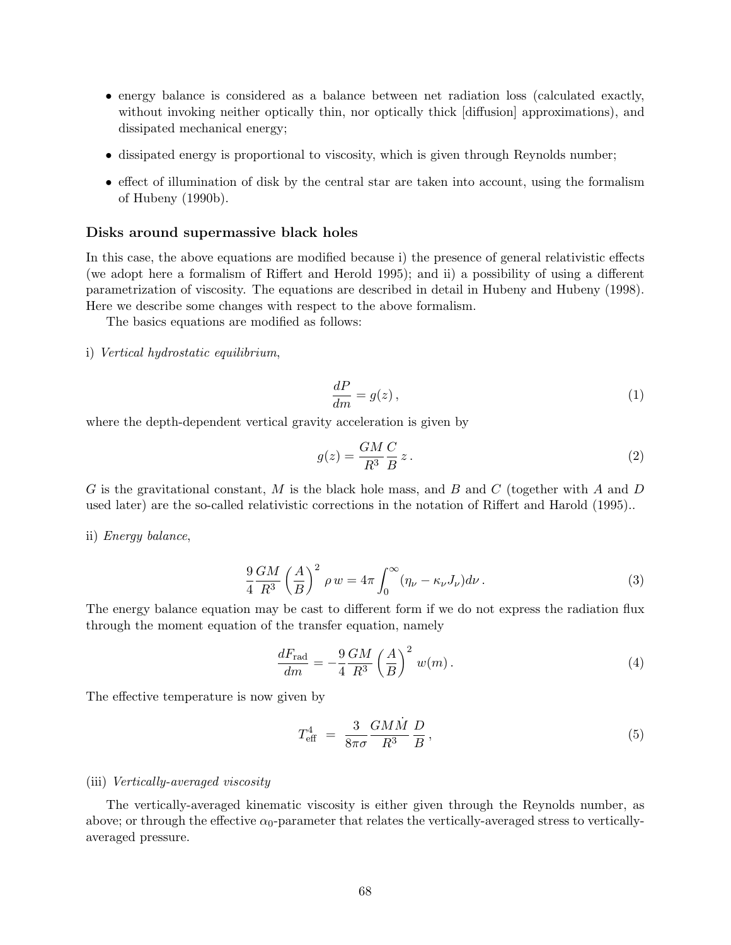- energy balance is considered as a balance between net radiation loss (calculated exactly, without invoking neither optically thin, nor optically thick [diffusion] approximations), and dissipated mechanical energy;
- dissipated energy is proportional to viscosity, which is given through Reynolds number;
- effect of illumination of disk by the central star are taken into account, using the formalism of Hubeny (1990b).

#### Disks around supermassive black holes

In this case, the above equations are modified because i) the presence of general relativistic effects (we adopt here a formalism of Riffert and Herold 1995); and ii) a possibility of using a different parametrization of viscosity. The equations are described in detail in Hubeny and Hubeny (1998). Here we describe some changes with respect to the above formalism.

The basics equations are modified as follows:

i) Vertical hydrostatic equilibrium,

$$
\frac{dP}{dm} = g(z)\,,\tag{1}
$$

where the depth-dependent vertical gravity acceleration is given by

$$
g(z) = \frac{GM}{R^3} \frac{C}{B} z. \tag{2}
$$

G is the gravitational constant, M is the black hole mass, and B and C (together with A and D used later) are the so-called relativistic corrections in the notation of Riffert and Harold (1995)..

ii) Energy balance,

$$
\frac{9}{4} \frac{GM}{R^3} \left(\frac{A}{B}\right)^2 \rho w = 4\pi \int_0^\infty (\eta_\nu - \kappa_\nu J_\nu) d\nu.
$$
\n(3)

The energy balance equation may be cast to different form if we do not express the radiation flux through the moment equation of the transfer equation, namely

$$
\frac{dF_{\text{rad}}}{dm} = -\frac{9}{4} \frac{GM}{R^3} \left(\frac{A}{B}\right)^2 w(m). \tag{4}
$$

The effective temperature is now given by

$$
T_{\text{eff}}^4 = \frac{3}{8\pi\sigma} \frac{GM\dot{M}}{R^3} \frac{D}{B},\tag{5}
$$

#### (iii) Vertically-averaged viscosity

The vertically-averaged kinematic viscosity is either given through the Reynolds number, as above; or through the effective  $\alpha_0$ -parameter that relates the vertically-averaged stress to verticallyaveraged pressure.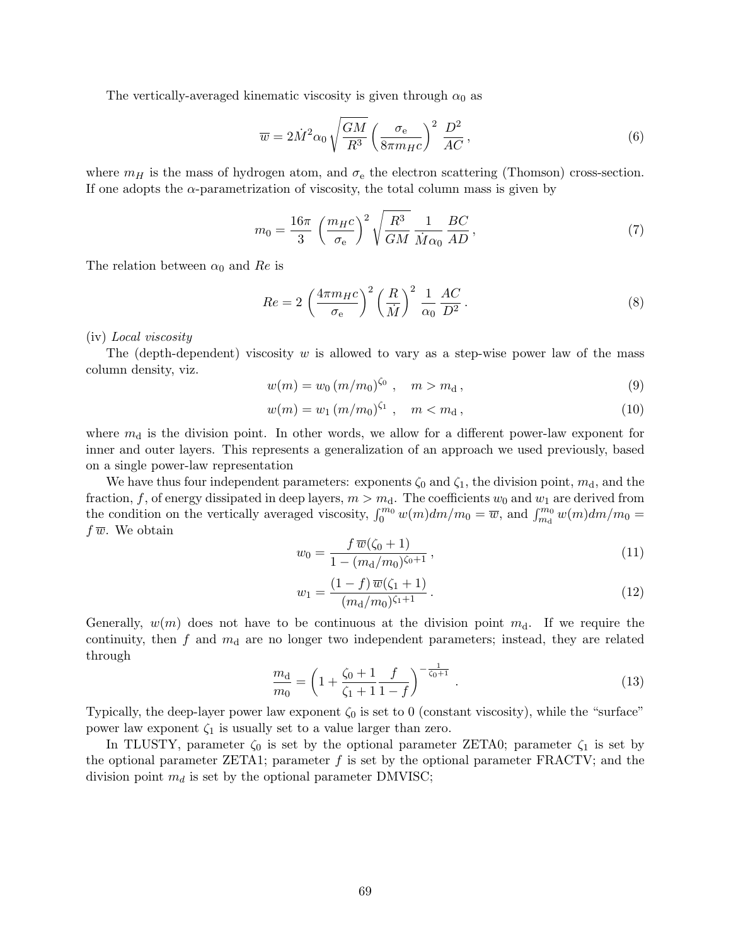The vertically-averaged kinematic viscosity is given through  $\alpha_0$  as

$$
\overline{w} = 2\dot{M}^2 \alpha_0 \sqrt{\frac{GM}{R^3}} \left(\frac{\sigma_e}{8\pi m_H c}\right)^2 \frac{D^2}{AC},\tag{6}
$$

where  $m_H$  is the mass of hydrogen atom, and  $\sigma_e$  the electron scattering (Thomson) cross-section. If one adopts the  $\alpha$ -parametrization of viscosity, the total column mass is given by

$$
m_0 = \frac{16\pi}{3} \left(\frac{m_H c}{\sigma_e}\right)^2 \sqrt{\frac{R^3}{GM}} \frac{1}{\dot{M}\alpha_0} \frac{BC}{AD},\tag{7}
$$

The relation between  $\alpha_0$  and Re is

$$
Re = 2\left(\frac{4\pi m_{H}c}{\sigma_{e}}\right)^{2}\left(\frac{R}{\dot{M}}\right)^{2}\frac{1}{\alpha_{0}}\frac{AC}{D^{2}}.
$$
\n(8)

#### (iv) Local viscosity

The (depth-dependent) viscosity w is allowed to vary as a step-wise power law of the mass column density, viz.

$$
w(m) = w_0 \left( \frac{m}{m_0} \right)^{\zeta_0}, \quad m > m_d, \tag{9}
$$

$$
w(m) = w_1 (m/m_0)^{\zeta_1}, \quad m < m_d, \tag{10}
$$

where  $m_d$  is the division point. In other words, we allow for a different power-law exponent for inner and outer layers. This represents a generalization of an approach we used previously, based on a single power-law representation

We have thus four independent parameters: exponents  $\zeta_0$  and  $\zeta_1$ , the division point,  $m_d$ , and the fraction, f, of energy dissipated in deep layers,  $m > m_d$ . The coefficients  $w_0$  and  $w_1$  are derived from the condition on the vertically averaged viscosity,  $\int_0^{m_0} w(m)dm/m_0 = \overline{w}$ , and  $\int_{m_0}^{m_0} w(m)dm/m_0 =$  $f\overline{w}$ . We obtain

$$
w_0 = \frac{f \,\overline{w}(\zeta_0 + 1)}{1 - (m_\text{d}/m_0)^{\zeta_0 + 1}},\tag{11}
$$

$$
w_1 = \frac{(1-f)\,\overline{w}(\zeta_1+1)}{(m_\mathrm{d}/m_0)^{\zeta_1+1}}\,. \tag{12}
$$

Generally,  $w(m)$  does not have to be continuous at the division point  $m_d$ . If we require the continuity, then f and  $m_d$  are no longer two independent parameters; instead, they are related through

$$
\frac{m_{\rm d}}{m_0} = \left(1 + \frac{\zeta_0 + 1}{\zeta_1 + 1} \frac{f}{1 - f}\right)^{-\frac{1}{\zeta_0 + 1}}.\tag{13}
$$

Typically, the deep-layer power law exponent  $\zeta_0$  is set to 0 (constant viscosity), while the "surface" power law exponent  $\zeta_1$  is usually set to a value larger than zero.

In TLUSTY, parameter  $\zeta_0$  is set by the optional parameter ZETA0; parameter  $\zeta_1$  is set by the optional parameter ZETA1; parameter  $f$  is set by the optional parameter FRACTV; and the division point  $m_d$  is set by the optional parameter DMVISC;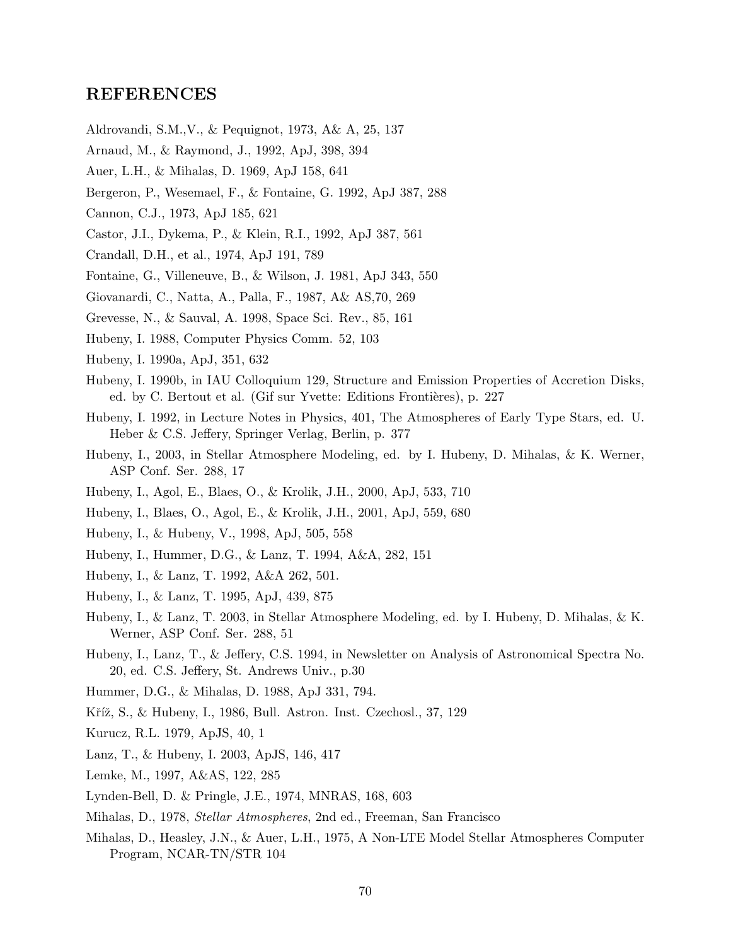### REFERENCES

- Aldrovandi, S.M.,V., & Pequignot, 1973, A& A, 25, 137
- Arnaud, M., & Raymond, J., 1992, ApJ, 398, 394
- Auer, L.H., & Mihalas, D. 1969, ApJ 158, 641
- Bergeron, P., Wesemael, F., & Fontaine, G. 1992, ApJ 387, 288
- Cannon, C.J., 1973, ApJ 185, 621
- Castor, J.I., Dykema, P., & Klein, R.I., 1992, ApJ 387, 561
- Crandall, D.H., et al., 1974, ApJ 191, 789
- Fontaine, G., Villeneuve, B., & Wilson, J. 1981, ApJ 343, 550
- Giovanardi, C., Natta, A., Palla, F., 1987, A& AS,70, 269
- Grevesse, N., & Sauval, A. 1998, Space Sci. Rev., 85, 161
- Hubeny, I. 1988, Computer Physics Comm. 52, 103
- Hubeny, I. 1990a, ApJ, 351, 632
- Hubeny, I. 1990b, in IAU Colloquium 129, Structure and Emission Properties of Accretion Disks, ed. by C. Bertout et al. (Gif sur Yvette: Editions Frontières), p. 227
- Hubeny, I. 1992, in Lecture Notes in Physics, 401, The Atmospheres of Early Type Stars, ed. U. Heber & C.S. Jeffery, Springer Verlag, Berlin, p. 377
- Hubeny, I., 2003, in Stellar Atmosphere Modeling, ed. by I. Hubeny, D. Mihalas, & K. Werner, ASP Conf. Ser. 288, 17
- Hubeny, I., Agol, E., Blaes, O., & Krolik, J.H., 2000, ApJ, 533, 710
- Hubeny, I., Blaes, O., Agol, E., & Krolik, J.H., 2001, ApJ, 559, 680
- Hubeny, I., & Hubeny, V., 1998, ApJ, 505, 558
- Hubeny, I., Hummer, D.G., & Lanz, T. 1994, A&A, 282, 151
- Hubeny, I., & Lanz, T. 1992, A&A 262, 501.
- Hubeny, I., & Lanz, T. 1995, ApJ, 439, 875
- Hubeny, I., & Lanz, T. 2003, in Stellar Atmosphere Modeling, ed. by I. Hubeny, D. Mihalas, & K. Werner, ASP Conf. Ser. 288, 51
- Hubeny, I., Lanz, T., & Jeffery, C.S. 1994, in Newsletter on Analysis of Astronomical Spectra No. 20, ed. C.S. Jeffery, St. Andrews Univ., p.30
- Hummer, D.G., & Mihalas, D. 1988, ApJ 331, 794.
- Kříž, S., & Hubeny, I., 1986, Bull. Astron. Inst. Czechosl., 37, 129
- Kurucz, R.L. 1979, ApJS, 40, 1
- Lanz, T., & Hubeny, I. 2003, ApJS, 146, 417
- Lemke, M., 1997, A&AS, 122, 285
- Lynden-Bell, D. & Pringle, J.E., 1974, MNRAS, 168, 603
- Mihalas, D., 1978, Stellar Atmospheres, 2nd ed., Freeman, San Francisco
- Mihalas, D., Heasley, J.N., & Auer, L.H., 1975, A Non-LTE Model Stellar Atmospheres Computer Program, NCAR-TN/STR 104